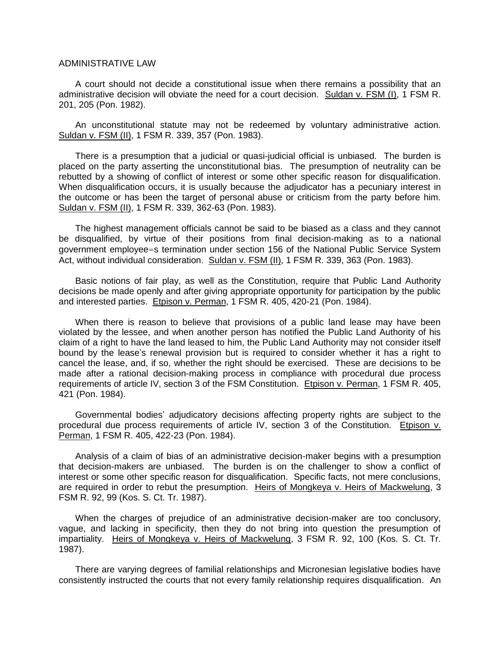A court should not decide a constitutional issue when there remains a possibility that an administrative decision will obviate the need for a court decision. Suldan v. FSM (I), 1 FSM R. 201, 205 (Pon. 1982).

An unconstitutional statute may not be redeemed by voluntary administrative action. Suldan v. FSM (II), 1 FSM R. 339, 357 (Pon. 1983).

There is a presumption that a judicial or quasi-judicial official is unbiased. The burden is placed on the party asserting the unconstitutional bias. The presumption of neutrality can be rebutted by a showing of conflict of interest or some other specific reason for disqualification. When disqualification occurs, it is usually because the adjudicator has a pecuniary interest in the outcome or has been the target of personal abuse or criticism from the party before him. Suldan v. FSM (II), 1 FSM R. 339, 362-63 (Pon. 1983).

The highest management officials cannot be said to be biased as a class and they cannot be disqualified, by virtue of their positions from final decision-making as to a national government employee=s termination under section 156 of the National Public Service System Act, without individual consideration. Suldan v. FSM (II), 1 FSM R. 339, 363 (Pon. 1983).

Basic notions of fair play, as well as the Constitution, require that Public Land Authority decisions be made openly and after giving appropriate opportunity for participation by the public and interested parties. Etpison v. Perman, 1 FSM R. 405, 420-21 (Pon. 1984).

When there is reason to believe that provisions of a public land lease may have been violated by the lessee, and when another person has notified the Public Land Authority of his claim of a right to have the land leased to him, the Public Land Authority may not consider itself bound by the lease's renewal provision but is required to consider whether it has a right to cancel the lease, and, if so, whether the right should be exercised. These are decisions to be made after a rational decision-making process in compliance with procedural due process requirements of article IV, section 3 of the FSM Constitution. Etpison v. Perman, 1 FSM R. 405, 421 (Pon. 1984).

Governmental bodies' adjudicatory decisions affecting property rights are subject to the procedural due process requirements of article IV, section 3 of the Constitution. Etpison v. Perman, 1 FSM R. 405, 422-23 (Pon. 1984).

Analysis of a claim of bias of an administrative decision-maker begins with a presumption that decision-makers are unbiased. The burden is on the challenger to show a conflict of interest or some other specific reason for disqualification. Specific facts, not mere conclusions, are required in order to rebut the presumption. Heirs of Mongkeya v. Heirs of Mackwelung, 3 FSM R. 92, 99 (Kos. S. Ct. Tr. 1987).

When the charges of prejudice of an administrative decision-maker are too conclusory, vague, and lacking in specificity, then they do not bring into question the presumption of impartiality. Heirs of Mongkeya v. Heirs of Mackwelung, 3 FSM R. 92, 100 (Kos. S. Ct. Tr. 1987).

There are varying degrees of familial relationships and Micronesian legislative bodies have consistently instructed the courts that not every family relationship requires disqualification. An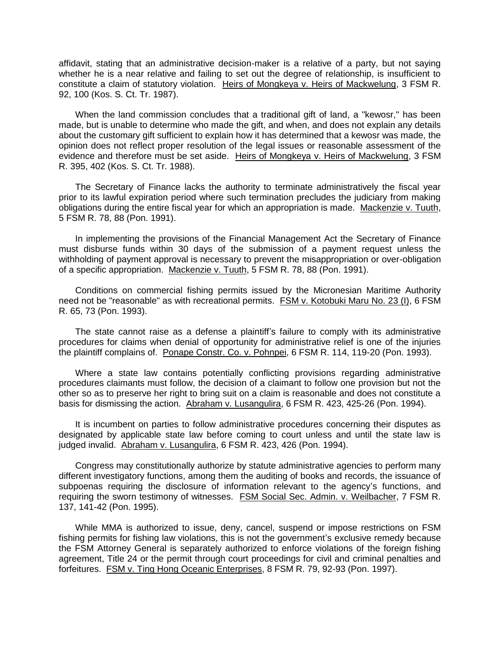affidavit, stating that an administrative decision-maker is a relative of a party, but not saying whether he is a near relative and failing to set out the degree of relationship, is insufficient to constitute a claim of statutory violation. Heirs of Mongkeya v. Heirs of Mackwelung, 3 FSM R. 92, 100 (Kos. S. Ct. Tr. 1987).

When the land commission concludes that a traditional gift of land, a "kewosr," has been made, but is unable to determine who made the gift, and when, and does not explain any details about the customary gift sufficient to explain how it has determined that a kewosr was made, the opinion does not reflect proper resolution of the legal issues or reasonable assessment of the evidence and therefore must be set aside. Heirs of Mongkeya v. Heirs of Mackwelung, 3 FSM R. 395, 402 (Kos. S. Ct. Tr. 1988).

The Secretary of Finance lacks the authority to terminate administratively the fiscal year prior to its lawful expiration period where such termination precludes the judiciary from making obligations during the entire fiscal year for which an appropriation is made. Mackenzie v. Tuuth, 5 FSM R. 78, 88 (Pon. 1991).

In implementing the provisions of the Financial Management Act the Secretary of Finance must disburse funds within 30 days of the submission of a payment request unless the withholding of payment approval is necessary to prevent the misappropriation or over-obligation of a specific appropriation. Mackenzie v. Tuuth, 5 FSM R. 78, 88 (Pon. 1991).

Conditions on commercial fishing permits issued by the Micronesian Maritime Authority need not be "reasonable" as with recreational permits. FSM v. Kotobuki Maru No. 23 (I), 6 FSM R. 65, 73 (Pon. 1993).

The state cannot raise as a defense a plaintiff's failure to comply with its administrative procedures for claims when denial of opportunity for administrative relief is one of the injuries the plaintiff complains of. Ponape Constr. Co. v. Pohnpei, 6 FSM R. 114, 119-20 (Pon. 1993).

Where a state law contains potentially conflicting provisions regarding administrative procedures claimants must follow, the decision of a claimant to follow one provision but not the other so as to preserve her right to bring suit on a claim is reasonable and does not constitute a basis for dismissing the action. Abraham v. Lusangulira, 6 FSM R. 423, 425-26 (Pon. 1994).

It is incumbent on parties to follow administrative procedures concerning their disputes as designated by applicable state law before coming to court unless and until the state law is judged invalid. Abraham v. Lusangulira, 6 FSM R. 423, 426 (Pon. 1994).

Congress may constitutionally authorize by statute administrative agencies to perform many different investigatory functions, among them the auditing of books and records, the issuance of subpoenas requiring the disclosure of information relevant to the agency's functions, and requiring the sworn testimony of witnesses. FSM Social Sec. Admin. v. Weilbacher, 7 FSM R. 137, 141-42 (Pon. 1995).

While MMA is authorized to issue, deny, cancel, suspend or impose restrictions on FSM fishing permits for fishing law violations, this is not the government's exclusive remedy because the FSM Attorney General is separately authorized to enforce violations of the foreign fishing agreement, Title 24 or the permit through court proceedings for civil and criminal penalties and forfeitures. FSM v. Ting Hong Oceanic Enterprises, 8 FSM R. 79, 92-93 (Pon. 1997).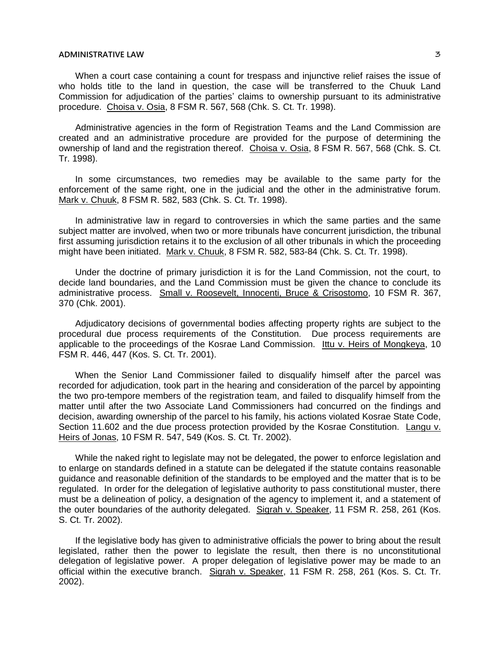When a court case containing a count for trespass and injunctive relief raises the issue of who holds title to the land in question, the case will be transferred to the Chuuk Land Commission for adjudication of the parties' claims to ownership pursuant to its administrative procedure. Choisa v. Osia, 8 FSM R. 567, 568 (Chk. S. Ct. Tr. 1998).

Administrative agencies in the form of Registration Teams and the Land Commission are created and an administrative procedure are provided for the purpose of determining the ownership of land and the registration thereof. Choisa v. Osia, 8 FSM R. 567, 568 (Chk. S. Ct. Tr. 1998).

In some circumstances, two remedies may be available to the same party for the enforcement of the same right, one in the judicial and the other in the administrative forum. Mark v. Chuuk, 8 FSM R. 582, 583 (Chk. S. Ct. Tr. 1998).

In administrative law in regard to controversies in which the same parties and the same subject matter are involved, when two or more tribunals have concurrent jurisdiction, the tribunal first assuming jurisdiction retains it to the exclusion of all other tribunals in which the proceeding might have been initiated. Mark v. Chuuk, 8 FSM R. 582, 583-84 (Chk. S. Ct. Tr. 1998).

Under the doctrine of primary jurisdiction it is for the Land Commission, not the court, to decide land boundaries, and the Land Commission must be given the chance to conclude its administrative process. Small v. Roosevelt, Innocenti, Bruce & Crisostomo, 10 FSM R. 367, 370 (Chk. 2001).

Adjudicatory decisions of governmental bodies affecting property rights are subject to the procedural due process requirements of the Constitution. Due process requirements are applicable to the proceedings of the Kosrae Land Commission. Ittu v. Heirs of Mongkeya, 10 FSM R. 446, 447 (Kos. S. Ct. Tr. 2001).

When the Senior Land Commissioner failed to disqualify himself after the parcel was recorded for adjudication, took part in the hearing and consideration of the parcel by appointing the two pro-tempore members of the registration team, and failed to disqualify himself from the matter until after the two Associate Land Commissioners had concurred on the findings and decision, awarding ownership of the parcel to his family, his actions violated Kosrae State Code, Section 11.602 and the due process protection provided by the Kosrae Constitution. Langu v. Heirs of Jonas, 10 FSM R. 547, 549 (Kos. S. Ct. Tr. 2002).

While the naked right to legislate may not be delegated, the power to enforce legislation and to enlarge on standards defined in a statute can be delegated if the statute contains reasonable guidance and reasonable definition of the standards to be employed and the matter that is to be regulated. In order for the delegation of legislative authority to pass constitutional muster, there must be a delineation of policy, a designation of the agency to implement it, and a statement of the outer boundaries of the authority delegated. Sigrah v. Speaker, 11 FSM R. 258, 261 (Kos. S. Ct. Tr. 2002).

If the legislative body has given to administrative officials the power to bring about the result legislated, rather then the power to legislate the result, then there is no unconstitutional delegation of legislative power. A proper delegation of legislative power may be made to an official within the executive branch. Sigrah v. Speaker, 11 FSM R. 258, 261 (Kos. S. Ct. Tr. 2002).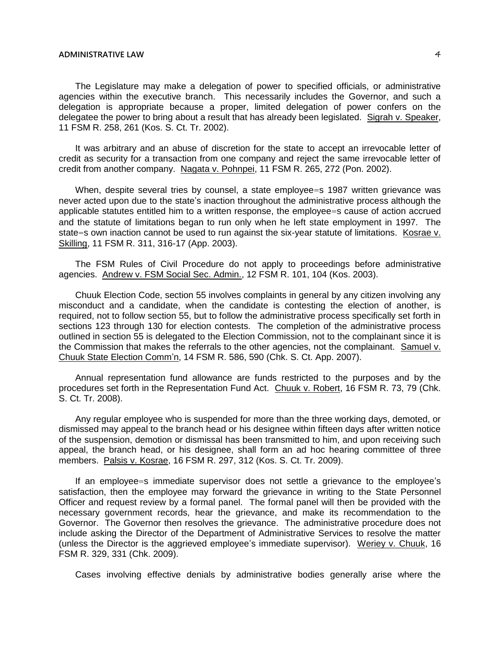The Legislature may make a delegation of power to specified officials, or administrative agencies within the executive branch. This necessarily includes the Governor, and such a delegation is appropriate because a proper, limited delegation of power confers on the delegatee the power to bring about a result that has already been legislated. Sigrah v. Speaker, 11 FSM R. 258, 261 (Kos. S. Ct. Tr. 2002).

It was arbitrary and an abuse of discretion for the state to accept an irrevocable letter of credit as security for a transaction from one company and reject the same irrevocable letter of credit from another company. Nagata v. Pohnpei, 11 FSM R. 265, 272 (Pon. 2002).

When, despite several tries by counsel, a state employee=s 1987 written grievance was never acted upon due to the state's inaction throughout the administrative process although the applicable statutes entitled him to a written response, the employee=s cause of action accrued and the statute of limitations began to run only when he left state employment in 1997. The state=s own inaction cannot be used to run against the six-year statute of limitations. Kosrae v. Skilling, 11 FSM R. 311, 316-17 (App. 2003).

The FSM Rules of Civil Procedure do not apply to proceedings before administrative agencies. Andrew v. FSM Social Sec. Admin., 12 FSM R. 101, 104 (Kos. 2003).

Chuuk Election Code, section 55 involves complaints in general by any citizen involving any misconduct and a candidate, when the candidate is contesting the election of another, is required, not to follow section 55, but to follow the administrative process specifically set forth in sections 123 through 130 for election contests. The completion of the administrative process outlined in section 55 is delegated to the Election Commission, not to the complainant since it is the Commission that makes the referrals to the other agencies, not the complainant. Samuel v. Chuuk State Election Comm'n, 14 FSM R. 586, 590 (Chk. S. Ct. App. 2007).

Annual representation fund allowance are funds restricted to the purposes and by the procedures set forth in the Representation Fund Act. Chuuk v. Robert, 16 FSM R. 73, 79 (Chk. S. Ct. Tr. 2008).

Any regular employee who is suspended for more than the three working days, demoted, or dismissed may appeal to the branch head or his designee within fifteen days after written notice of the suspension, demotion or dismissal has been transmitted to him, and upon receiving such appeal, the branch head, or his designee, shall form an ad hoc hearing committee of three members. Palsis v. Kosrae, 16 FSM R. 297, 312 (Kos. S. Ct. Tr. 2009).

If an employee=s immediate supervisor does not settle a grievance to the employee's satisfaction, then the employee may forward the grievance in writing to the State Personnel Officer and request review by a formal panel. The formal panel will then be provided with the necessary government records, hear the grievance, and make its recommendation to the Governor. The Governor then resolves the grievance. The administrative procedure does not include asking the Director of the Department of Administrative Services to resolve the matter (unless the Director is the aggrieved employee's immediate supervisor). Weriey v. Chuuk, 16 FSM R. 329, 331 (Chk. 2009).

Cases involving effective denials by administrative bodies generally arise where the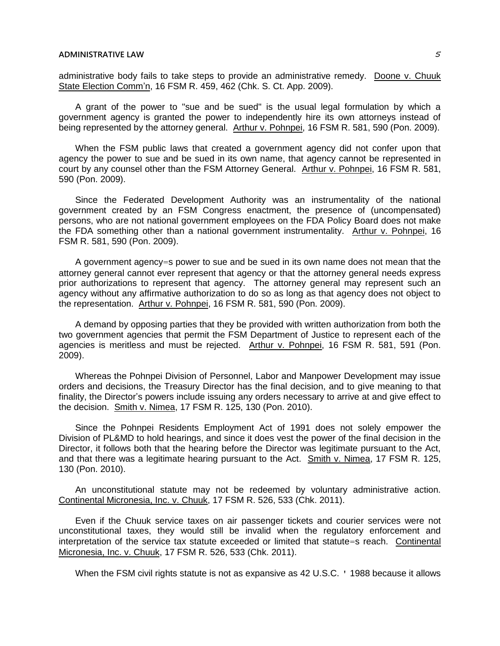administrative body fails to take steps to provide an administrative remedy. Doone v. Chuuk State Election Comm'n, 16 FSM R. 459, 462 (Chk. S. Ct. App. 2009).

A grant of the power to "sue and be sued" is the usual legal formulation by which a government agency is granted the power to independently hire its own attorneys instead of being represented by the attorney general. Arthur v. Pohnpei, 16 FSM R. 581, 590 (Pon. 2009).

When the FSM public laws that created a government agency did not confer upon that agency the power to sue and be sued in its own name, that agency cannot be represented in court by any counsel other than the FSM Attorney General. Arthur v. Pohnpei, 16 FSM R. 581, 590 (Pon. 2009).

Since the Federated Development Authority was an instrumentality of the national government created by an FSM Congress enactment, the presence of (uncompensated) persons, who are not national government employees on the FDA Policy Board does not make the FDA something other than a national government instrumentality. Arthur v. Pohnpei, 16 FSM R. 581, 590 (Pon. 2009).

A government agency=s power to sue and be sued in its own name does not mean that the attorney general cannot ever represent that agency or that the attorney general needs express prior authorizations to represent that agency. The attorney general may represent such an agency without any affirmative authorization to do so as long as that agency does not object to the representation. Arthur v. Pohnpei, 16 FSM R. 581, 590 (Pon. 2009).

A demand by opposing parties that they be provided with written authorization from both the two government agencies that permit the FSM Department of Justice to represent each of the agencies is meritless and must be rejected. Arthur v. Pohnpei, 16 FSM R. 581, 591 (Pon. 2009).

Whereas the Pohnpei Division of Personnel, Labor and Manpower Development may issue orders and decisions, the Treasury Director has the final decision, and to give meaning to that finality, the Director's powers include issuing any orders necessary to arrive at and give effect to the decision. Smith v. Nimea, 17 FSM R. 125, 130 (Pon. 2010).

Since the Pohnpei Residents Employment Act of 1991 does not solely empower the Division of PL&MD to hold hearings, and since it does vest the power of the final decision in the Director, it follows both that the hearing before the Director was legitimate pursuant to the Act, and that there was a legitimate hearing pursuant to the Act. Smith v. Nimea, 17 FSM R. 125, 130 (Pon. 2010).

An unconstitutional statute may not be redeemed by voluntary administrative action. Continental Micronesia, Inc. v. Chuuk, 17 FSM R. 526, 533 (Chk. 2011).

Even if the Chuuk service taxes on air passenger tickets and courier services were not unconstitutional taxes, they would still be invalid when the regulatory enforcement and interpretation of the service tax statute exceeded or limited that statute=s reach. Continental Micronesia, Inc. v. Chuuk, 17 FSM R. 526, 533 (Chk. 2011).

When the FSM civil rights statute is not as expansive as 42 U.S.C. ' 1988 because it allows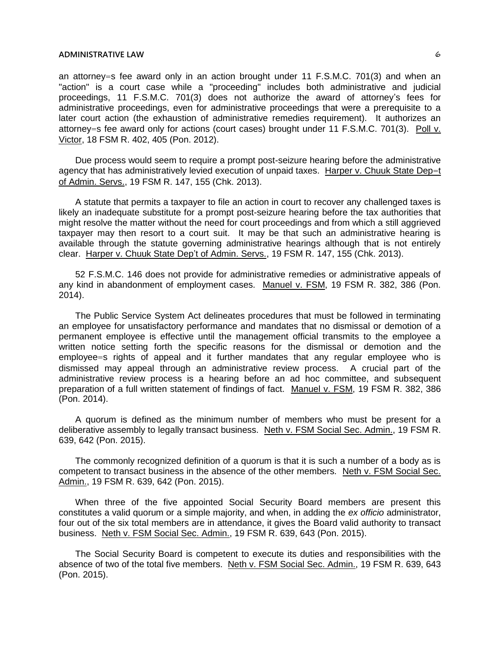an attorney=s fee award only in an action brought under 11 F.S.M.C. 701(3) and when an "action" is a court case while a "proceeding" includes both administrative and judicial proceedings, 11 F.S.M.C. 701(3) does not authorize the award of attorney's fees for administrative proceedings, even for administrative proceedings that were a prerequisite to a later court action (the exhaustion of administrative remedies requirement). It authorizes an attorney=s fee award only for actions (court cases) brought under 11 F.S.M.C. 701(3). Poll v. Victor, 18 FSM R. 402, 405 (Pon. 2012).

Due process would seem to require a prompt post-seizure hearing before the administrative agency that has administratively levied execution of unpaid taxes. Harper v. Chuuk State Dep=t of Admin. Servs., 19 FSM R. 147, 155 (Chk. 2013).

A statute that permits a taxpayer to file an action in court to recover any challenged taxes is likely an inadequate substitute for a prompt post-seizure hearing before the tax authorities that might resolve the matter without the need for court proceedings and from which a still aggrieved taxpayer may then resort to a court suit. It may be that such an administrative hearing is available through the statute governing administrative hearings although that is not entirely clear. Harper v. Chuuk State Dep't of Admin. Servs., 19 FSM R. 147, 155 (Chk. 2013).

52 F.S.M.C. 146 does not provide for administrative remedies or administrative appeals of any kind in abandonment of employment cases. Manuel v. FSM, 19 FSM R. 382, 386 (Pon. 2014).

The Public Service System Act delineates procedures that must be followed in terminating an employee for unsatisfactory performance and mandates that no dismissal or demotion of a permanent employee is effective until the management official transmits to the employee a written notice setting forth the specific reasons for the dismissal or demotion and the employee=s rights of appeal and it further mandates that any regular employee who is dismissed may appeal through an administrative review process. A crucial part of the administrative review process is a hearing before an ad hoc committee, and subsequent preparation of a full written statement of findings of fact. Manuel v. FSM, 19 FSM R. 382, 386 (Pon. 2014).

A quorum is defined as the minimum number of members who must be present for a deliberative assembly to legally transact business. Neth v. FSM Social Sec. Admin., 19 FSM R. 639, 642 (Pon. 2015).

The commonly recognized definition of a quorum is that it is such a number of a body as is competent to transact business in the absence of the other members. Neth v. FSM Social Sec. Admin., 19 FSM R. 639, 642 (Pon. 2015).

When three of the five appointed Social Security Board members are present this constitutes a valid quorum or a simple majority, and when, in adding the *ex officio* administrator, four out of the six total members are in attendance, it gives the Board valid authority to transact business. Neth v. FSM Social Sec. Admin., 19 FSM R. 639, 643 (Pon. 2015).

The Social Security Board is competent to execute its duties and responsibilities with the absence of two of the total five members. Neth v. FSM Social Sec. Admin., 19 FSM R. 639, 643 (Pon. 2015).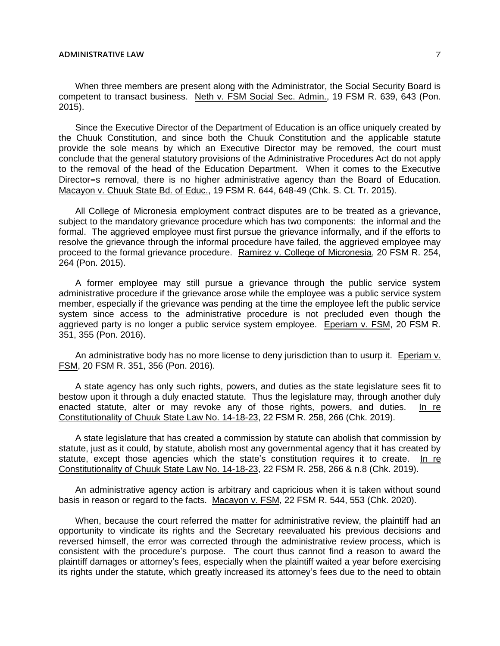When three members are present along with the Administrator, the Social Security Board is competent to transact business. Neth v. FSM Social Sec. Admin., 19 FSM R. 639, 643 (Pon. 2015).

Since the Executive Director of the Department of Education is an office uniquely created by the Chuuk Constitution, and since both the Chuuk Constitution and the applicable statute provide the sole means by which an Executive Director may be removed, the court must conclude that the general statutory provisions of the Administrative Procedures Act do not apply to the removal of the head of the Education Department. When it comes to the Executive Director=s removal, there is no higher administrative agency than the Board of Education. Macayon v. Chuuk State Bd. of Educ., 19 FSM R. 644, 648-49 (Chk. S. Ct. Tr. 2015).

All College of Micronesia employment contract disputes are to be treated as a grievance, subject to the mandatory grievance procedure which has two components: the informal and the formal. The aggrieved employee must first pursue the grievance informally, and if the efforts to resolve the grievance through the informal procedure have failed, the aggrieved employee may proceed to the formal grievance procedure. Ramirez v. College of Micronesia, 20 FSM R. 254, 264 (Pon. 2015).

A former employee may still pursue a grievance through the public service system administrative procedure if the grievance arose while the employee was a public service system member, especially if the grievance was pending at the time the employee left the public service system since access to the administrative procedure is not precluded even though the aggrieved party is no longer a public service system employee. Eperiam v. FSM, 20 FSM R. 351, 355 (Pon. 2016).

An administrative body has no more license to deny jurisdiction than to usurp it. Eperiam v. FSM, 20 FSM R. 351, 356 (Pon. 2016).

A state agency has only such rights, powers, and duties as the state legislature sees fit to bestow upon it through a duly enacted statute. Thus the legislature may, through another duly enacted statute, alter or may revoke any of those rights, powers, and duties. In re Constitutionality of Chuuk State Law No. 14-18-23, 22 FSM R. 258, 266 (Chk. 2019).

A state legislature that has created a commission by statute can abolish that commission by statute, just as it could, by statute, abolish most any governmental agency that it has created by statute, except those agencies which the state's constitution requires it to create. In re Constitutionality of Chuuk State Law No. 14-18-23, 22 FSM R. 258, 266 & n.8 (Chk. 2019).

An administrative agency action is arbitrary and capricious when it is taken without sound basis in reason or regard to the facts. Macayon v. FSM, 22 FSM R. 544, 553 (Chk. 2020).

When, because the court referred the matter for administrative review, the plaintiff had an opportunity to vindicate its rights and the Secretary reevaluated his previous decisions and reversed himself, the error was corrected through the administrative review process, which is consistent with the procedure's purpose. The court thus cannot find a reason to award the plaintiff damages or attorney's fees, especially when the plaintiff waited a year before exercising its rights under the statute, which greatly increased its attorney's fees due to the need to obtain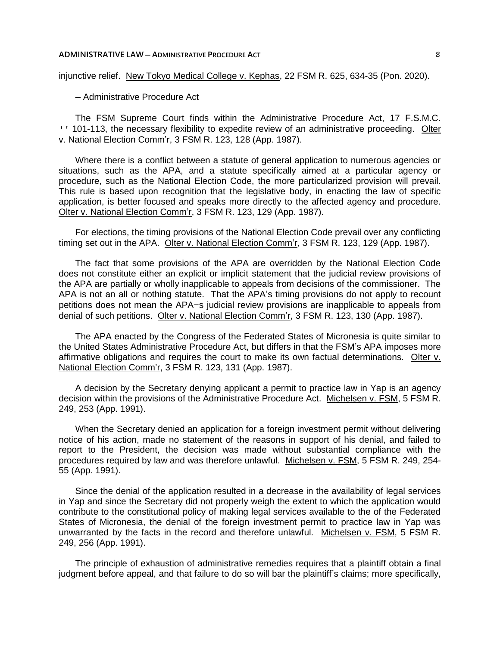#### **ADMINISTRATIVE LAW ─ ADMINISTRATIVE PROCEDURE ACT** 8

injunctive relief. New Tokyo Medical College v. Kephas, 22 FSM R. 625, 634-35 (Pon. 2020).

─ Administrative Procedure Act

The FSM Supreme Court finds within the Administrative Procedure Act, 17 F.S.M.C. ' 101-113, the necessary flexibility to expedite review of an administrative proceeding. Olter v. National Election Comm'r, 3 FSM R. 123, 128 (App. 1987).

Where there is a conflict between a statute of general application to numerous agencies or situations, such as the APA, and a statute specifically aimed at a particular agency or procedure, such as the National Election Code, the more particularized provision will prevail. This rule is based upon recognition that the legislative body, in enacting the law of specific application, is better focused and speaks more directly to the affected agency and procedure. Olter v. National Election Comm'r, 3 FSM R. 123, 129 (App. 1987).

For elections, the timing provisions of the National Election Code prevail over any conflicting timing set out in the APA. Olter v. National Election Comm'r, 3 FSM R. 123, 129 (App. 1987).

The fact that some provisions of the APA are overridden by the National Election Code does not constitute either an explicit or implicit statement that the judicial review provisions of the APA are partially or wholly inapplicable to appeals from decisions of the commissioner. The APA is not an all or nothing statute. That the APA's timing provisions do not apply to recount petitions does not mean the APA=s judicial review provisions are inapplicable to appeals from denial of such petitions. Olter v. National Election Comm'r, 3 FSM R. 123, 130 (App. 1987).

The APA enacted by the Congress of the Federated States of Micronesia is quite similar to the United States Administrative Procedure Act, but differs in that the FSM's APA imposes more affirmative obligations and requires the court to make its own factual determinations. Olter v. National Election Comm'r, 3 FSM R. 123, 131 (App. 1987).

A decision by the Secretary denying applicant a permit to practice law in Yap is an agency decision within the provisions of the Administrative Procedure Act. Michelsen v. FSM, 5 FSM R. 249, 253 (App. 1991).

When the Secretary denied an application for a foreign investment permit without delivering notice of his action, made no statement of the reasons in support of his denial, and failed to report to the President, the decision was made without substantial compliance with the procedures required by law and was therefore unlawful. Michelsen v. FSM, 5 FSM R. 249, 254- 55 (App. 1991).

Since the denial of the application resulted in a decrease in the availability of legal services in Yap and since the Secretary did not properly weigh the extent to which the application would contribute to the constitutional policy of making legal services available to the of the Federated States of Micronesia, the denial of the foreign investment permit to practice law in Yap was unwarranted by the facts in the record and therefore unlawful. Michelsen v. FSM, 5 FSM R. 249, 256 (App. 1991).

The principle of exhaustion of administrative remedies requires that a plaintiff obtain a final judgment before appeal, and that failure to do so will bar the plaintiff's claims; more specifically,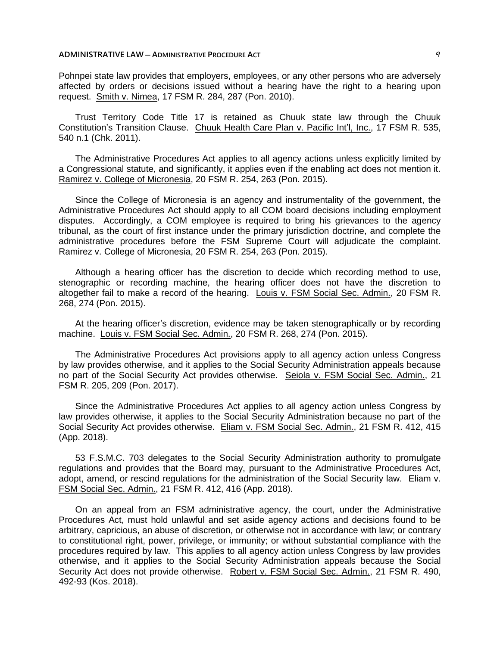## **ADMINISTRATIVE LAW ─ ADMINISTRATIVE PROCEDURE ACT** 9

Pohnpei state law provides that employers, employees, or any other persons who are adversely affected by orders or decisions issued without a hearing have the right to a hearing upon request. Smith v. Nimea, 17 FSM R. 284, 287 (Pon. 2010).

Trust Territory Code Title 17 is retained as Chuuk state law through the Chuuk Constitution's Transition Clause. Chuuk Health Care Plan v. Pacific Int'l, Inc., 17 FSM R. 535, 540 n.1 (Chk. 2011).

The Administrative Procedures Act applies to all agency actions unless explicitly limited by a Congressional statute, and significantly, it applies even if the enabling act does not mention it. Ramirez v. College of Micronesia, 20 FSM R. 254, 263 (Pon. 2015).

Since the College of Micronesia is an agency and instrumentality of the government, the Administrative Procedures Act should apply to all COM board decisions including employment disputes. Accordingly, a COM employee is required to bring his grievances to the agency tribunal, as the court of first instance under the primary jurisdiction doctrine, and complete the administrative procedures before the FSM Supreme Court will adjudicate the complaint. Ramirez v. College of Micronesia, 20 FSM R. 254, 263 (Pon. 2015).

Although a hearing officer has the discretion to decide which recording method to use, stenographic or recording machine, the hearing officer does not have the discretion to altogether fail to make a record of the hearing. Louis v. FSM Social Sec. Admin., 20 FSM R. 268, 274 (Pon. 2015).

At the hearing officer's discretion, evidence may be taken stenographically or by recording machine. Louis v. FSM Social Sec. Admin., 20 FSM R. 268, 274 (Pon. 2015).

The Administrative Procedures Act provisions apply to all agency action unless Congress by law provides otherwise, and it applies to the Social Security Administration appeals because no part of the Social Security Act provides otherwise. Seiola v. FSM Social Sec. Admin., 21 FSM R. 205, 209 (Pon. 2017).

Since the Administrative Procedures Act applies to all agency action unless Congress by law provides otherwise, it applies to the Social Security Administration because no part of the Social Security Act provides otherwise. Eliam v. FSM Social Sec. Admin., 21 FSM R. 412, 415 (App. 2018).

53 F.S.M.C. 703 delegates to the Social Security Administration authority to promulgate regulations and provides that the Board may, pursuant to the Administrative Procedures Act, adopt, amend, or rescind regulations for the administration of the Social Security law. Eliam v. FSM Social Sec. Admin., 21 FSM R. 412, 416 (App. 2018).

On an appeal from an FSM administrative agency, the court, under the Administrative Procedures Act, must hold unlawful and set aside agency actions and decisions found to be arbitrary, capricious, an abuse of discretion, or otherwise not in accordance with law; or contrary to constitutional right, power, privilege, or immunity; or without substantial compliance with the procedures required by law. This applies to all agency action unless Congress by law provides otherwise, and it applies to the Social Security Administration appeals because the Social Security Act does not provide otherwise. Robert v. FSM Social Sec. Admin., 21 FSM R. 490, 492-93 (Kos. 2018).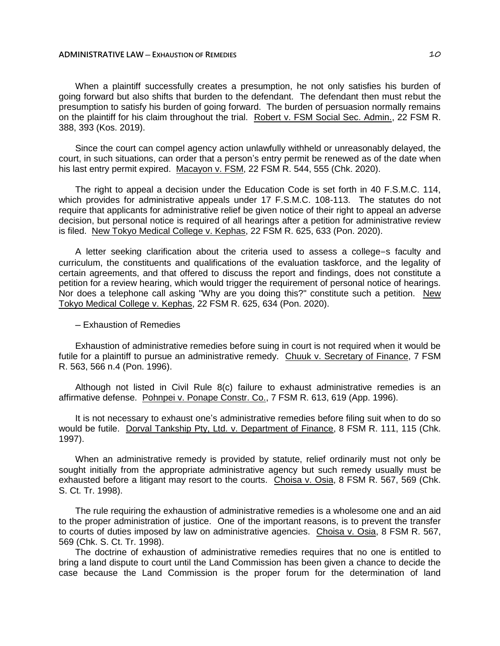When a plaintiff successfully creates a presumption, he not only satisfies his burden of going forward but also shifts that burden to the defendant. The defendant then must rebut the presumption to satisfy his burden of going forward. The burden of persuasion normally remains on the plaintiff for his claim throughout the trial. Robert v. FSM Social Sec. Admin., 22 FSM R. 388, 393 (Kos. 2019).

Since the court can compel agency action unlawfully withheld or unreasonably delayed, the court, in such situations, can order that a person's entry permit be renewed as of the date when his last entry permit expired. Macayon v. FSM, 22 FSM R. 544, 555 (Chk. 2020).

The right to appeal a decision under the Education Code is set forth in 40 F.S.M.C. 114, which provides for administrative appeals under 17 F.S.M.C. 108-113. The statutes do not require that applicants for administrative relief be given notice of their right to appeal an adverse decision, but personal notice is required of all hearings after a petition for administrative review is filed. New Tokyo Medical College v. Kephas, 22 FSM R. 625, 633 (Pon. 2020).

A letter seeking clarification about the criteria used to assess a college=s faculty and curriculum, the constituents and qualifications of the evaluation taskforce, and the legality of certain agreements, and that offered to discuss the report and findings, does not constitute a petition for a review hearing, which would trigger the requirement of personal notice of hearings. Nor does a telephone call asking "Why are you doing this?" constitute such a petition. New Tokyo Medical College v. Kephas, 22 FSM R. 625, 634 (Pon. 2020).

─ Exhaustion of Remedies

Exhaustion of administrative remedies before suing in court is not required when it would be futile for a plaintiff to pursue an administrative remedy. Chuuk v. Secretary of Finance, 7 FSM R. 563, 566 n.4 (Pon. 1996).

Although not listed in Civil Rule 8(c) failure to exhaust administrative remedies is an affirmative defense. Pohnpei v. Ponape Constr. Co., 7 FSM R. 613, 619 (App. 1996).

It is not necessary to exhaust one's administrative remedies before filing suit when to do so would be futile. Dorval Tankship Pty, Ltd. v. Department of Finance, 8 FSM R. 111, 115 (Chk. 1997).

When an administrative remedy is provided by statute, relief ordinarily must not only be sought initially from the appropriate administrative agency but such remedy usually must be exhausted before a litigant may resort to the courts. Choisa v. Osia, 8 FSM R. 567, 569 (Chk. S. Ct. Tr. 1998).

The rule requiring the exhaustion of administrative remedies is a wholesome one and an aid to the proper administration of justice. One of the important reasons, is to prevent the transfer to courts of duties imposed by law on administrative agencies. Choisa v. Osia, 8 FSM R. 567, 569 (Chk. S. Ct. Tr. 1998).

The doctrine of exhaustion of administrative remedies requires that no one is entitled to bring a land dispute to court until the Land Commission has been given a chance to decide the case because the Land Commission is the proper forum for the determination of land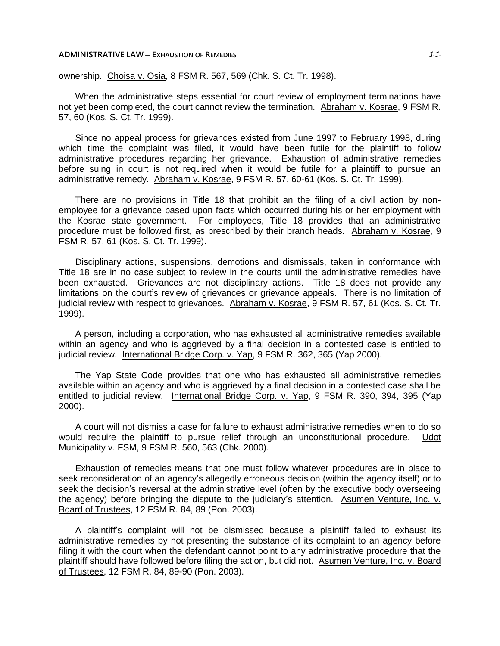#### **ADMINISTRATIVE LAW** — EXHAUSTION OF REMEDIES **11**

ownership. Choisa v. Osia, 8 FSM R. 567, 569 (Chk. S. Ct. Tr. 1998).

When the administrative steps essential for court review of employment terminations have not yet been completed, the court cannot review the termination. Abraham v. Kosrae, 9 FSM R. 57, 60 (Kos. S. Ct. Tr. 1999).

Since no appeal process for grievances existed from June 1997 to February 1998, during which time the complaint was filed, it would have been futile for the plaintiff to follow administrative procedures regarding her grievance. Exhaustion of administrative remedies before suing in court is not required when it would be futile for a plaintiff to pursue an administrative remedy. Abraham v. Kosrae, 9 FSM R. 57, 60-61 (Kos. S. Ct. Tr. 1999).

There are no provisions in Title 18 that prohibit an the filing of a civil action by nonemployee for a grievance based upon facts which occurred during his or her employment with the Kosrae state government. For employees, Title 18 provides that an administrative procedure must be followed first, as prescribed by their branch heads. Abraham v. Kosrae, 9 FSM R. 57, 61 (Kos. S. Ct. Tr. 1999).

Disciplinary actions, suspensions, demotions and dismissals, taken in conformance with Title 18 are in no case subject to review in the courts until the administrative remedies have been exhausted. Grievances are not disciplinary actions. Title 18 does not provide any limitations on the court's review of grievances or grievance appeals. There is no limitation of judicial review with respect to grievances. Abraham v. Kosrae, 9 FSM R. 57, 61 (Kos. S. Ct. Tr. 1999).

A person, including a corporation, who has exhausted all administrative remedies available within an agency and who is aggrieved by a final decision in a contested case is entitled to judicial review. International Bridge Corp. v. Yap, 9 FSM R. 362, 365 (Yap 2000).

The Yap State Code provides that one who has exhausted all administrative remedies available within an agency and who is aggrieved by a final decision in a contested case shall be entitled to judicial review. International Bridge Corp. v. Yap, 9 FSM R. 390, 394, 395 (Yap 2000).

A court will not dismiss a case for failure to exhaust administrative remedies when to do so would require the plaintiff to pursue relief through an unconstitutional procedure. Udot Municipality v. FSM, 9 FSM R. 560, 563 (Chk. 2000).

Exhaustion of remedies means that one must follow whatever procedures are in place to seek reconsideration of an agency's allegedly erroneous decision (within the agency itself) or to seek the decision's reversal at the administrative level (often by the executive body overseeing the agency) before bringing the dispute to the judiciary's attention. Asumen Venture, Inc. v. Board of Trustees, 12 FSM R. 84, 89 (Pon. 2003).

A plaintiff's complaint will not be dismissed because a plaintiff failed to exhaust its administrative remedies by not presenting the substance of its complaint to an agency before filing it with the court when the defendant cannot point to any administrative procedure that the plaintiff should have followed before filing the action, but did not. Asumen Venture, Inc. v. Board of Trustees, 12 FSM R. 84, 89-90 (Pon. 2003).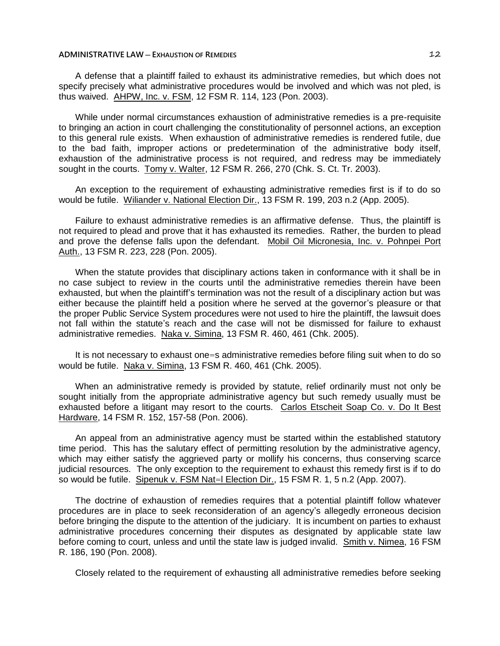## **ADMINISTRATIVE LAW ─ EXHAUSTION OF REMEDIES** 12

A defense that a plaintiff failed to exhaust its administrative remedies, but which does not specify precisely what administrative procedures would be involved and which was not pled, is thus waived. AHPW, Inc. v. FSM, 12 FSM R. 114, 123 (Pon. 2003).

While under normal circumstances exhaustion of administrative remedies is a pre-requisite to bringing an action in court challenging the constitutionality of personnel actions, an exception to this general rule exists. When exhaustion of administrative remedies is rendered futile, due to the bad faith, improper actions or predetermination of the administrative body itself, exhaustion of the administrative process is not required, and redress may be immediately sought in the courts. Tomy v. Walter, 12 FSM R. 266, 270 (Chk. S. Ct. Tr. 2003).

An exception to the requirement of exhausting administrative remedies first is if to do so would be futile. Wiliander v. National Election Dir., 13 FSM R. 199, 203 n.2 (App. 2005).

Failure to exhaust administrative remedies is an affirmative defense. Thus, the plaintiff is not required to plead and prove that it has exhausted its remedies. Rather, the burden to plead and prove the defense falls upon the defendant. Mobil Oil Micronesia, Inc. v. Pohnpei Port Auth., 13 FSM R. 223, 228 (Pon. 2005).

When the statute provides that disciplinary actions taken in conformance with it shall be in no case subject to review in the courts until the administrative remedies therein have been exhausted, but when the plaintiff's termination was not the result of a disciplinary action but was either because the plaintiff held a position where he served at the governor's pleasure or that the proper Public Service System procedures were not used to hire the plaintiff, the lawsuit does not fall within the statute's reach and the case will not be dismissed for failure to exhaust administrative remedies. Naka v. Simina, 13 FSM R. 460, 461 (Chk. 2005).

It is not necessary to exhaust one=s administrative remedies before filing suit when to do so would be futile. Naka v. Simina, 13 FSM R. 460, 461 (Chk. 2005).

When an administrative remedy is provided by statute, relief ordinarily must not only be sought initially from the appropriate administrative agency but such remedy usually must be exhausted before a litigant may resort to the courts. Carlos Etscheit Soap Co. v. Do It Best Hardware, 14 FSM R. 152, 157-58 (Pon. 2006).

An appeal from an administrative agency must be started within the established statutory time period. This has the salutary effect of permitting resolution by the administrative agency, which may either satisfy the aggrieved party or mollify his concerns, thus conserving scarce judicial resources. The only exception to the requirement to exhaust this remedy first is if to do so would be futile. Sipenuk v. FSM Nat=l Election Dir., 15 FSM R. 1, 5 n.2 (App. 2007).

The doctrine of exhaustion of remedies requires that a potential plaintiff follow whatever procedures are in place to seek reconsideration of an agency's allegedly erroneous decision before bringing the dispute to the attention of the judiciary. It is incumbent on parties to exhaust administrative procedures concerning their disputes as designated by applicable state law before coming to court, unless and until the state law is judged invalid. Smith v. Nimea, 16 FSM R. 186, 190 (Pon. 2008).

Closely related to the requirement of exhausting all administrative remedies before seeking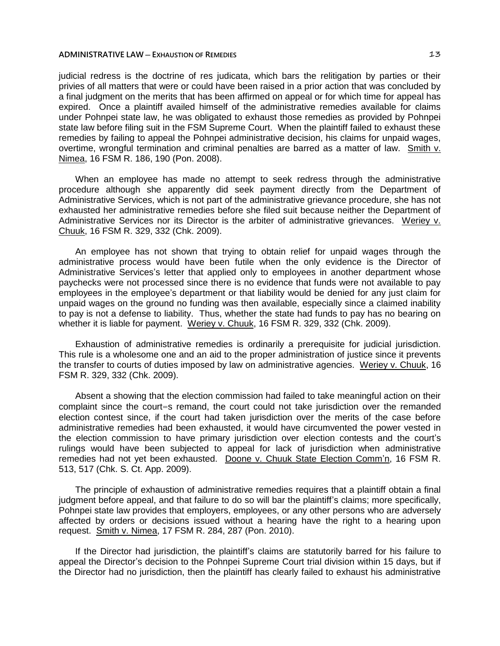## **ADMINISTRATIVE LAW** — EXHAUSTION OF REMEDIES **13**

judicial redress is the doctrine of res judicata, which bars the relitigation by parties or their privies of all matters that were or could have been raised in a prior action that was concluded by a final judgment on the merits that has been affirmed on appeal or for which time for appeal has expired. Once a plaintiff availed himself of the administrative remedies available for claims under Pohnpei state law, he was obligated to exhaust those remedies as provided by Pohnpei state law before filing suit in the FSM Supreme Court. When the plaintiff failed to exhaust these remedies by failing to appeal the Pohnpei administrative decision, his claims for unpaid wages, overtime, wrongful termination and criminal penalties are barred as a matter of law. Smith v. Nimea, 16 FSM R. 186, 190 (Pon. 2008).

When an employee has made no attempt to seek redress through the administrative procedure although she apparently did seek payment directly from the Department of Administrative Services, which is not part of the administrative grievance procedure, she has not exhausted her administrative remedies before she filed suit because neither the Department of Administrative Services nor its Director is the arbiter of administrative grievances. Weriey v. Chuuk, 16 FSM R. 329, 332 (Chk. 2009).

An employee has not shown that trying to obtain relief for unpaid wages through the administrative process would have been futile when the only evidence is the Director of Administrative Services's letter that applied only to employees in another department whose paychecks were not processed since there is no evidence that funds were not available to pay employees in the employee's department or that liability would be denied for any just claim for unpaid wages on the ground no funding was then available, especially since a claimed inability to pay is not a defense to liability. Thus, whether the state had funds to pay has no bearing on whether it is liable for payment. Weriey v. Chuuk, 16 FSM R. 329, 332 (Chk. 2009).

Exhaustion of administrative remedies is ordinarily a prerequisite for judicial jurisdiction. This rule is a wholesome one and an aid to the proper administration of justice since it prevents the transfer to courts of duties imposed by law on administrative agencies. Weriey v. Chuuk, 16 FSM R. 329, 332 (Chk. 2009).

Absent a showing that the election commission had failed to take meaningful action on their complaint since the court=s remand, the court could not take jurisdiction over the remanded election contest since, if the court had taken jurisdiction over the merits of the case before administrative remedies had been exhausted, it would have circumvented the power vested in the election commission to have primary jurisdiction over election contests and the court's rulings would have been subjected to appeal for lack of jurisdiction when administrative remedies had not yet been exhausted. Doone v. Chuuk State Election Comm'n, 16 FSM R. 513, 517 (Chk. S. Ct. App. 2009).

The principle of exhaustion of administrative remedies requires that a plaintiff obtain a final judgment before appeal, and that failure to do so will bar the plaintiff's claims; more specifically, Pohnpei state law provides that employers, employees, or any other persons who are adversely affected by orders or decisions issued without a hearing have the right to a hearing upon request. Smith v. Nimea, 17 FSM R. 284, 287 (Pon. 2010).

If the Director had jurisdiction, the plaintiff's claims are statutorily barred for his failure to appeal the Director's decision to the Pohnpei Supreme Court trial division within 15 days, but if the Director had no jurisdiction, then the plaintiff has clearly failed to exhaust his administrative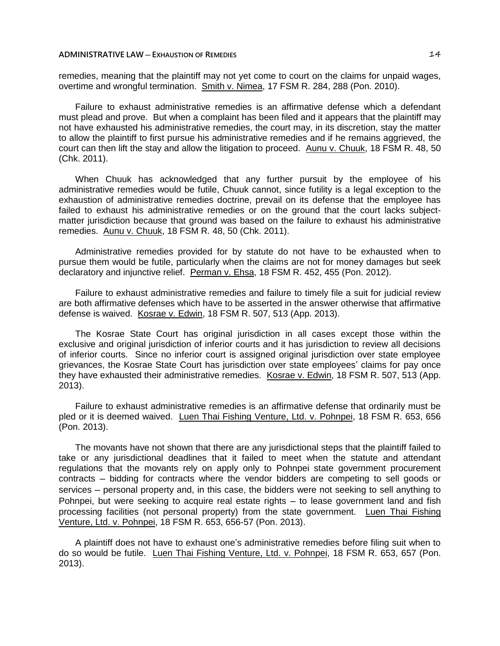## **ADMINISTRATIVE LAW ─ EXHAUSTION OF REMEDIES** 14

remedies, meaning that the plaintiff may not yet come to court on the claims for unpaid wages, overtime and wrongful termination. Smith v. Nimea, 17 FSM R. 284, 288 (Pon. 2010).

Failure to exhaust administrative remedies is an affirmative defense which a defendant must plead and prove. But when a complaint has been filed and it appears that the plaintiff may not have exhausted his administrative remedies, the court may, in its discretion, stay the matter to allow the plaintiff to first pursue his administrative remedies and if he remains aggrieved, the court can then lift the stay and allow the litigation to proceed. Aunu v. Chuuk, 18 FSM R. 48, 50 (Chk. 2011).

When Chuuk has acknowledged that any further pursuit by the employee of his administrative remedies would be futile, Chuuk cannot, since futility is a legal exception to the exhaustion of administrative remedies doctrine, prevail on its defense that the employee has failed to exhaust his administrative remedies or on the ground that the court lacks subjectmatter jurisdiction because that ground was based on the failure to exhaust his administrative remedies. Aunu v. Chuuk, 18 FSM R. 48, 50 (Chk. 2011).

Administrative remedies provided for by statute do not have to be exhausted when to pursue them would be futile, particularly when the claims are not for money damages but seek declaratory and injunctive relief. Perman v. Ehsa, 18 FSM R. 452, 455 (Pon. 2012).

Failure to exhaust administrative remedies and failure to timely file a suit for judicial review are both affirmative defenses which have to be asserted in the answer otherwise that affirmative defense is waived. Kosrae v. Edwin, 18 FSM R. 507, 513 (App. 2013).

The Kosrae State Court has original jurisdiction in all cases except those within the exclusive and original jurisdiction of inferior courts and it has jurisdiction to review all decisions of inferior courts. Since no inferior court is assigned original jurisdiction over state employee grievances, the Kosrae State Court has jurisdiction over state employees' claims for pay once they have exhausted their administrative remedies. Kosrae v. Edwin, 18 FSM R. 507, 513 (App. 2013).

Failure to exhaust administrative remedies is an affirmative defense that ordinarily must be pled or it is deemed waived. Luen Thai Fishing Venture, Ltd. v. Pohnpei, 18 FSM R. 653, 656 (Pon. 2013).

The movants have not shown that there are any jurisdictional steps that the plaintiff failed to take or any jurisdictional deadlines that it failed to meet when the statute and attendant regulations that the movants rely on apply only to Pohnpei state government procurement contracts ─ bidding for contracts where the vendor bidders are competing to sell goods or services – personal property and, in this case, the bidders were not seeking to sell anything to Pohnpei, but were seeking to acquire real estate rights – to lease government land and fish processing facilities (not personal property) from the state government. Luen Thai Fishing Venture, Ltd. v. Pohnpei, 18 FSM R. 653, 656-57 (Pon. 2013).

A plaintiff does not have to exhaust one's administrative remedies before filing suit when to do so would be futile. Luen Thai Fishing Venture, Ltd. v. Pohnpei, 18 FSM R. 653, 657 (Pon. 2013).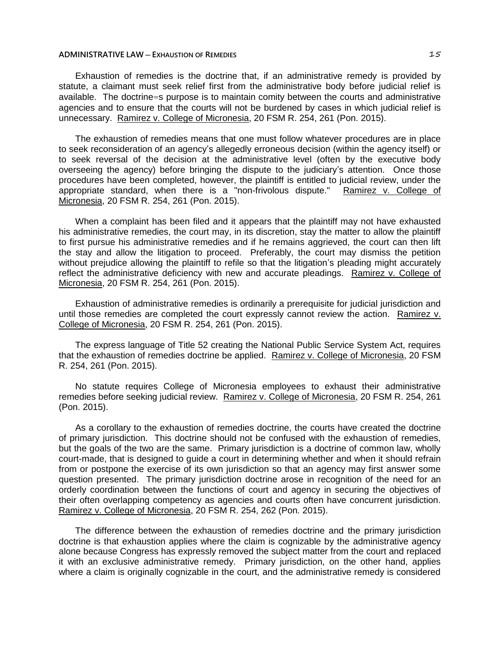## **ADMINISTRATIVE LAW** — EXHAUSTION OF REMEDIES **15**

Exhaustion of remedies is the doctrine that, if an administrative remedy is provided by statute, a claimant must seek relief first from the administrative body before judicial relief is available. The doctrine=s purpose is to maintain comity between the courts and administrative agencies and to ensure that the courts will not be burdened by cases in which judicial relief is unnecessary. Ramirez v. College of Micronesia, 20 FSM R. 254, 261 (Pon. 2015).

The exhaustion of remedies means that one must follow whatever procedures are in place to seek reconsideration of an agency's allegedly erroneous decision (within the agency itself) or to seek reversal of the decision at the administrative level (often by the executive body overseeing the agency) before bringing the dispute to the judiciary's attention. Once those procedures have been completed, however, the plaintiff is entitled to judicial review, under the appropriate standard, when there is a "non-frivolous dispute." Ramirez v. College of Micronesia, 20 FSM R. 254, 261 (Pon. 2015).

When a complaint has been filed and it appears that the plaintiff may not have exhausted his administrative remedies, the court may, in its discretion, stay the matter to allow the plaintiff to first pursue his administrative remedies and if he remains aggrieved, the court can then lift the stay and allow the litigation to proceed. Preferably, the court may dismiss the petition without prejudice allowing the plaintiff to refile so that the litigation's pleading might accurately reflect the administrative deficiency with new and accurate pleadings. Ramirez v. College of Micronesia, 20 FSM R. 254, 261 (Pon. 2015).

Exhaustion of administrative remedies is ordinarily a prerequisite for judicial jurisdiction and until those remedies are completed the court expressly cannot review the action. Ramirez v. College of Micronesia, 20 FSM R. 254, 261 (Pon. 2015).

The express language of Title 52 creating the National Public Service System Act, requires that the exhaustion of remedies doctrine be applied. Ramirez v. College of Micronesia, 20 FSM R. 254, 261 (Pon. 2015).

No statute requires College of Micronesia employees to exhaust their administrative remedies before seeking judicial review. Ramirez v. College of Micronesia, 20 FSM R. 254, 261 (Pon. 2015).

As a corollary to the exhaustion of remedies doctrine, the courts have created the doctrine of primary jurisdiction. This doctrine should not be confused with the exhaustion of remedies, but the goals of the two are the same. Primary jurisdiction is a doctrine of common law, wholly court-made, that is designed to guide a court in determining whether and when it should refrain from or postpone the exercise of its own jurisdiction so that an agency may first answer some question presented. The primary jurisdiction doctrine arose in recognition of the need for an orderly coordination between the functions of court and agency in securing the objectives of their often overlapping competency as agencies and courts often have concurrent jurisdiction. Ramirez v. College of Micronesia, 20 FSM R. 254, 262 (Pon. 2015).

The difference between the exhaustion of remedies doctrine and the primary jurisdiction doctrine is that exhaustion applies where the claim is cognizable by the administrative agency alone because Congress has expressly removed the subject matter from the court and replaced it with an exclusive administrative remedy. Primary jurisdiction, on the other hand, applies where a claim is originally cognizable in the court, and the administrative remedy is considered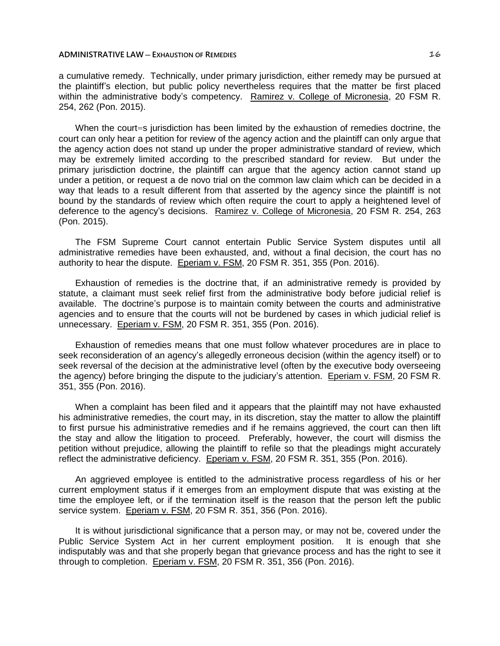#### **ADMINISTRATIVE LAW ─ EXHAUSTION OF REMEDIES** 16

a cumulative remedy. Technically, under primary jurisdiction, either remedy may be pursued at the plaintiff's election, but public policy nevertheless requires that the matter be first placed within the administrative body's competency. Ramirez v. College of Micronesia, 20 FSM R. 254, 262 (Pon. 2015).

When the court=s jurisdiction has been limited by the exhaustion of remedies doctrine, the court can only hear a petition for review of the agency action and the plaintiff can only argue that the agency action does not stand up under the proper administrative standard of review, which may be extremely limited according to the prescribed standard for review. But under the primary jurisdiction doctrine, the plaintiff can argue that the agency action cannot stand up under a petition, or request a de novo trial on the common law claim which can be decided in a way that leads to a result different from that asserted by the agency since the plaintiff is not bound by the standards of review which often require the court to apply a heightened level of deference to the agency's decisions. Ramirez v. College of Micronesia, 20 FSM R. 254, 263 (Pon. 2015).

The FSM Supreme Court cannot entertain Public Service System disputes until all administrative remedies have been exhausted, and, without a final decision, the court has no authority to hear the dispute. Eperiam v. FSM, 20 FSM R. 351, 355 (Pon. 2016).

Exhaustion of remedies is the doctrine that, if an administrative remedy is provided by statute, a claimant must seek relief first from the administrative body before judicial relief is available. The doctrine's purpose is to maintain comity between the courts and administrative agencies and to ensure that the courts will not be burdened by cases in which judicial relief is unnecessary. Eperiam v. FSM, 20 FSM R. 351, 355 (Pon. 2016).

Exhaustion of remedies means that one must follow whatever procedures are in place to seek reconsideration of an agency's allegedly erroneous decision (within the agency itself) or to seek reversal of the decision at the administrative level (often by the executive body overseeing the agency) before bringing the dispute to the judiciary's attention. Eperiam v. FSM, 20 FSM R. 351, 355 (Pon. 2016).

When a complaint has been filed and it appears that the plaintiff may not have exhausted his administrative remedies, the court may, in its discretion, stay the matter to allow the plaintiff to first pursue his administrative remedies and if he remains aggrieved, the court can then lift the stay and allow the litigation to proceed. Preferably, however, the court will dismiss the petition without prejudice, allowing the plaintiff to refile so that the pleadings might accurately reflect the administrative deficiency. Eperiam v. FSM, 20 FSM R. 351, 355 (Pon. 2016).

An aggrieved employee is entitled to the administrative process regardless of his or her current employment status if it emerges from an employment dispute that was existing at the time the employee left, or if the termination itself is the reason that the person left the public service system. Eperiam v. FSM, 20 FSM R. 351, 356 (Pon. 2016).

It is without jurisdictional significance that a person may, or may not be, covered under the Public Service System Act in her current employment position. It is enough that she indisputably was and that she properly began that grievance process and has the right to see it through to completion. Eperiam v. FSM, 20 FSM R. 351, 356 (Pon. 2016).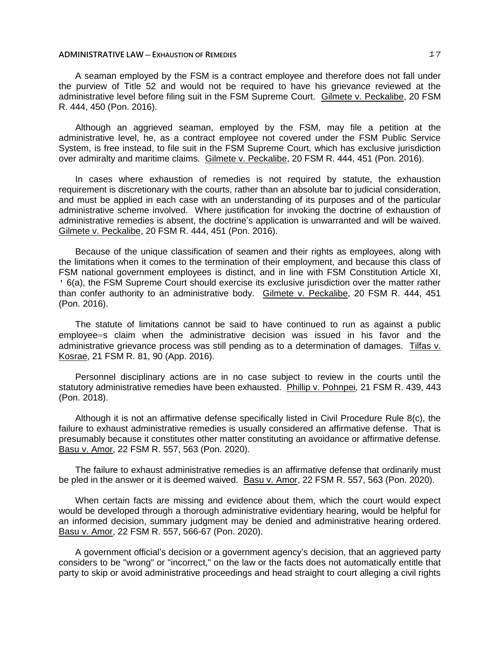#### **ADMINISTRATIVE LAW** — EXHAUSTION OF REMEDIES **17**

A seaman employed by the FSM is a contract employee and therefore does not fall under the purview of Title 52 and would not be required to have his grievance reviewed at the administrative level before filing suit in the FSM Supreme Court. Gilmete v. Peckalibe, 20 FSM R. 444, 450 (Pon. 2016).

Although an aggrieved seaman, employed by the FSM, may file a petition at the administrative level, he, as a contract employee not covered under the FSM Public Service System, is free instead, to file suit in the FSM Supreme Court, which has exclusive jurisdiction over admiralty and maritime claims. Gilmete v. Peckalibe, 20 FSM R. 444, 451 (Pon. 2016).

In cases where exhaustion of remedies is not required by statute, the exhaustion requirement is discretionary with the courts, rather than an absolute bar to judicial consideration, and must be applied in each case with an understanding of its purposes and of the particular administrative scheme involved. Where justification for invoking the doctrine of exhaustion of administrative remedies is absent, the doctrine's application is unwarranted and will be waived. Gilmete v. Peckalibe, 20 FSM R. 444, 451 (Pon. 2016).

Because of the unique classification of seamen and their rights as employees, along with the limitations when it comes to the termination of their employment, and because this class of FSM national government employees is distinct, and in line with FSM Constitution Article XI, ' 6(a), the FSM Supreme Court should exercise its exclusive jurisdiction over the matter rather than confer authority to an administrative body. Gilmete v. Peckalibe, 20 FSM R. 444, 451 (Pon. 2016).

The statute of limitations cannot be said to have continued to run as against a public employee=s claim when the administrative decision was issued in his favor and the administrative grievance process was still pending as to a determination of damages. Tilfas v. Kosrae, 21 FSM R. 81, 90 (App. 2016).

Personnel disciplinary actions are in no case subject to review in the courts until the statutory administrative remedies have been exhausted. Phillip v. Pohnpei, 21 FSM R. 439, 443 (Pon. 2018).

Although it is not an affirmative defense specifically listed in Civil Procedure Rule 8(c), the failure to exhaust administrative remedies is usually considered an affirmative defense. That is presumably because it constitutes other matter constituting an avoidance or affirmative defense. Basu v. Amor, 22 FSM R. 557, 563 (Pon. 2020).

The failure to exhaust administrative remedies is an affirmative defense that ordinarily must be pled in the answer or it is deemed waived. Basu v. Amor, 22 FSM R. 557, 563 (Pon. 2020).

When certain facts are missing and evidence about them, which the court would expect would be developed through a thorough administrative evidentiary hearing, would be helpful for an informed decision, summary judgment may be denied and administrative hearing ordered. Basu v. Amor, 22 FSM R. 557, 566-67 (Pon. 2020).

A government official's decision or a government agency's decision, that an aggrieved party considers to be "wrong" or "incorrect," on the law or the facts does not automatically entitle that party to skip or avoid administrative proceedings and head straight to court alleging a civil rights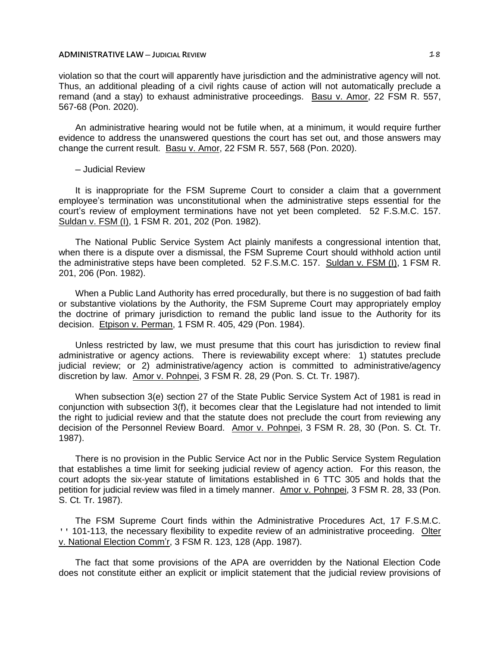violation so that the court will apparently have jurisdiction and the administrative agency will not. Thus, an additional pleading of a civil rights cause of action will not automatically preclude a remand (and a stay) to exhaust administrative proceedings. Basu v. Amor, 22 FSM R. 557, 567-68 (Pon. 2020).

An administrative hearing would not be futile when, at a minimum, it would require further evidence to address the unanswered questions the court has set out, and those answers may change the current result. Basu v. Amor, 22 FSM R. 557, 568 (Pon. 2020).

#### ─ Judicial Review

It is inappropriate for the FSM Supreme Court to consider a claim that a government employee's termination was unconstitutional when the administrative steps essential for the court's review of employment terminations have not yet been completed. 52 F.S.M.C. 157. Suldan v. FSM (I), 1 FSM R. 201, 202 (Pon. 1982).

The National Public Service System Act plainly manifests a congressional intention that, when there is a dispute over a dismissal, the FSM Supreme Court should withhold action until the administrative steps have been completed. 52 F.S.M.C. 157. Suldan v. FSM (I), 1 FSM R. 201, 206 (Pon. 1982).

When a Public Land Authority has erred procedurally, but there is no suggestion of bad faith or substantive violations by the Authority, the FSM Supreme Court may appropriately employ the doctrine of primary jurisdiction to remand the public land issue to the Authority for its decision. Etpison v. Perman, 1 FSM R. 405, 429 (Pon. 1984).

Unless restricted by law, we must presume that this court has jurisdiction to review final administrative or agency actions. There is reviewability except where: 1) statutes preclude judicial review; or 2) administrative/agency action is committed to administrative/agency discretion by law. Amor v. Pohnpei, 3 FSM R. 28, 29 (Pon. S. Ct. Tr. 1987).

When subsection 3(e) section 27 of the State Public Service System Act of 1981 is read in conjunction with subsection 3(f), it becomes clear that the Legislature had not intended to limit the right to judicial review and that the statute does not preclude the court from reviewing any decision of the Personnel Review Board. Amor v. Pohnpei, 3 FSM R. 28, 30 (Pon. S. Ct. Tr. 1987).

There is no provision in the Public Service Act nor in the Public Service System Regulation that establishes a time limit for seeking judicial review of agency action. For this reason, the court adopts the six-year statute of limitations established in 6 TTC 305 and holds that the petition for judicial review was filed in a timely manner. Amor v. Pohnpei, 3 FSM R. 28, 33 (Pon. S. Ct. Tr. 1987).

The FSM Supreme Court finds within the Administrative Procedures Act, 17 F.S.M.C. ' 101-113, the necessary flexibility to expedite review of an administrative proceeding. Olter v. National Election Comm'r, 3 FSM R. 123, 128 (App. 1987).

The fact that some provisions of the APA are overridden by the National Election Code does not constitute either an explicit or implicit statement that the judicial review provisions of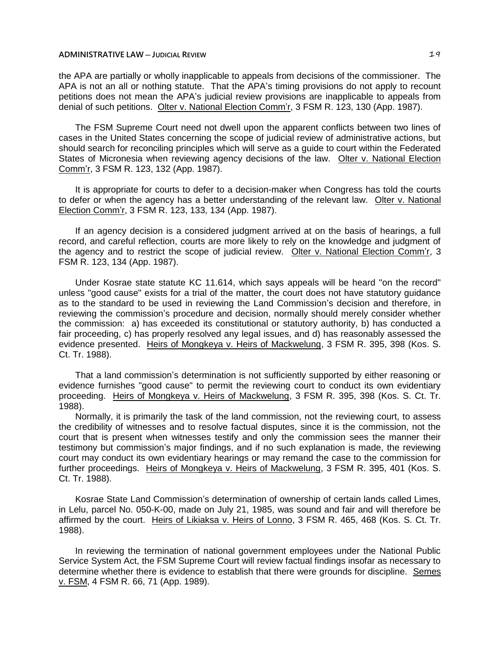the APA are partially or wholly inapplicable to appeals from decisions of the commissioner. The APA is not an all or nothing statute. That the APA's timing provisions do not apply to recount petitions does not mean the APA's judicial review provisions are inapplicable to appeals from denial of such petitions. Olter v. National Election Comm'r, 3 FSM R. 123, 130 (App. 1987).

The FSM Supreme Court need not dwell upon the apparent conflicts between two lines of cases in the United States concerning the scope of judicial review of administrative actions, but should search for reconciling principles which will serve as a guide to court within the Federated States of Micronesia when reviewing agency decisions of the law. Olter v. National Election Comm'r, 3 FSM R. 123, 132 (App. 1987).

It is appropriate for courts to defer to a decision-maker when Congress has told the courts to defer or when the agency has a better understanding of the relevant law. Olter v. National Election Comm'r, 3 FSM R. 123, 133, 134 (App. 1987).

If an agency decision is a considered judgment arrived at on the basis of hearings, a full record, and careful reflection, courts are more likely to rely on the knowledge and judgment of the agency and to restrict the scope of judicial review. Olter v. National Election Comm'r, 3 FSM R. 123, 134 (App. 1987).

Under Kosrae state statute KC 11.614, which says appeals will be heard "on the record" unless "good cause" exists for a trial of the matter, the court does not have statutory guidance as to the standard to be used in reviewing the Land Commission's decision and therefore, in reviewing the commission's procedure and decision, normally should merely consider whether the commission: a) has exceeded its constitutional or statutory authority, b) has conducted a fair proceeding, c) has properly resolved any legal issues, and d) has reasonably assessed the evidence presented. Heirs of Mongkeya v. Heirs of Mackwelung, 3 FSM R. 395, 398 (Kos. S. Ct. Tr. 1988).

That a land commission's determination is not sufficiently supported by either reasoning or evidence furnishes "good cause" to permit the reviewing court to conduct its own evidentiary proceeding. Heirs of Mongkeya v. Heirs of Mackwelung, 3 FSM R. 395, 398 (Kos. S. Ct. Tr. 1988).

Normally, it is primarily the task of the land commission, not the reviewing court, to assess the credibility of witnesses and to resolve factual disputes, since it is the commission, not the court that is present when witnesses testify and only the commission sees the manner their testimony but commission's major findings, and if no such explanation is made, the reviewing court may conduct its own evidentiary hearings or may remand the case to the commission for further proceedings. Heirs of Mongkeya v. Heirs of Mackwelung, 3 FSM R. 395, 401 (Kos. S. Ct. Tr. 1988).

Kosrae State Land Commission's determination of ownership of certain lands called Limes, in Lelu, parcel No. 050-K-00, made on July 21, 1985, was sound and fair and will therefore be affirmed by the court. Heirs of Likiaksa v. Heirs of Lonno, 3 FSM R. 465, 468 (Kos. S. Ct. Tr. 1988).

In reviewing the termination of national government employees under the National Public Service System Act, the FSM Supreme Court will review factual findings insofar as necessary to determine whether there is evidence to establish that there were grounds for discipline. Semes v. FSM, 4 FSM R. 66, 71 (App. 1989).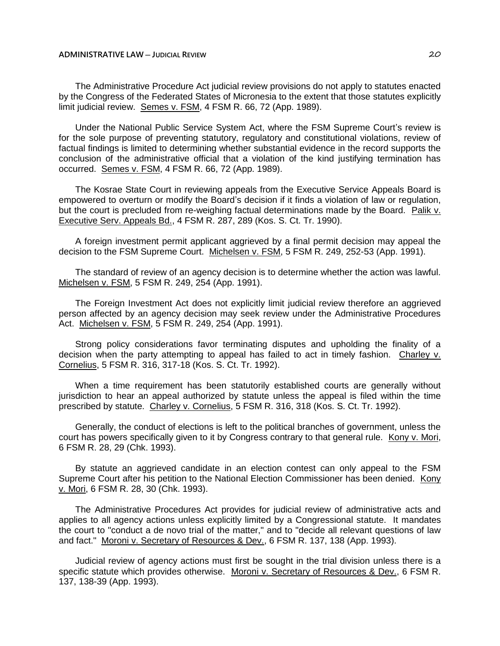The Administrative Procedure Act judicial review provisions do not apply to statutes enacted by the Congress of the Federated States of Micronesia to the extent that those statutes explicitly limit judicial review. Semes v. FSM, 4 FSM R. 66, 72 (App. 1989).

Under the National Public Service System Act, where the FSM Supreme Court's review is for the sole purpose of preventing statutory, regulatory and constitutional violations, review of factual findings is limited to determining whether substantial evidence in the record supports the conclusion of the administrative official that a violation of the kind justifying termination has occurred. Semes v. FSM, 4 FSM R. 66, 72 (App. 1989).

The Kosrae State Court in reviewing appeals from the Executive Service Appeals Board is empowered to overturn or modify the Board's decision if it finds a violation of law or regulation, but the court is precluded from re-weighing factual determinations made by the Board. Palik v. Executive Serv. Appeals Bd., 4 FSM R. 287, 289 (Kos. S. Ct. Tr. 1990).

A foreign investment permit applicant aggrieved by a final permit decision may appeal the decision to the FSM Supreme Court. Michelsen v. FSM, 5 FSM R. 249, 252-53 (App. 1991).

The standard of review of an agency decision is to determine whether the action was lawful. Michelsen v. FSM, 5 FSM R. 249, 254 (App. 1991).

The Foreign Investment Act does not explicitly limit judicial review therefore an aggrieved person affected by an agency decision may seek review under the Administrative Procedures Act. Michelsen v. FSM, 5 FSM R. 249, 254 (App. 1991).

Strong policy considerations favor terminating disputes and upholding the finality of a decision when the party attempting to appeal has failed to act in timely fashion. Charley v. Cornelius, 5 FSM R. 316, 317-18 (Kos. S. Ct. Tr. 1992).

When a time requirement has been statutorily established courts are generally without jurisdiction to hear an appeal authorized by statute unless the appeal is filed within the time prescribed by statute. Charley v. Cornelius, 5 FSM R. 316, 318 (Kos. S. Ct. Tr. 1992).

Generally, the conduct of elections is left to the political branches of government, unless the court has powers specifically given to it by Congress contrary to that general rule. Kony v. Mori, 6 FSM R. 28, 29 (Chk. 1993).

By statute an aggrieved candidate in an election contest can only appeal to the FSM Supreme Court after his petition to the National Election Commissioner has been denied. Kony v. Mori, 6 FSM R. 28, 30 (Chk. 1993).

The Administrative Procedures Act provides for judicial review of administrative acts and applies to all agency actions unless explicitly limited by a Congressional statute. It mandates the court to "conduct a de novo trial of the matter," and to "decide all relevant questions of law and fact." Moroni v. Secretary of Resources & Dev., 6 FSM R. 137, 138 (App. 1993).

Judicial review of agency actions must first be sought in the trial division unless there is a specific statute which provides otherwise. Moroni v. Secretary of Resources & Dev., 6 FSM R. 137, 138-39 (App. 1993).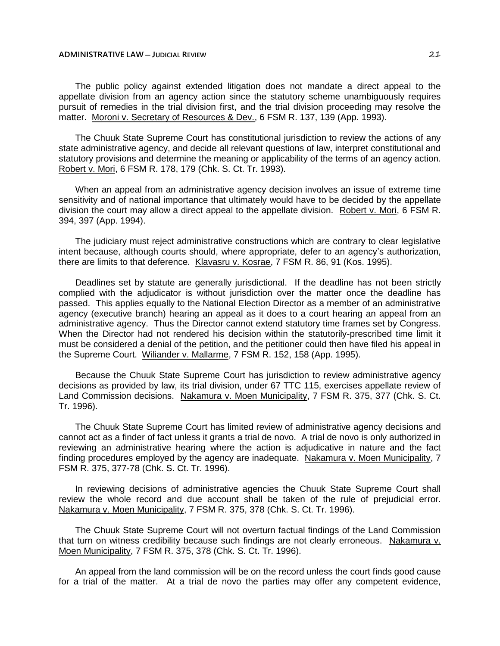The public policy against extended litigation does not mandate a direct appeal to the appellate division from an agency action since the statutory scheme unambiguously requires pursuit of remedies in the trial division first, and the trial division proceeding may resolve the matter. Moroni v. Secretary of Resources & Dev., 6 FSM R. 137, 139 (App. 1993).

The Chuuk State Supreme Court has constitutional jurisdiction to review the actions of any state administrative agency, and decide all relevant questions of law, interpret constitutional and statutory provisions and determine the meaning or applicability of the terms of an agency action. Robert v. Mori, 6 FSM R. 178, 179 (Chk. S. Ct. Tr. 1993).

When an appeal from an administrative agency decision involves an issue of extreme time sensitivity and of national importance that ultimately would have to be decided by the appellate division the court may allow a direct appeal to the appellate division. Robert v. Mori, 6 FSM R. 394, 397 (App. 1994).

The judiciary must reject administrative constructions which are contrary to clear legislative intent because, although courts should, where appropriate, defer to an agency's authorization, there are limits to that deference. Klavasru v. Kosrae, 7 FSM R. 86, 91 (Kos. 1995).

Deadlines set by statute are generally jurisdictional. If the deadline has not been strictly complied with the adjudicator is without jurisdiction over the matter once the deadline has passed. This applies equally to the National Election Director as a member of an administrative agency (executive branch) hearing an appeal as it does to a court hearing an appeal from an administrative agency. Thus the Director cannot extend statutory time frames set by Congress. When the Director had not rendered his decision within the statutorily-prescribed time limit it must be considered a denial of the petition, and the petitioner could then have filed his appeal in the Supreme Court. Wiliander v. Mallarme, 7 FSM R. 152, 158 (App. 1995).

Because the Chuuk State Supreme Court has jurisdiction to review administrative agency decisions as provided by law, its trial division, under 67 TTC 115, exercises appellate review of Land Commission decisions. Nakamura v. Moen Municipality, 7 FSM R. 375, 377 (Chk. S. Ct. Tr. 1996).

The Chuuk State Supreme Court has limited review of administrative agency decisions and cannot act as a finder of fact unless it grants a trial de novo. A trial de novo is only authorized in reviewing an administrative hearing where the action is adjudicative in nature and the fact finding procedures employed by the agency are inadequate. Nakamura v. Moen Municipality, 7 FSM R. 375, 377-78 (Chk. S. Ct. Tr. 1996).

In reviewing decisions of administrative agencies the Chuuk State Supreme Court shall review the whole record and due account shall be taken of the rule of prejudicial error. Nakamura v. Moen Municipality, 7 FSM R. 375, 378 (Chk. S. Ct. Tr. 1996).

The Chuuk State Supreme Court will not overturn factual findings of the Land Commission that turn on witness credibility because such findings are not clearly erroneous. Nakamura v. Moen Municipality, 7 FSM R. 375, 378 (Chk. S. Ct. Tr. 1996).

An appeal from the land commission will be on the record unless the court finds good cause for a trial of the matter. At a trial de novo the parties may offer any competent evidence,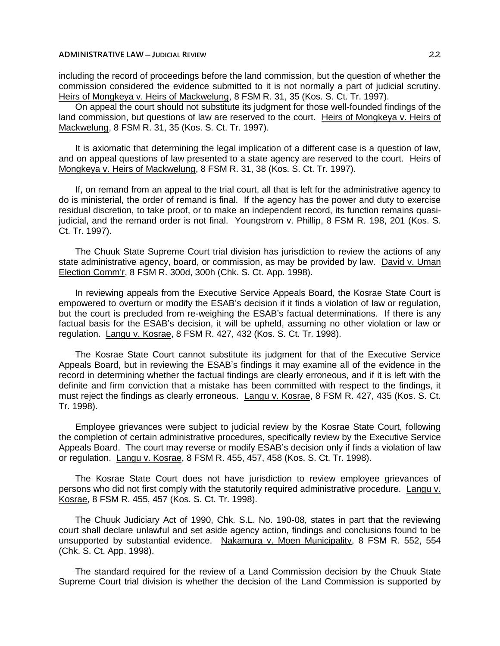including the record of proceedings before the land commission, but the question of whether the commission considered the evidence submitted to it is not normally a part of judicial scrutiny. Heirs of Mongkeya v. Heirs of Mackwelung, 8 FSM R. 31, 35 (Kos. S. Ct. Tr. 1997).

On appeal the court should not substitute its judgment for those well-founded findings of the land commission, but questions of law are reserved to the court. Heirs of Mongkeya v. Heirs of Mackwelung, 8 FSM R. 31, 35 (Kos. S. Ct. Tr. 1997).

It is axiomatic that determining the legal implication of a different case is a question of law, and on appeal questions of law presented to a state agency are reserved to the court. Heirs of Mongkeya v. Heirs of Mackwelung, 8 FSM R. 31, 38 (Kos. S. Ct. Tr. 1997).

If, on remand from an appeal to the trial court, all that is left for the administrative agency to do is ministerial, the order of remand is final. If the agency has the power and duty to exercise residual discretion, to take proof, or to make an independent record, its function remains quasijudicial, and the remand order is not final. Youngstrom v. Phillip, 8 FSM R. 198, 201 (Kos. S. Ct. Tr. 1997).

The Chuuk State Supreme Court trial division has jurisdiction to review the actions of any state administrative agency, board, or commission, as may be provided by law. David v. Uman Election Comm'r, 8 FSM R. 300d, 300h (Chk. S. Ct. App. 1998).

In reviewing appeals from the Executive Service Appeals Board, the Kosrae State Court is empowered to overturn or modify the ESAB's decision if it finds a violation of law or regulation, but the court is precluded from re-weighing the ESAB's factual determinations. If there is any factual basis for the ESAB's decision, it will be upheld, assuming no other violation or law or regulation. Langu v. Kosrae, 8 FSM R. 427, 432 (Kos. S. Ct. Tr. 1998).

The Kosrae State Court cannot substitute its judgment for that of the Executive Service Appeals Board, but in reviewing the ESAB's findings it may examine all of the evidence in the record in determining whether the factual findings are clearly erroneous, and if it is left with the definite and firm conviction that a mistake has been committed with respect to the findings, it must reject the findings as clearly erroneous. Langu v. Kosrae, 8 FSM R. 427, 435 (Kos. S. Ct. Tr. 1998).

Employee grievances were subject to judicial review by the Kosrae State Court, following the completion of certain administrative procedures, specifically review by the Executive Service Appeals Board. The court may reverse or modify ESAB's decision only if finds a violation of law or regulation. Langu v. Kosrae, 8 FSM R. 455, 457, 458 (Kos. S. Ct. Tr. 1998).

The Kosrae State Court does not have jurisdiction to review employee grievances of persons who did not first comply with the statutorily required administrative procedure. Langu v. Kosrae, 8 FSM R. 455, 457 (Kos. S. Ct. Tr. 1998).

The Chuuk Judiciary Act of 1990, Chk. S.L. No. 190-08, states in part that the reviewing court shall declare unlawful and set aside agency action, findings and conclusions found to be unsupported by substantial evidence. Nakamura v. Moen Municipality, 8 FSM R. 552, 554 (Chk. S. Ct. App. 1998).

The standard required for the review of a Land Commission decision by the Chuuk State Supreme Court trial division is whether the decision of the Land Commission is supported by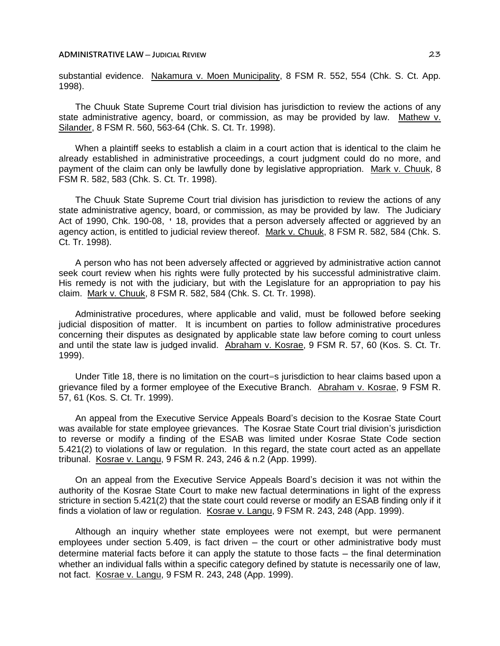substantial evidence. Nakamura v. Moen Municipality, 8 FSM R. 552, 554 (Chk. S. Ct. App. 1998).

The Chuuk State Supreme Court trial division has jurisdiction to review the actions of any state administrative agency, board, or commission, as may be provided by law. Mathew v. Silander, 8 FSM R. 560, 563-64 (Chk. S. Ct. Tr. 1998).

When a plaintiff seeks to establish a claim in a court action that is identical to the claim he already established in administrative proceedings, a court judgment could do no more, and payment of the claim can only be lawfully done by legislative appropriation. Mark v. Chuuk, 8 FSM R. 582, 583 (Chk. S. Ct. Tr. 1998).

The Chuuk State Supreme Court trial division has jurisdiction to review the actions of any state administrative agency, board, or commission, as may be provided by law. The Judiciary Act of 1990, Chk. 190-08, ' 18, provides that a person adversely affected or aggrieved by an agency action, is entitled to judicial review thereof. Mark v. Chuuk, 8 FSM R. 582, 584 (Chk. S. Ct. Tr. 1998).

A person who has not been adversely affected or aggrieved by administrative action cannot seek court review when his rights were fully protected by his successful administrative claim. His remedy is not with the judiciary, but with the Legislature for an appropriation to pay his claim. Mark v. Chuuk, 8 FSM R. 582, 584 (Chk. S. Ct. Tr. 1998).

Administrative procedures, where applicable and valid, must be followed before seeking judicial disposition of matter. It is incumbent on parties to follow administrative procedures concerning their disputes as designated by applicable state law before coming to court unless and until the state law is judged invalid. Abraham v. Kosrae, 9 FSM R. 57, 60 (Kos. S. Ct. Tr. 1999).

Under Title 18, there is no limitation on the court=s jurisdiction to hear claims based upon a grievance filed by a former employee of the Executive Branch. Abraham v. Kosrae, 9 FSM R. 57, 61 (Kos. S. Ct. Tr. 1999).

An appeal from the Executive Service Appeals Board's decision to the Kosrae State Court was available for state employee grievances. The Kosrae State Court trial division's jurisdiction to reverse or modify a finding of the ESAB was limited under Kosrae State Code section 5.421(2) to violations of law or regulation. In this regard, the state court acted as an appellate tribunal. Kosrae v. Langu, 9 FSM R. 243, 246 & n.2 (App. 1999).

On an appeal from the Executive Service Appeals Board's decision it was not within the authority of the Kosrae State Court to make new factual determinations in light of the express stricture in section 5.421(2) that the state court could reverse or modify an ESAB finding only if it finds a violation of law or regulation. Kosrae v. Langu, 9 FSM R. 243, 248 (App. 1999).

Although an inquiry whether state employees were not exempt, but were permanent employees under section 5.409, is fact driven  $-$  the court or other administrative body must determine material facts before it can apply the statute to those facts — the final determination whether an individual falls within a specific category defined by statute is necessarily one of law, not fact. Kosrae v. Langu, 9 FSM R. 243, 248 (App. 1999).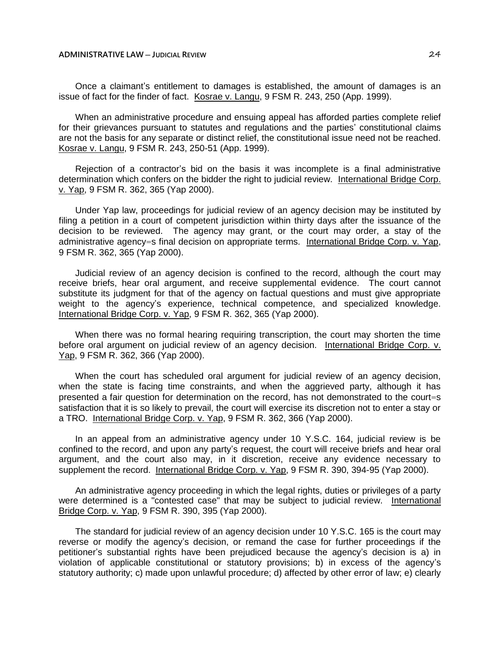Once a claimant's entitlement to damages is established, the amount of damages is an issue of fact for the finder of fact. Kosrae v. Langu, 9 FSM R. 243, 250 (App. 1999).

When an administrative procedure and ensuing appeal has afforded parties complete relief for their grievances pursuant to statutes and regulations and the parties' constitutional claims are not the basis for any separate or distinct relief, the constitutional issue need not be reached. Kosrae v. Langu, 9 FSM R. 243, 250-51 (App. 1999).

Rejection of a contractor's bid on the basis it was incomplete is a final administrative determination which confers on the bidder the right to judicial review. International Bridge Corp. v. Yap, 9 FSM R. 362, 365 (Yap 2000).

Under Yap law, proceedings for judicial review of an agency decision may be instituted by filing a petition in a court of competent jurisdiction within thirty days after the issuance of the decision to be reviewed. The agency may grant, or the court may order, a stay of the administrative agency=s final decision on appropriate terms. International Bridge Corp. v. Yap, 9 FSM R. 362, 365 (Yap 2000).

Judicial review of an agency decision is confined to the record, although the court may receive briefs, hear oral argument, and receive supplemental evidence. The court cannot substitute its judgment for that of the agency on factual questions and must give appropriate weight to the agency's experience, technical competence, and specialized knowledge. International Bridge Corp. v. Yap, 9 FSM R. 362, 365 (Yap 2000).

When there was no formal hearing requiring transcription, the court may shorten the time before oral argument on judicial review of an agency decision. International Bridge Corp. v. Yap, 9 FSM R. 362, 366 (Yap 2000).

When the court has scheduled oral argument for judicial review of an agency decision, when the state is facing time constraints, and when the aggrieved party, although it has presented a fair question for determination on the record, has not demonstrated to the court=s satisfaction that it is so likely to prevail, the court will exercise its discretion not to enter a stay or a TRO. International Bridge Corp. v. Yap, 9 FSM R. 362, 366 (Yap 2000).

In an appeal from an administrative agency under 10 Y.S.C. 164, judicial review is be confined to the record, and upon any party's request, the court will receive briefs and hear oral argument, and the court also may, in it discretion, receive any evidence necessary to supplement the record. International Bridge Corp. v. Yap, 9 FSM R. 390, 394-95 (Yap 2000).

An administrative agency proceeding in which the legal rights, duties or privileges of a party were determined is a "contested case" that may be subject to judicial review. International Bridge Corp. v. Yap, 9 FSM R. 390, 395 (Yap 2000).

The standard for judicial review of an agency decision under 10 Y.S.C. 165 is the court may reverse or modify the agency's decision, or remand the case for further proceedings if the petitioner's substantial rights have been prejudiced because the agency's decision is a) in violation of applicable constitutional or statutory provisions; b) in excess of the agency's statutory authority; c) made upon unlawful procedure; d) affected by other error of law; e) clearly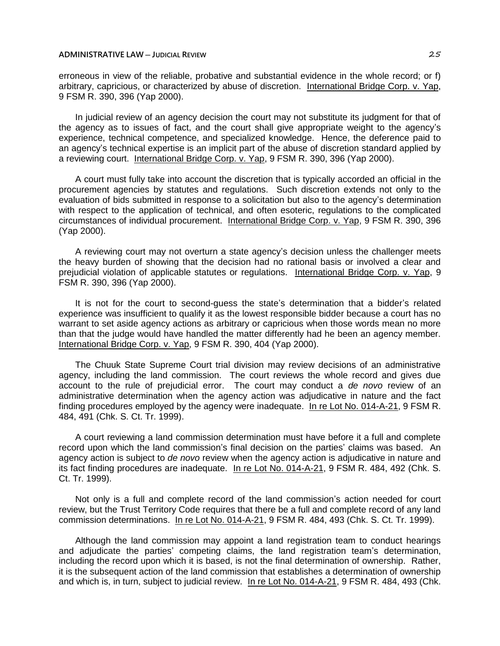erroneous in view of the reliable, probative and substantial evidence in the whole record; or f) arbitrary, capricious, or characterized by abuse of discretion. International Bridge Corp. v. Yap, 9 FSM R. 390, 396 (Yap 2000).

In judicial review of an agency decision the court may not substitute its judgment for that of the agency as to issues of fact, and the court shall give appropriate weight to the agency's experience, technical competence, and specialized knowledge. Hence, the deference paid to an agency's technical expertise is an implicit part of the abuse of discretion standard applied by a reviewing court. International Bridge Corp. v. Yap, 9 FSM R. 390, 396 (Yap 2000).

A court must fully take into account the discretion that is typically accorded an official in the procurement agencies by statutes and regulations. Such discretion extends not only to the evaluation of bids submitted in response to a solicitation but also to the agency's determination with respect to the application of technical, and often esoteric, regulations to the complicated circumstances of individual procurement. International Bridge Corp. v. Yap, 9 FSM R. 390, 396 (Yap 2000).

A reviewing court may not overturn a state agency's decision unless the challenger meets the heavy burden of showing that the decision had no rational basis or involved a clear and prejudicial violation of applicable statutes or regulations. International Bridge Corp. v. Yap, 9 FSM R. 390, 396 (Yap 2000).

It is not for the court to second-guess the state's determination that a bidder's related experience was insufficient to qualify it as the lowest responsible bidder because a court has no warrant to set aside agency actions as arbitrary or capricious when those words mean no more than that the judge would have handled the matter differently had he been an agency member. International Bridge Corp. v. Yap, 9 FSM R. 390, 404 (Yap 2000).

The Chuuk State Supreme Court trial division may review decisions of an administrative agency, including the land commission. The court reviews the whole record and gives due account to the rule of prejudicial error. The court may conduct a *de novo* review of an administrative determination when the agency action was adjudicative in nature and the fact finding procedures employed by the agency were inadequate. In re Lot No. 014-A-21, 9 FSM R. 484, 491 (Chk. S. Ct. Tr. 1999).

A court reviewing a land commission determination must have before it a full and complete record upon which the land commission's final decision on the parties' claims was based. An agency action is subject to *de novo* review when the agency action is adjudicative in nature and its fact finding procedures are inadequate. In re Lot No. 014-A-21, 9 FSM R. 484, 492 (Chk. S. Ct. Tr. 1999).

Not only is a full and complete record of the land commission's action needed for court review, but the Trust Territory Code requires that there be a full and complete record of any land commission determinations. In re Lot No. 014-A-21, 9 FSM R. 484, 493 (Chk. S. Ct. Tr. 1999).

Although the land commission may appoint a land registration team to conduct hearings and adjudicate the parties' competing claims, the land registration team's determination, including the record upon which it is based, is not the final determination of ownership. Rather, it is the subsequent action of the land commission that establishes a determination of ownership and which is, in turn, subject to judicial review. In re Lot No. 014-A-21, 9 FSM R. 484, 493 (Chk.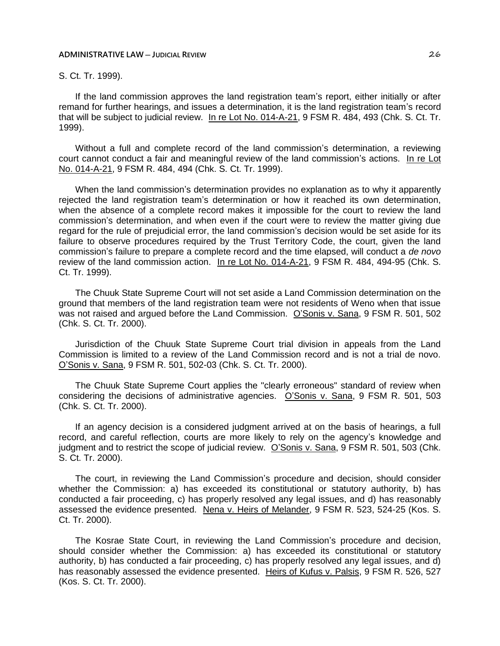# S. Ct. Tr. 1999).

If the land commission approves the land registration team's report, either initially or after remand for further hearings, and issues a determination, it is the land registration team's record that will be subject to judicial review. In re Lot No. 014-A-21, 9 FSM R. 484, 493 (Chk. S. Ct. Tr. 1999).

Without a full and complete record of the land commission's determination, a reviewing court cannot conduct a fair and meaningful review of the land commission's actions. In re Lot No. 014-A-21, 9 FSM R. 484, 494 (Chk. S. Ct. Tr. 1999).

When the land commission's determination provides no explanation as to why it apparently rejected the land registration team's determination or how it reached its own determination, when the absence of a complete record makes it impossible for the court to review the land commission's determination, and when even if the court were to review the matter giving due regard for the rule of prejudicial error, the land commission's decision would be set aside for its failure to observe procedures required by the Trust Territory Code, the court, given the land commission's failure to prepare a complete record and the time elapsed, will conduct a *de novo* review of the land commission action. In re Lot No. 014-A-21, 9 FSM R. 484, 494-95 (Chk. S. Ct. Tr. 1999).

The Chuuk State Supreme Court will not set aside a Land Commission determination on the ground that members of the land registration team were not residents of Weno when that issue was not raised and argued before the Land Commission. O'Sonis v. Sana, 9 FSM R. 501, 502 (Chk. S. Ct. Tr. 2000).

Jurisdiction of the Chuuk State Supreme Court trial division in appeals from the Land Commission is limited to a review of the Land Commission record and is not a trial de novo. O'Sonis v. Sana, 9 FSM R. 501, 502-03 (Chk. S. Ct. Tr. 2000).

The Chuuk State Supreme Court applies the "clearly erroneous" standard of review when considering the decisions of administrative agencies. O'Sonis v. Sana, 9 FSM R. 501, 503 (Chk. S. Ct. Tr. 2000).

If an agency decision is a considered judgment arrived at on the basis of hearings, a full record, and careful reflection, courts are more likely to rely on the agency's knowledge and judgment and to restrict the scope of judicial review. O'Sonis v. Sana, 9 FSM R. 501, 503 (Chk. S. Ct. Tr. 2000).

The court, in reviewing the Land Commission's procedure and decision, should consider whether the Commission: a) has exceeded its constitutional or statutory authority, b) has conducted a fair proceeding, c) has properly resolved any legal issues, and d) has reasonably assessed the evidence presented. Nena v. Heirs of Melander, 9 FSM R. 523, 524-25 (Kos. S. Ct. Tr. 2000).

The Kosrae State Court, in reviewing the Land Commission's procedure and decision, should consider whether the Commission: a) has exceeded its constitutional or statutory authority, b) has conducted a fair proceeding, c) has properly resolved any legal issues, and d) has reasonably assessed the evidence presented. Heirs of Kufus v. Palsis, 9 FSM R. 526, 527 (Kos. S. Ct. Tr. 2000).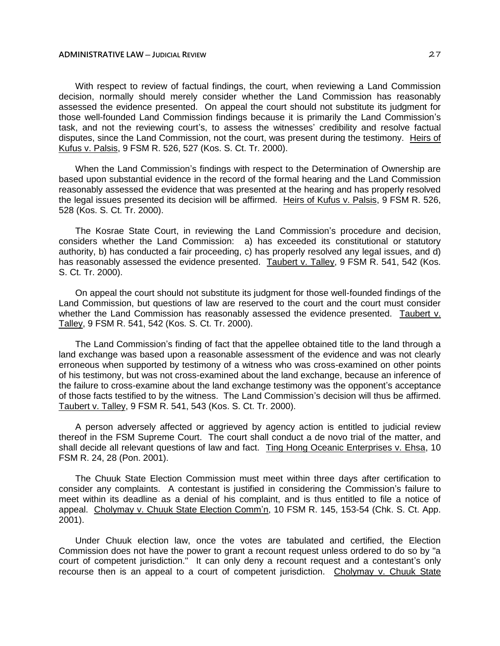With respect to review of factual findings, the court, when reviewing a Land Commission decision, normally should merely consider whether the Land Commission has reasonably assessed the evidence presented. On appeal the court should not substitute its judgment for those well-founded Land Commission findings because it is primarily the Land Commission's task, and not the reviewing court's, to assess the witnesses' credibility and resolve factual disputes, since the Land Commission, not the court, was present during the testimony. Heirs of Kufus v. Palsis, 9 FSM R. 526, 527 (Kos. S. Ct. Tr. 2000).

When the Land Commission's findings with respect to the Determination of Ownership are based upon substantial evidence in the record of the formal hearing and the Land Commission reasonably assessed the evidence that was presented at the hearing and has properly resolved the legal issues presented its decision will be affirmed. Heirs of Kufus v. Palsis, 9 FSM R. 526, 528 (Kos. S. Ct. Tr. 2000).

The Kosrae State Court, in reviewing the Land Commission's procedure and decision, considers whether the Land Commission: a) has exceeded its constitutional or statutory authority, b) has conducted a fair proceeding, c) has properly resolved any legal issues, and d) has reasonably assessed the evidence presented. Taubert v. Talley, 9 FSM R. 541, 542 (Kos. S. Ct. Tr. 2000).

On appeal the court should not substitute its judgment for those well-founded findings of the Land Commission, but questions of law are reserved to the court and the court must consider whether the Land Commission has reasonably assessed the evidence presented. Taubert v. Talley, 9 FSM R. 541, 542 (Kos. S. Ct. Tr. 2000).

The Land Commission's finding of fact that the appellee obtained title to the land through a land exchange was based upon a reasonable assessment of the evidence and was not clearly erroneous when supported by testimony of a witness who was cross-examined on other points of his testimony, but was not cross-examined about the land exchange, because an inference of the failure to cross-examine about the land exchange testimony was the opponent's acceptance of those facts testified to by the witness. The Land Commission's decision will thus be affirmed. Taubert v. Talley, 9 FSM R. 541, 543 (Kos. S. Ct. Tr. 2000).

A person adversely affected or aggrieved by agency action is entitled to judicial review thereof in the FSM Supreme Court. The court shall conduct a de novo trial of the matter, and shall decide all relevant questions of law and fact. Ting Hong Oceanic Enterprises v. Ehsa, 10 FSM R. 24, 28 (Pon. 2001).

The Chuuk State Election Commission must meet within three days after certification to consider any complaints. A contestant is justified in considering the Commission's failure to meet within its deadline as a denial of his complaint, and is thus entitled to file a notice of appeal. Cholymay v. Chuuk State Election Comm'n, 10 FSM R. 145, 153-54 (Chk. S. Ct. App. 2001).

Under Chuuk election law, once the votes are tabulated and certified, the Election Commission does not have the power to grant a recount request unless ordered to do so by "a court of competent jurisdiction." It can only deny a recount request and a contestant's only recourse then is an appeal to a court of competent jurisdiction. Cholymay v. Chuuk State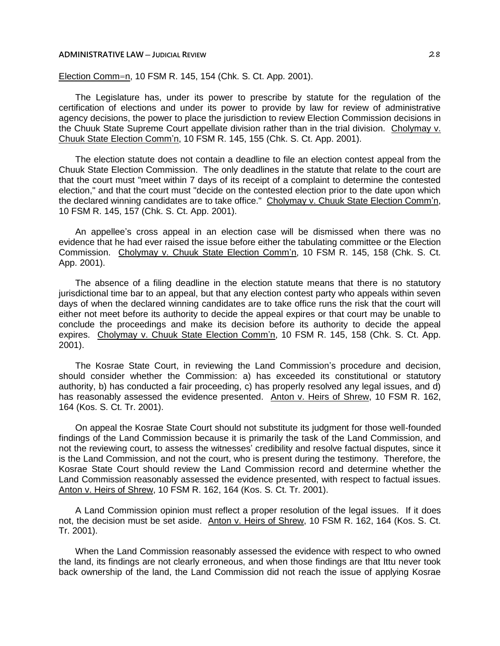Election Comm=n, 10 FSM R. 145, 154 (Chk. S. Ct. App. 2001).

The Legislature has, under its power to prescribe by statute for the regulation of the certification of elections and under its power to provide by law for review of administrative agency decisions, the power to place the jurisdiction to review Election Commission decisions in the Chuuk State Supreme Court appellate division rather than in the trial division. Cholymay v. Chuuk State Election Comm'n, 10 FSM R. 145, 155 (Chk. S. Ct. App. 2001).

The election statute does not contain a deadline to file an election contest appeal from the Chuuk State Election Commission. The only deadlines in the statute that relate to the court are that the court must "meet within 7 days of its receipt of a complaint to determine the contested election," and that the court must "decide on the contested election prior to the date upon which the declared winning candidates are to take office." Cholymay v. Chuuk State Election Comm'n, 10 FSM R. 145, 157 (Chk. S. Ct. App. 2001).

An appellee's cross appeal in an election case will be dismissed when there was no evidence that he had ever raised the issue before either the tabulating committee or the Election Commission. Cholymay v. Chuuk State Election Comm'n, 10 FSM R. 145, 158 (Chk. S. Ct. App. 2001).

The absence of a filing deadline in the election statute means that there is no statutory jurisdictional time bar to an appeal, but that any election contest party who appeals within seven days of when the declared winning candidates are to take office runs the risk that the court will either not meet before its authority to decide the appeal expires or that court may be unable to conclude the proceedings and make its decision before its authority to decide the appeal expires. Cholymay v. Chuuk State Election Comm'n, 10 FSM R. 145, 158 (Chk. S. Ct. App. 2001).

The Kosrae State Court, in reviewing the Land Commission's procedure and decision, should consider whether the Commission: a) has exceeded its constitutional or statutory authority, b) has conducted a fair proceeding, c) has properly resolved any legal issues, and d) has reasonably assessed the evidence presented. Anton v. Heirs of Shrew, 10 FSM R. 162, 164 (Kos. S. Ct. Tr. 2001).

On appeal the Kosrae State Court should not substitute its judgment for those well-founded findings of the Land Commission because it is primarily the task of the Land Commission, and not the reviewing court, to assess the witnesses' credibility and resolve factual disputes, since it is the Land Commission, and not the court, who is present during the testimony. Therefore, the Kosrae State Court should review the Land Commission record and determine whether the Land Commission reasonably assessed the evidence presented, with respect to factual issues. Anton v. Heirs of Shrew, 10 FSM R. 162, 164 (Kos. S. Ct. Tr. 2001).

A Land Commission opinion must reflect a proper resolution of the legal issues. If it does not, the decision must be set aside. Anton v. Heirs of Shrew, 10 FSM R. 162, 164 (Kos. S. Ct. Tr. 2001).

When the Land Commission reasonably assessed the evidence with respect to who owned the land, its findings are not clearly erroneous, and when those findings are that Ittu never took back ownership of the land, the Land Commission did not reach the issue of applying Kosrae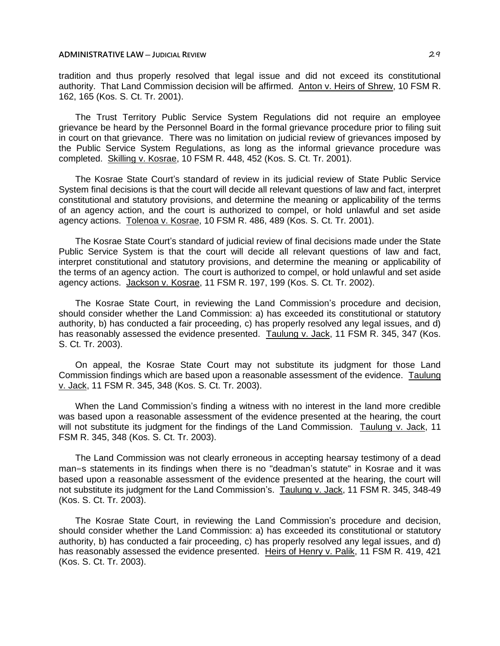tradition and thus properly resolved that legal issue and did not exceed its constitutional authority. That Land Commission decision will be affirmed. Anton v. Heirs of Shrew, 10 FSM R. 162, 165 (Kos. S. Ct. Tr. 2001).

The Trust Territory Public Service System Regulations did not require an employee grievance be heard by the Personnel Board in the formal grievance procedure prior to filing suit in court on that grievance. There was no limitation on judicial review of grievances imposed by the Public Service System Regulations, as long as the informal grievance procedure was completed. Skilling v. Kosrae, 10 FSM R. 448, 452 (Kos. S. Ct. Tr. 2001).

The Kosrae State Court's standard of review in its judicial review of State Public Service System final decisions is that the court will decide all relevant questions of law and fact, interpret constitutional and statutory provisions, and determine the meaning or applicability of the terms of an agency action, and the court is authorized to compel, or hold unlawful and set aside agency actions. Tolenoa v. Kosrae, 10 FSM R. 486, 489 (Kos. S. Ct. Tr. 2001).

The Kosrae State Court's standard of judicial review of final decisions made under the State Public Service System is that the court will decide all relevant questions of law and fact, interpret constitutional and statutory provisions, and determine the meaning or applicability of the terms of an agency action. The court is authorized to compel, or hold unlawful and set aside agency actions. Jackson v. Kosrae, 11 FSM R. 197, 199 (Kos. S. Ct. Tr. 2002).

The Kosrae State Court, in reviewing the Land Commission's procedure and decision, should consider whether the Land Commission: a) has exceeded its constitutional or statutory authority, b) has conducted a fair proceeding, c) has properly resolved any legal issues, and d) has reasonably assessed the evidence presented. Taulung v. Jack, 11 FSM R. 345, 347 (Kos. S. Ct. Tr. 2003).

On appeal, the Kosrae State Court may not substitute its judgment for those Land Commission findings which are based upon a reasonable assessment of the evidence. Taulung v. Jack, 11 FSM R. 345, 348 (Kos. S. Ct. Tr. 2003).

When the Land Commission's finding a witness with no interest in the land more credible was based upon a reasonable assessment of the evidence presented at the hearing, the court will not substitute its judgment for the findings of the Land Commission. Taulung v. Jack, 11 FSM R. 345, 348 (Kos. S. Ct. Tr. 2003).

The Land Commission was not clearly erroneous in accepting hearsay testimony of a dead man=s statements in its findings when there is no "deadman's statute" in Kosrae and it was based upon a reasonable assessment of the evidence presented at the hearing, the court will not substitute its judgment for the Land Commission's. Taulung v. Jack, 11 FSM R. 345, 348-49 (Kos. S. Ct. Tr. 2003).

The Kosrae State Court, in reviewing the Land Commission's procedure and decision, should consider whether the Land Commission: a) has exceeded its constitutional or statutory authority, b) has conducted a fair proceeding, c) has properly resolved any legal issues, and d) has reasonably assessed the evidence presented. Heirs of Henry v. Palik, 11 FSM R. 419, 421 (Kos. S. Ct. Tr. 2003).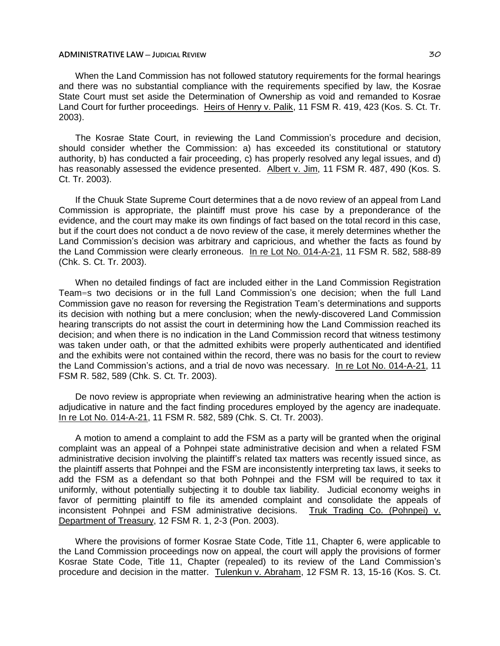When the Land Commission has not followed statutory requirements for the formal hearings and there was no substantial compliance with the requirements specified by law, the Kosrae State Court must set aside the Determination of Ownership as void and remanded to Kosrae Land Court for further proceedings. Heirs of Henry v. Palik, 11 FSM R. 419, 423 (Kos. S. Ct. Tr. 2003).

The Kosrae State Court, in reviewing the Land Commission's procedure and decision, should consider whether the Commission: a) has exceeded its constitutional or statutory authority, b) has conducted a fair proceeding, c) has properly resolved any legal issues, and d) has reasonably assessed the evidence presented. Albert v. Jim, 11 FSM R. 487, 490 (Kos. S. Ct. Tr. 2003).

If the Chuuk State Supreme Court determines that a de novo review of an appeal from Land Commission is appropriate, the plaintiff must prove his case by a preponderance of the evidence, and the court may make its own findings of fact based on the total record in this case, but if the court does not conduct a de novo review of the case, it merely determines whether the Land Commission's decision was arbitrary and capricious, and whether the facts as found by the Land Commission were clearly erroneous. In re Lot No. 014-A-21, 11 FSM R. 582, 588-89 (Chk. S. Ct. Tr. 2003).

When no detailed findings of fact are included either in the Land Commission Registration Team=s two decisions or in the full Land Commission's one decision; when the full Land Commission gave no reason for reversing the Registration Team's determinations and supports its decision with nothing but a mere conclusion; when the newly-discovered Land Commission hearing transcripts do not assist the court in determining how the Land Commission reached its decision; and when there is no indication in the Land Commission record that witness testimony was taken under oath, or that the admitted exhibits were properly authenticated and identified and the exhibits were not contained within the record, there was no basis for the court to review the Land Commission's actions, and a trial de novo was necessary. In re Lot No. 014-A-21, 11 FSM R. 582, 589 (Chk. S. Ct. Tr. 2003).

De novo review is appropriate when reviewing an administrative hearing when the action is adjudicative in nature and the fact finding procedures employed by the agency are inadequate. In re Lot No. 014-A-21, 11 FSM R. 582, 589 (Chk. S. Ct. Tr. 2003).

A motion to amend a complaint to add the FSM as a party will be granted when the original complaint was an appeal of a Pohnpei state administrative decision and when a related FSM administrative decision involving the plaintiff's related tax matters was recently issued since, as the plaintiff asserts that Pohnpei and the FSM are inconsistently interpreting tax laws, it seeks to add the FSM as a defendant so that both Pohnpei and the FSM will be required to tax it uniformly, without potentially subjecting it to double tax liability. Judicial economy weighs in favor of permitting plaintiff to file its amended complaint and consolidate the appeals of inconsistent Pohnpei and FSM administrative decisions. Truk Trading Co. (Pohnpei) v. Department of Treasury, 12 FSM R. 1, 2-3 (Pon. 2003).

Where the provisions of former Kosrae State Code, Title 11, Chapter 6, were applicable to the Land Commission proceedings now on appeal, the court will apply the provisions of former Kosrae State Code, Title 11, Chapter (repealed) to its review of the Land Commission's procedure and decision in the matter. Tulenkun v. Abraham, 12 FSM R. 13, 15-16 (Kos. S. Ct.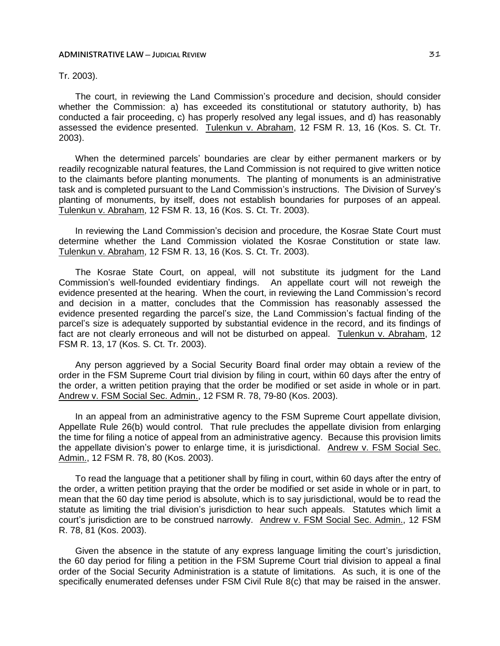# Tr. 2003).

The court, in reviewing the Land Commission's procedure and decision, should consider whether the Commission: a) has exceeded its constitutional or statutory authority, b) has conducted a fair proceeding, c) has properly resolved any legal issues, and d) has reasonably assessed the evidence presented. Tulenkun v. Abraham, 12 FSM R. 13, 16 (Kos. S. Ct. Tr. 2003).

When the determined parcels' boundaries are clear by either permanent markers or by readily recognizable natural features, the Land Commission is not required to give written notice to the claimants before planting monuments. The planting of monuments is an administrative task and is completed pursuant to the Land Commission's instructions. The Division of Survey's planting of monuments, by itself, does not establish boundaries for purposes of an appeal. Tulenkun v. Abraham, 12 FSM R. 13, 16 (Kos. S. Ct. Tr. 2003).

In reviewing the Land Commission's decision and procedure, the Kosrae State Court must determine whether the Land Commission violated the Kosrae Constitution or state law. Tulenkun v. Abraham, 12 FSM R. 13, 16 (Kos. S. Ct. Tr. 2003).

The Kosrae State Court, on appeal, will not substitute its judgment for the Land Commission's well-founded evidentiary findings. An appellate court will not reweigh the evidence presented at the hearing. When the court, in reviewing the Land Commission's record and decision in a matter, concludes that the Commission has reasonably assessed the evidence presented regarding the parcel's size, the Land Commission's factual finding of the parcel's size is adequately supported by substantial evidence in the record, and its findings of fact are not clearly erroneous and will not be disturbed on appeal. Tulenkun v. Abraham, 12 FSM R. 13, 17 (Kos. S. Ct. Tr. 2003).

Any person aggrieved by a Social Security Board final order may obtain a review of the order in the FSM Supreme Court trial division by filing in court, within 60 days after the entry of the order, a written petition praying that the order be modified or set aside in whole or in part. Andrew v. FSM Social Sec. Admin., 12 FSM R. 78, 79-80 (Kos. 2003).

In an appeal from an administrative agency to the FSM Supreme Court appellate division, Appellate Rule 26(b) would control. That rule precludes the appellate division from enlarging the time for filing a notice of appeal from an administrative agency. Because this provision limits the appellate division's power to enlarge time, it is jurisdictional. Andrew v. FSM Social Sec. Admin., 12 FSM R. 78, 80 (Kos. 2003).

To read the language that a petitioner shall by filing in court, within 60 days after the entry of the order, a written petition praying that the order be modified or set aside in whole or in part, to mean that the 60 day time period is absolute, which is to say jurisdictional, would be to read the statute as limiting the trial division's jurisdiction to hear such appeals. Statutes which limit a court's jurisdiction are to be construed narrowly. Andrew v. FSM Social Sec. Admin., 12 FSM R. 78, 81 (Kos. 2003).

Given the absence in the statute of any express language limiting the court's jurisdiction, the 60 day period for filing a petition in the FSM Supreme Court trial division to appeal a final order of the Social Security Administration is a statute of limitations. As such, it is one of the specifically enumerated defenses under FSM Civil Rule 8(c) that may be raised in the answer.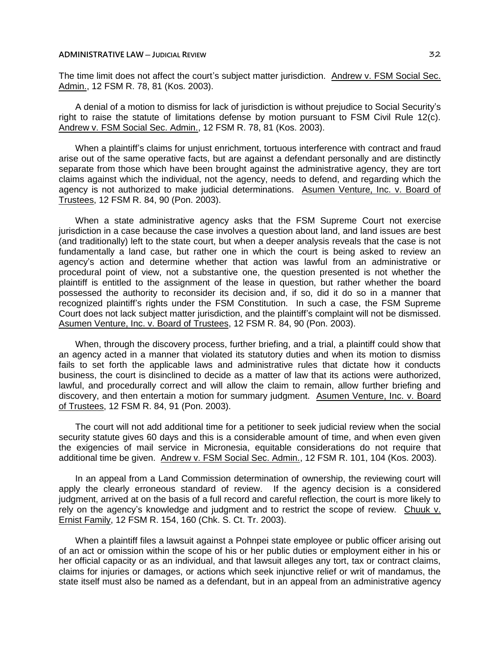The time limit does not affect the court's subject matter jurisdiction. Andrew v. FSM Social Sec. Admin., 12 FSM R. 78, 81 (Kos. 2003).

A denial of a motion to dismiss for lack of jurisdiction is without prejudice to Social Security's right to raise the statute of limitations defense by motion pursuant to FSM Civil Rule 12(c). Andrew v. FSM Social Sec. Admin., 12 FSM R. 78, 81 (Kos. 2003).

When a plaintiff's claims for unjust enrichment, tortuous interference with contract and fraud arise out of the same operative facts, but are against a defendant personally and are distinctly separate from those which have been brought against the administrative agency, they are tort claims against which the individual, not the agency, needs to defend, and regarding which the agency is not authorized to make judicial determinations. Asumen Venture, Inc. v. Board of Trustees, 12 FSM R. 84, 90 (Pon. 2003).

When a state administrative agency asks that the FSM Supreme Court not exercise jurisdiction in a case because the case involves a question about land, and land issues are best (and traditionally) left to the state court, but when a deeper analysis reveals that the case is not fundamentally a land case, but rather one in which the court is being asked to review an agency's action and determine whether that action was lawful from an administrative or procedural point of view, not a substantive one, the question presented is not whether the plaintiff is entitled to the assignment of the lease in question, but rather whether the board possessed the authority to reconsider its decision and, if so, did it do so in a manner that recognized plaintiff's rights under the FSM Constitution. In such a case, the FSM Supreme Court does not lack subject matter jurisdiction, and the plaintiff's complaint will not be dismissed. Asumen Venture, Inc. v. Board of Trustees, 12 FSM R. 84, 90 (Pon. 2003).

When, through the discovery process, further briefing, and a trial, a plaintiff could show that an agency acted in a manner that violated its statutory duties and when its motion to dismiss fails to set forth the applicable laws and administrative rules that dictate how it conducts business, the court is disinclined to decide as a matter of law that its actions were authorized, lawful, and procedurally correct and will allow the claim to remain, allow further briefing and discovery, and then entertain a motion for summary judgment. Asumen Venture, Inc. v. Board of Trustees, 12 FSM R. 84, 91 (Pon. 2003).

The court will not add additional time for a petitioner to seek judicial review when the social security statute gives 60 days and this is a considerable amount of time, and when even given the exigencies of mail service in Micronesia, equitable considerations do not require that additional time be given. Andrew v. FSM Social Sec. Admin., 12 FSM R. 101, 104 (Kos. 2003).

In an appeal from a Land Commission determination of ownership, the reviewing court will apply the clearly erroneous standard of review. If the agency decision is a considered judgment, arrived at on the basis of a full record and careful reflection, the court is more likely to rely on the agency's knowledge and judgment and to restrict the scope of review. Chuuk v. Ernist Family, 12 FSM R. 154, 160 (Chk. S. Ct. Tr. 2003).

When a plaintiff files a lawsuit against a Pohnpei state employee or public officer arising out of an act or omission within the scope of his or her public duties or employment either in his or her official capacity or as an individual, and that lawsuit alleges any tort, tax or contract claims, claims for injuries or damages, or actions which seek injunctive relief or writ of mandamus, the state itself must also be named as a defendant, but in an appeal from an administrative agency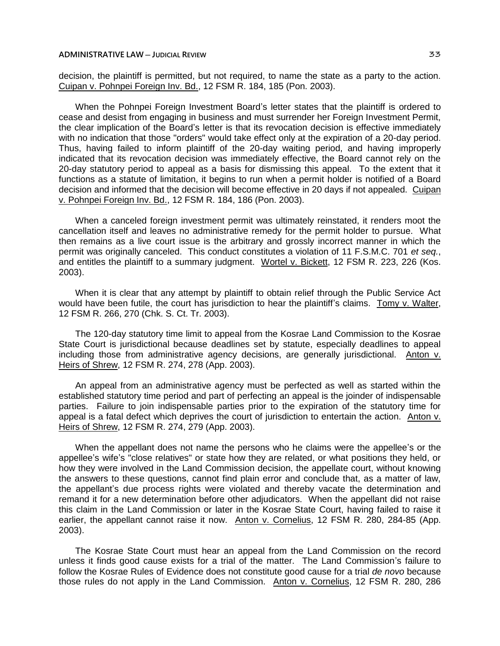decision, the plaintiff is permitted, but not required, to name the state as a party to the action. Cuipan v. Pohnpei Foreign Inv. Bd., 12 FSM R. 184, 185 (Pon. 2003).

When the Pohnpei Foreign Investment Board's letter states that the plaintiff is ordered to cease and desist from engaging in business and must surrender her Foreign Investment Permit, the clear implication of the Board's letter is that its revocation decision is effective immediately with no indication that those "orders" would take effect only at the expiration of a 20-day period. Thus, having failed to inform plaintiff of the 20-day waiting period, and having improperly indicated that its revocation decision was immediately effective, the Board cannot rely on the 20-day statutory period to appeal as a basis for dismissing this appeal. To the extent that it functions as a statute of limitation, it begins to run when a permit holder is notified of a Board decision and informed that the decision will become effective in 20 days if not appealed. Cuipan v. Pohnpei Foreign Inv. Bd., 12 FSM R. 184, 186 (Pon. 2003).

When a canceled foreign investment permit was ultimately reinstated, it renders moot the cancellation itself and leaves no administrative remedy for the permit holder to pursue. What then remains as a live court issue is the arbitrary and grossly incorrect manner in which the permit was originally canceled. This conduct constitutes a violation of 11 F.S.M.C. 701 *et seq.*, and entitles the plaintiff to a summary judgment. Wortel v. Bickett, 12 FSM R. 223, 226 (Kos. 2003).

When it is clear that any attempt by plaintiff to obtain relief through the Public Service Act would have been futile, the court has jurisdiction to hear the plaintiff's claims. Tomy v. Walter, 12 FSM R. 266, 270 (Chk. S. Ct. Tr. 2003).

The 120-day statutory time limit to appeal from the Kosrae Land Commission to the Kosrae State Court is jurisdictional because deadlines set by statute, especially deadlines to appeal including those from administrative agency decisions, are generally jurisdictional. Anton v. Heirs of Shrew, 12 FSM R. 274, 278 (App. 2003).

An appeal from an administrative agency must be perfected as well as started within the established statutory time period and part of perfecting an appeal is the joinder of indispensable parties. Failure to join indispensable parties prior to the expiration of the statutory time for appeal is a fatal defect which deprives the court of jurisdiction to entertain the action. Anton v. Heirs of Shrew, 12 FSM R. 274, 279 (App. 2003).

When the appellant does not name the persons who he claims were the appellee's or the appellee's wife's "close relatives" or state how they are related, or what positions they held, or how they were involved in the Land Commission decision, the appellate court, without knowing the answers to these questions, cannot find plain error and conclude that, as a matter of law, the appellant's due process rights were violated and thereby vacate the determination and remand it for a new determination before other adjudicators. When the appellant did not raise this claim in the Land Commission or later in the Kosrae State Court, having failed to raise it earlier, the appellant cannot raise it now. Anton v. Cornelius, 12 FSM R. 280, 284-85 (App. 2003).

The Kosrae State Court must hear an appeal from the Land Commission on the record unless it finds good cause exists for a trial of the matter. The Land Commission's failure to follow the Kosrae Rules of Evidence does not constitute good cause for a trial *de novo* because those rules do not apply in the Land Commission. Anton v. Cornelius, 12 FSM R. 280, 286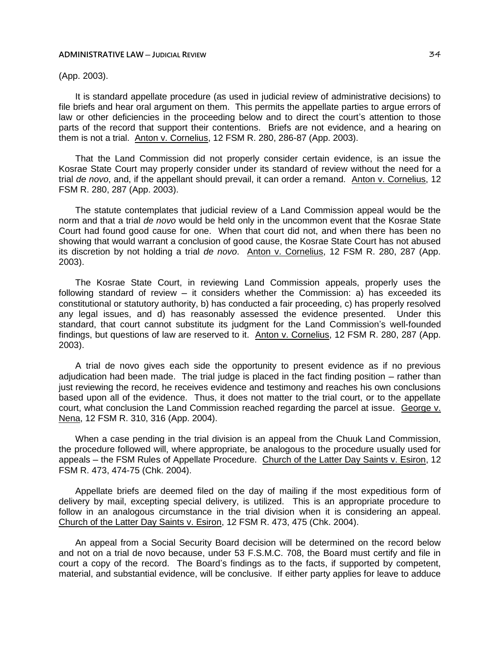## (App. 2003).

It is standard appellate procedure (as used in judicial review of administrative decisions) to file briefs and hear oral argument on them. This permits the appellate parties to argue errors of law or other deficiencies in the proceeding below and to direct the court's attention to those parts of the record that support their contentions. Briefs are not evidence, and a hearing on them is not a trial. Anton v. Cornelius, 12 FSM R. 280, 286-87 (App. 2003).

That the Land Commission did not properly consider certain evidence, is an issue the Kosrae State Court may properly consider under its standard of review without the need for a trial *de novo*, and, if the appellant should prevail, it can order a remand. Anton v. Cornelius, 12 FSM R. 280, 287 (App. 2003).

The statute contemplates that judicial review of a Land Commission appeal would be the norm and that a trial *de novo* would be held only in the uncommon event that the Kosrae State Court had found good cause for one. When that court did not, and when there has been no showing that would warrant a conclusion of good cause, the Kosrae State Court has not abused its discretion by not holding a trial *de novo*. Anton v. Cornelius, 12 FSM R. 280, 287 (App. 2003).

The Kosrae State Court, in reviewing Land Commission appeals, properly uses the following standard of review  $-$  it considers whether the Commission: a) has exceeded its constitutional or statutory authority, b) has conducted a fair proceeding, c) has properly resolved any legal issues, and d) has reasonably assessed the evidence presented. Under this standard, that court cannot substitute its judgment for the Land Commission's well-founded findings, but questions of law are reserved to it. Anton v. Cornelius, 12 FSM R. 280, 287 (App. 2003).

A trial de novo gives each side the opportunity to present evidence as if no previous adjudication had been made. The trial judge is placed in the fact finding position – rather than just reviewing the record, he receives evidence and testimony and reaches his own conclusions based upon all of the evidence. Thus, it does not matter to the trial court, or to the appellate court, what conclusion the Land Commission reached regarding the parcel at issue. George v. Nena, 12 FSM R. 310, 316 (App. 2004).

When a case pending in the trial division is an appeal from the Chuuk Land Commission, the procedure followed will, where appropriate, be analogous to the procedure usually used for appeals ─ the FSM Rules of Appellate Procedure. Church of the Latter Day Saints v. Esiron, 12 FSM R. 473, 474-75 (Chk. 2004).

Appellate briefs are deemed filed on the day of mailing if the most expeditious form of delivery by mail, excepting special delivery, is utilized. This is an appropriate procedure to follow in an analogous circumstance in the trial division when it is considering an appeal. Church of the Latter Day Saints v. Esiron, 12 FSM R. 473, 475 (Chk. 2004).

An appeal from a Social Security Board decision will be determined on the record below and not on a trial de novo because, under 53 F.S.M.C. 708, the Board must certify and file in court a copy of the record. The Board's findings as to the facts, if supported by competent, material, and substantial evidence, will be conclusive. If either party applies for leave to adduce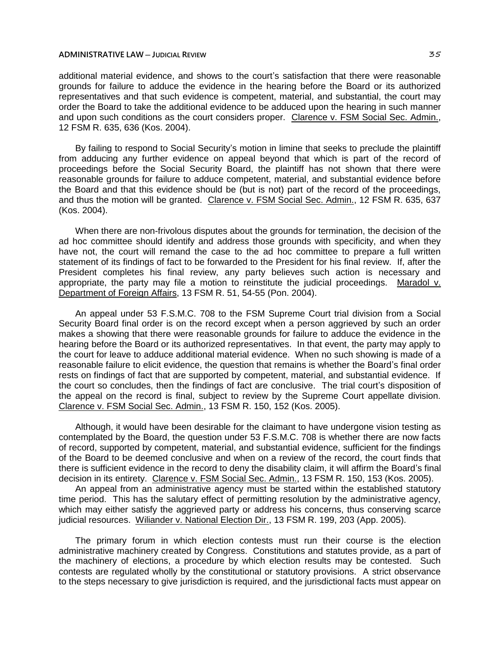additional material evidence, and shows to the court's satisfaction that there were reasonable grounds for failure to adduce the evidence in the hearing before the Board or its authorized representatives and that such evidence is competent, material, and substantial, the court may order the Board to take the additional evidence to be adduced upon the hearing in such manner and upon such conditions as the court considers proper. Clarence v. FSM Social Sec. Admin., 12 FSM R. 635, 636 (Kos. 2004).

By failing to respond to Social Security's motion in limine that seeks to preclude the plaintiff from adducing any further evidence on appeal beyond that which is part of the record of proceedings before the Social Security Board, the plaintiff has not shown that there were reasonable grounds for failure to adduce competent, material, and substantial evidence before the Board and that this evidence should be (but is not) part of the record of the proceedings, and thus the motion will be granted. Clarence v. FSM Social Sec. Admin., 12 FSM R. 635, 637 (Kos. 2004).

When there are non-frivolous disputes about the grounds for termination, the decision of the ad hoc committee should identify and address those grounds with specificity, and when they have not, the court will remand the case to the ad hoc committee to prepare a full written statement of its findings of fact to be forwarded to the President for his final review. If, after the President completes his final review, any party believes such action is necessary and appropriate, the party may file a motion to reinstitute the judicial proceedings. Maradol v. Department of Foreign Affairs, 13 FSM R. 51, 54-55 (Pon. 2004).

An appeal under 53 F.S.M.C. 708 to the FSM Supreme Court trial division from a Social Security Board final order is on the record except when a person aggrieved by such an order makes a showing that there were reasonable grounds for failure to adduce the evidence in the hearing before the Board or its authorized representatives. In that event, the party may apply to the court for leave to adduce additional material evidence. When no such showing is made of a reasonable failure to elicit evidence, the question that remains is whether the Board's final order rests on findings of fact that are supported by competent, material, and substantial evidence. If the court so concludes, then the findings of fact are conclusive. The trial court's disposition of the appeal on the record is final, subject to review by the Supreme Court appellate division. Clarence v. FSM Social Sec. Admin., 13 FSM R. 150, 152 (Kos. 2005).

Although, it would have been desirable for the claimant to have undergone vision testing as contemplated by the Board, the question under 53 F.S.M.C. 708 is whether there are now facts of record, supported by competent, material, and substantial evidence, sufficient for the findings of the Board to be deemed conclusive and when on a review of the record, the court finds that there is sufficient evidence in the record to deny the disability claim, it will affirm the Board's final decision in its entirety. Clarence v. FSM Social Sec. Admin., 13 FSM R. 150, 153 (Kos. 2005).

An appeal from an administrative agency must be started within the established statutory time period. This has the salutary effect of permitting resolution by the administrative agency, which may either satisfy the aggrieved party or address his concerns, thus conserving scarce iudicial resources. Wiliander v. National Election Dir., 13 FSM R. 199, 203 (App. 2005).

The primary forum in which election contests must run their course is the election administrative machinery created by Congress. Constitutions and statutes provide, as a part of the machinery of elections, a procedure by which election results may be contested. Such contests are regulated wholly by the constitutional or statutory provisions. A strict observance to the steps necessary to give jurisdiction is required, and the jurisdictional facts must appear on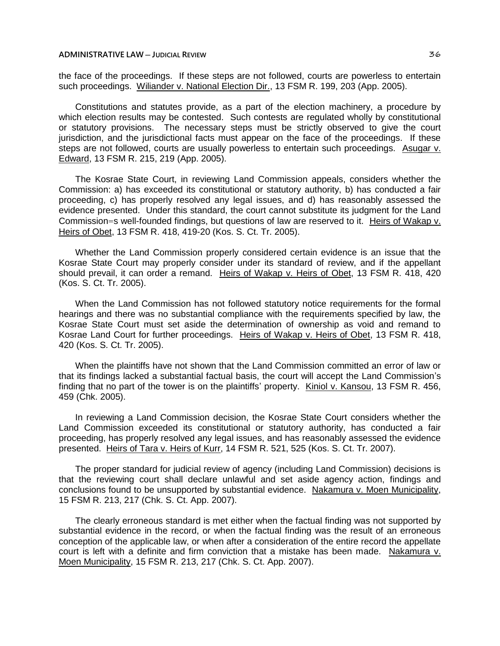the face of the proceedings. If these steps are not followed, courts are powerless to entertain such proceedings. Wiliander v. National Election Dir., 13 FSM R. 199, 203 (App. 2005).

Constitutions and statutes provide, as a part of the election machinery, a procedure by which election results may be contested. Such contests are regulated wholly by constitutional or statutory provisions. The necessary steps must be strictly observed to give the court jurisdiction, and the jurisdictional facts must appear on the face of the proceedings. If these steps are not followed, courts are usually powerless to entertain such proceedings. Asugar v. Edward, 13 FSM R. 215, 219 (App. 2005).

The Kosrae State Court, in reviewing Land Commission appeals, considers whether the Commission: a) has exceeded its constitutional or statutory authority, b) has conducted a fair proceeding, c) has properly resolved any legal issues, and d) has reasonably assessed the evidence presented. Under this standard, the court cannot substitute its judgment for the Land Commission=s well-founded findings, but questions of law are reserved to it. Heirs of Wakap v. Heirs of Obet, 13 FSM R. 418, 419-20 (Kos. S. Ct. Tr. 2005).

Whether the Land Commission properly considered certain evidence is an issue that the Kosrae State Court may properly consider under its standard of review, and if the appellant should prevail, it can order a remand. Heirs of Wakap v. Heirs of Obet, 13 FSM R. 418, 420 (Kos. S. Ct. Tr. 2005).

When the Land Commission has not followed statutory notice requirements for the formal hearings and there was no substantial compliance with the requirements specified by law, the Kosrae State Court must set aside the determination of ownership as void and remand to Kosrae Land Court for further proceedings. Heirs of Wakap v. Heirs of Obet, 13 FSM R. 418, 420 (Kos. S. Ct. Tr. 2005).

When the plaintiffs have not shown that the Land Commission committed an error of law or that its findings lacked a substantial factual basis, the court will accept the Land Commission's finding that no part of the tower is on the plaintiffs' property. Kiniol v. Kansou, 13 FSM R. 456, 459 (Chk. 2005).

In reviewing a Land Commission decision, the Kosrae State Court considers whether the Land Commission exceeded its constitutional or statutory authority, has conducted a fair proceeding, has properly resolved any legal issues, and has reasonably assessed the evidence presented. Heirs of Tara v. Heirs of Kurr, 14 FSM R. 521, 525 (Kos. S. Ct. Tr. 2007).

The proper standard for judicial review of agency (including Land Commission) decisions is that the reviewing court shall declare unlawful and set aside agency action, findings and conclusions found to be unsupported by substantial evidence. Nakamura v. Moen Municipality, 15 FSM R. 213, 217 (Chk. S. Ct. App. 2007).

The clearly erroneous standard is met either when the factual finding was not supported by substantial evidence in the record, or when the factual finding was the result of an erroneous conception of the applicable law, or when after a consideration of the entire record the appellate court is left with a definite and firm conviction that a mistake has been made. Nakamura v. Moen Municipality, 15 FSM R. 213, 217 (Chk. S. Ct. App. 2007).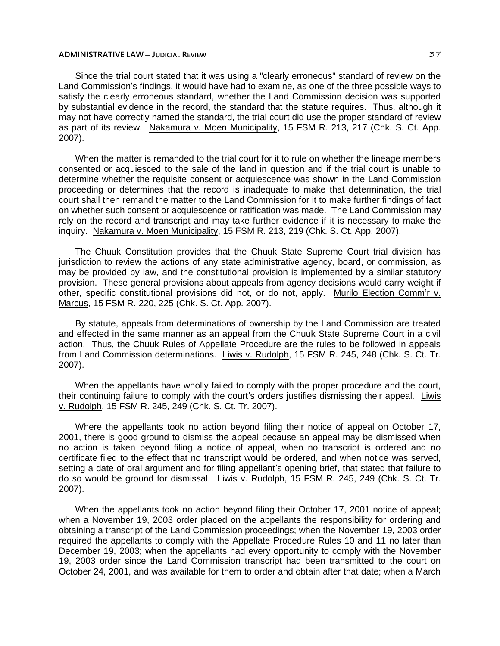## **ADMINISTRATIVE LAW** — JUDICIAL REVIEW **BUT ALL CONTRATIVE LAW** 37

Since the trial court stated that it was using a "clearly erroneous" standard of review on the Land Commission's findings, it would have had to examine, as one of the three possible ways to satisfy the clearly erroneous standard, whether the Land Commission decision was supported by substantial evidence in the record, the standard that the statute requires. Thus, although it may not have correctly named the standard, the trial court did use the proper standard of review as part of its review. Nakamura v. Moen Municipality, 15 FSM R. 213, 217 (Chk. S. Ct. App. 2007).

When the matter is remanded to the trial court for it to rule on whether the lineage members consented or acquiesced to the sale of the land in question and if the trial court is unable to determine whether the requisite consent or acquiescence was shown in the Land Commission proceeding or determines that the record is inadequate to make that determination, the trial court shall then remand the matter to the Land Commission for it to make further findings of fact on whether such consent or acquiescence or ratification was made. The Land Commission may rely on the record and transcript and may take further evidence if it is necessary to make the inquiry. Nakamura v. Moen Municipality, 15 FSM R. 213, 219 (Chk. S. Ct. App. 2007).

The Chuuk Constitution provides that the Chuuk State Supreme Court trial division has jurisdiction to review the actions of any state administrative agency, board, or commission, as may be provided by law, and the constitutional provision is implemented by a similar statutory provision. These general provisions about appeals from agency decisions would carry weight if other, specific constitutional provisions did not, or do not, apply. Murilo Election Comm'r v. Marcus, 15 FSM R. 220, 225 (Chk. S. Ct. App. 2007).

By statute, appeals from determinations of ownership by the Land Commission are treated and effected in the same manner as an appeal from the Chuuk State Supreme Court in a civil action. Thus, the Chuuk Rules of Appellate Procedure are the rules to be followed in appeals from Land Commission determinations. Liwis v. Rudolph, 15 FSM R. 245, 248 (Chk. S. Ct. Tr. 2007).

When the appellants have wholly failed to comply with the proper procedure and the court, their continuing failure to comply with the court's orders justifies dismissing their appeal. Liwis v. Rudolph, 15 FSM R. 245, 249 (Chk. S. Ct. Tr. 2007).

Where the appellants took no action beyond filing their notice of appeal on October 17, 2001, there is good ground to dismiss the appeal because an appeal may be dismissed when no action is taken beyond filing a notice of appeal, when no transcript is ordered and no certificate filed to the effect that no transcript would be ordered, and when notice was served, setting a date of oral argument and for filing appellant's opening brief, that stated that failure to do so would be ground for dismissal. Liwis v. Rudolph, 15 FSM R. 245, 249 (Chk. S. Ct. Tr. 2007).

When the appellants took no action beyond filing their October 17, 2001 notice of appeal; when a November 19, 2003 order placed on the appellants the responsibility for ordering and obtaining a transcript of the Land Commission proceedings; when the November 19, 2003 order required the appellants to comply with the Appellate Procedure Rules 10 and 11 no later than December 19, 2003; when the appellants had every opportunity to comply with the November 19, 2003 order since the Land Commission transcript had been transmitted to the court on October 24, 2001, and was available for them to order and obtain after that date; when a March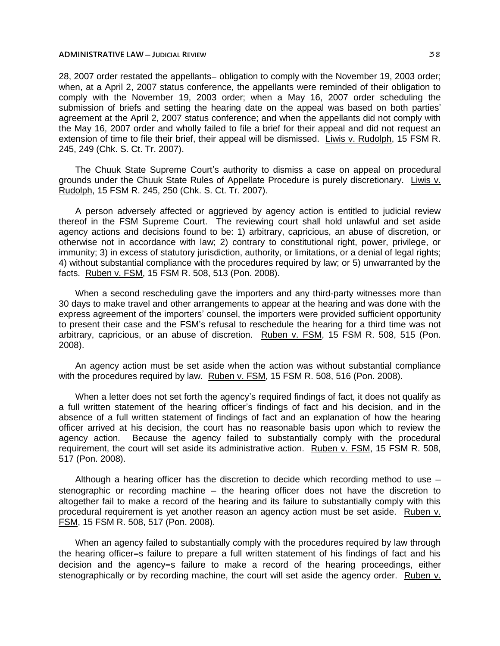## **ADMINISTRATIVE LAW** — JUDICIAL REVIEW **BUT ALL CONTRATIVE LAW**  $\geq 88$

28, 2007 order restated the appellants= obligation to comply with the November 19, 2003 order; when, at a April 2, 2007 status conference, the appellants were reminded of their obligation to comply with the November 19, 2003 order; when a May 16, 2007 order scheduling the submission of briefs and setting the hearing date on the appeal was based on both parties' agreement at the April 2, 2007 status conference; and when the appellants did not comply with the May 16, 2007 order and wholly failed to file a brief for their appeal and did not request an extension of time to file their brief, their appeal will be dismissed. Liwis v. Rudolph, 15 FSM R. 245, 249 (Chk. S. Ct. Tr. 2007).

The Chuuk State Supreme Court's authority to dismiss a case on appeal on procedural grounds under the Chuuk State Rules of Appellate Procedure is purely discretionary. Liwis v. Rudolph, 15 FSM R. 245, 250 (Chk. S. Ct. Tr. 2007).

A person adversely affected or aggrieved by agency action is entitled to judicial review thereof in the FSM Supreme Court. The reviewing court shall hold unlawful and set aside agency actions and decisions found to be: 1) arbitrary, capricious, an abuse of discretion, or otherwise not in accordance with law; 2) contrary to constitutional right, power, privilege, or immunity; 3) in excess of statutory jurisdiction, authority, or limitations, or a denial of legal rights; 4) without substantial compliance with the procedures required by law; or 5) unwarranted by the facts. Ruben v. FSM, 15 FSM R. 508, 513 (Pon. 2008).

When a second rescheduling gave the importers and any third-party witnesses more than 30 days to make travel and other arrangements to appear at the hearing and was done with the express agreement of the importers' counsel, the importers were provided sufficient opportunity to present their case and the FSM's refusal to reschedule the hearing for a third time was not arbitrary, capricious, or an abuse of discretion. Ruben v. FSM, 15 FSM R. 508, 515 (Pon. 2008).

An agency action must be set aside when the action was without substantial compliance with the procedures required by law. Ruben v. FSM, 15 FSM R. 508, 516 (Pon. 2008).

When a letter does not set forth the agency's required findings of fact, it does not qualify as a full written statement of the hearing officer's findings of fact and his decision, and in the absence of a full written statement of findings of fact and an explanation of how the hearing officer arrived at his decision, the court has no reasonable basis upon which to review the agency action. Because the agency failed to substantially comply with the procedural requirement, the court will set aside its administrative action. Ruben v. FSM, 15 FSM R. 508, 517 (Pon. 2008).

Although a hearing officer has the discretion to decide which recording method to use  $$ stenographic or recording machine – the hearing officer does not have the discretion to altogether fail to make a record of the hearing and its failure to substantially comply with this procedural requirement is yet another reason an agency action must be set aside. Ruben v. FSM, 15 FSM R. 508, 517 (Pon. 2008).

When an agency failed to substantially comply with the procedures required by law through the hearing officer=s failure to prepare a full written statement of his findings of fact and his decision and the agency=s failure to make a record of the hearing proceedings, either stenographically or by recording machine, the court will set aside the agency order. Ruben v.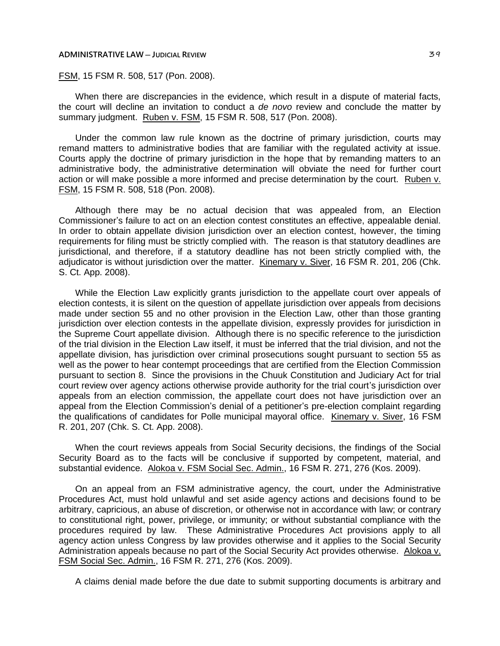## **ADMINISTRATIVE LAW** — JUDICIAL REVIEW **BUDGES LAW 29**

# FSM, 15 FSM R. 508, 517 (Pon. 2008).

When there are discrepancies in the evidence, which result in a dispute of material facts, the court will decline an invitation to conduct a *de novo* review and conclude the matter by summary judgment. Ruben v. FSM, 15 FSM R. 508, 517 (Pon. 2008).

Under the common law rule known as the doctrine of primary jurisdiction, courts may remand matters to administrative bodies that are familiar with the regulated activity at issue. Courts apply the doctrine of primary jurisdiction in the hope that by remanding matters to an administrative body, the administrative determination will obviate the need for further court action or will make possible a more informed and precise determination by the court. Ruben v. FSM, 15 FSM R. 508, 518 (Pon. 2008).

Although there may be no actual decision that was appealed from, an Election Commissioner's failure to act on an election contest constitutes an effective, appealable denial. In order to obtain appellate division jurisdiction over an election contest, however, the timing requirements for filing must be strictly complied with. The reason is that statutory deadlines are jurisdictional, and therefore, if a statutory deadline has not been strictly complied with, the adjudicator is without jurisdiction over the matter. Kinemary v. Siver, 16 FSM R. 201, 206 (Chk. S. Ct. App. 2008).

While the Election Law explicitly grants jurisdiction to the appellate court over appeals of election contests, it is silent on the question of appellate jurisdiction over appeals from decisions made under section 55 and no other provision in the Election Law, other than those granting jurisdiction over election contests in the appellate division, expressly provides for jurisdiction in the Supreme Court appellate division. Although there is no specific reference to the jurisdiction of the trial division in the Election Law itself, it must be inferred that the trial division, and not the appellate division, has jurisdiction over criminal prosecutions sought pursuant to section 55 as well as the power to hear contempt proceedings that are certified from the Election Commission pursuant to section 8. Since the provisions in the Chuuk Constitution and Judiciary Act for trial court review over agency actions otherwise provide authority for the trial court's jurisdiction over appeals from an election commission, the appellate court does not have jurisdiction over an appeal from the Election Commission's denial of a petitioner's pre-election complaint regarding the qualifications of candidates for Polle municipal mayoral office. Kinemary v. Siver, 16 FSM R. 201, 207 (Chk. S. Ct. App. 2008).

When the court reviews appeals from Social Security decisions, the findings of the Social Security Board as to the facts will be conclusive if supported by competent, material, and substantial evidence. Alokoa v. FSM Social Sec. Admin., 16 FSM R. 271, 276 (Kos. 2009).

On an appeal from an FSM administrative agency, the court, under the Administrative Procedures Act, must hold unlawful and set aside agency actions and decisions found to be arbitrary, capricious, an abuse of discretion, or otherwise not in accordance with law; or contrary to constitutional right, power, privilege, or immunity; or without substantial compliance with the procedures required by law. These Administrative Procedures Act provisions apply to all agency action unless Congress by law provides otherwise and it applies to the Social Security Administration appeals because no part of the Social Security Act provides otherwise. Alokoa v. FSM Social Sec. Admin., 16 FSM R. 271, 276 (Kos. 2009).

A claims denial made before the due date to submit supporting documents is arbitrary and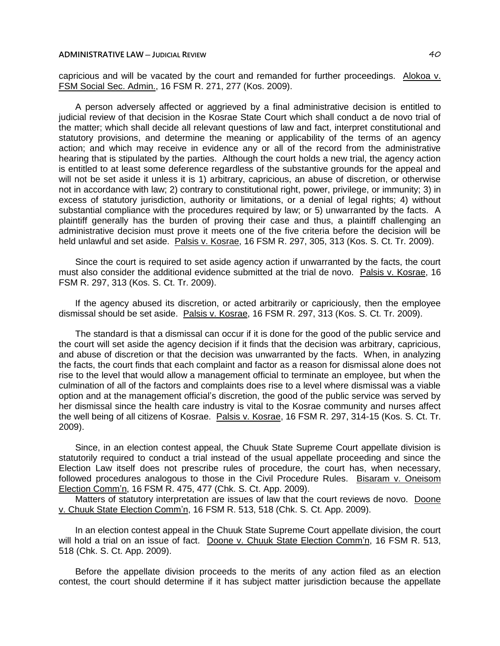capricious and will be vacated by the court and remanded for further proceedings. Alokoa v. FSM Social Sec. Admin., 16 FSM R. 271, 277 (Kos. 2009).

A person adversely affected or aggrieved by a final administrative decision is entitled to judicial review of that decision in the Kosrae State Court which shall conduct a de novo trial of the matter; which shall decide all relevant questions of law and fact, interpret constitutional and statutory provisions, and determine the meaning or applicability of the terms of an agency action; and which may receive in evidence any or all of the record from the administrative hearing that is stipulated by the parties. Although the court holds a new trial, the agency action is entitled to at least some deference regardless of the substantive grounds for the appeal and will not be set aside it unless it is 1) arbitrary, capricious, an abuse of discretion, or otherwise not in accordance with law; 2) contrary to constitutional right, power, privilege, or immunity; 3) in excess of statutory jurisdiction, authority or limitations, or a denial of legal rights; 4) without substantial compliance with the procedures required by law; or 5) unwarranted by the facts. A plaintiff generally has the burden of proving their case and thus, a plaintiff challenging an administrative decision must prove it meets one of the five criteria before the decision will be held unlawful and set aside. Palsis v. Kosrae, 16 FSM R. 297, 305, 313 (Kos. S. Ct. Tr. 2009).

Since the court is required to set aside agency action if unwarranted by the facts, the court must also consider the additional evidence submitted at the trial de novo. Palsis v. Kosrae, 16 FSM R. 297, 313 (Kos. S. Ct. Tr. 2009).

If the agency abused its discretion, or acted arbitrarily or capriciously, then the employee dismissal should be set aside. Palsis v. Kosrae, 16 FSM R. 297, 313 (Kos. S. Ct. Tr. 2009).

The standard is that a dismissal can occur if it is done for the good of the public service and the court will set aside the agency decision if it finds that the decision was arbitrary, capricious, and abuse of discretion or that the decision was unwarranted by the facts. When, in analyzing the facts, the court finds that each complaint and factor as a reason for dismissal alone does not rise to the level that would allow a management official to terminate an employee, but when the culmination of all of the factors and complaints does rise to a level where dismissal was a viable option and at the management official's discretion, the good of the public service was served by her dismissal since the health care industry is vital to the Kosrae community and nurses affect the well being of all citizens of Kosrae. Palsis v. Kosrae, 16 FSM R. 297, 314-15 (Kos. S. Ct. Tr. 2009).

Since, in an election contest appeal, the Chuuk State Supreme Court appellate division is statutorily required to conduct a trial instead of the usual appellate proceeding and since the Election Law itself does not prescribe rules of procedure, the court has, when necessary, followed procedures analogous to those in the Civil Procedure Rules. Bisaram v. Oneisom Election Comm'n, 16 FSM R. 475, 477 (Chk. S. Ct. App. 2009).

Matters of statutory interpretation are issues of law that the court reviews de novo. Doone v. Chuuk State Election Comm'n, 16 FSM R. 513, 518 (Chk. S. Ct. App. 2009).

In an election contest appeal in the Chuuk State Supreme Court appellate division, the court will hold a trial on an issue of fact. Doone v. Chuuk State Election Comm'n, 16 FSM R. 513, 518 (Chk. S. Ct. App. 2009).

Before the appellate division proceeds to the merits of any action filed as an election contest, the court should determine if it has subject matter jurisdiction because the appellate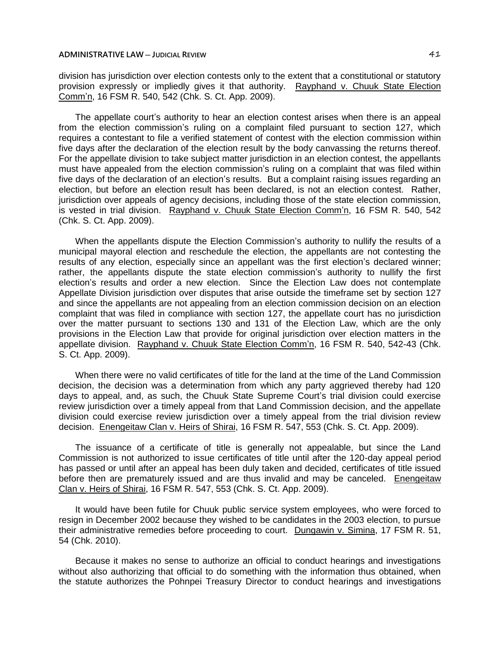division has jurisdiction over election contests only to the extent that a constitutional or statutory provision expressly or impliedly gives it that authority. Rayphand v. Chuuk State Election Comm'n, 16 FSM R. 540, 542 (Chk. S. Ct. App. 2009).

The appellate court's authority to hear an election contest arises when there is an appeal from the election commission's ruling on a complaint filed pursuant to section 127, which requires a contestant to file a verified statement of contest with the election commission within five days after the declaration of the election result by the body canvassing the returns thereof. For the appellate division to take subject matter jurisdiction in an election contest, the appellants must have appealed from the election commission's ruling on a complaint that was filed within five days of the declaration of an election's results. But a complaint raising issues regarding an election, but before an election result has been declared, is not an election contest. Rather, jurisdiction over appeals of agency decisions, including those of the state election commission, is vested in trial division. Rayphand v. Chuuk State Election Comm'n, 16 FSM R. 540, 542 (Chk. S. Ct. App. 2009).

When the appellants dispute the Election Commission's authority to nullify the results of a municipal mayoral election and reschedule the election, the appellants are not contesting the results of any election, especially since an appellant was the first election's declared winner; rather, the appellants dispute the state election commission's authority to nullify the first election's results and order a new election. Since the Election Law does not contemplate Appellate Division jurisdiction over disputes that arise outside the timeframe set by section 127 and since the appellants are not appealing from an election commission decision on an election complaint that was filed in compliance with section 127, the appellate court has no jurisdiction over the matter pursuant to sections 130 and 131 of the Election Law, which are the only provisions in the Election Law that provide for original jurisdiction over election matters in the appellate division. Rayphand v. Chuuk State Election Comm'n, 16 FSM R. 540, 542-43 (Chk. S. Ct. App. 2009).

When there were no valid certificates of title for the land at the time of the Land Commission decision, the decision was a determination from which any party aggrieved thereby had 120 days to appeal, and, as such, the Chuuk State Supreme Court's trial division could exercise review jurisdiction over a timely appeal from that Land Commission decision, and the appellate division could exercise review jurisdiction over a timely appeal from the trial division review decision. Enengeitaw Clan v. Heirs of Shirai, 16 FSM R. 547, 553 (Chk. S. Ct. App. 2009).

The issuance of a certificate of title is generally not appealable, but since the Land Commission is not authorized to issue certificates of title until after the 120-day appeal period has passed or until after an appeal has been duly taken and decided, certificates of title issued before then are prematurely issued and are thus invalid and may be canceled. Enengeitaw Clan v. Heirs of Shirai, 16 FSM R. 547, 553 (Chk. S. Ct. App. 2009).

It would have been futile for Chuuk public service system employees, who were forced to resign in December 2002 because they wished to be candidates in the 2003 election, to pursue their administrative remedies before proceeding to court. Dungawin v. Simina, 17 FSM R. 51, 54 (Chk. 2010).

Because it makes no sense to authorize an official to conduct hearings and investigations without also authorizing that official to do something with the information thus obtained, when the statute authorizes the Pohnpei Treasury Director to conduct hearings and investigations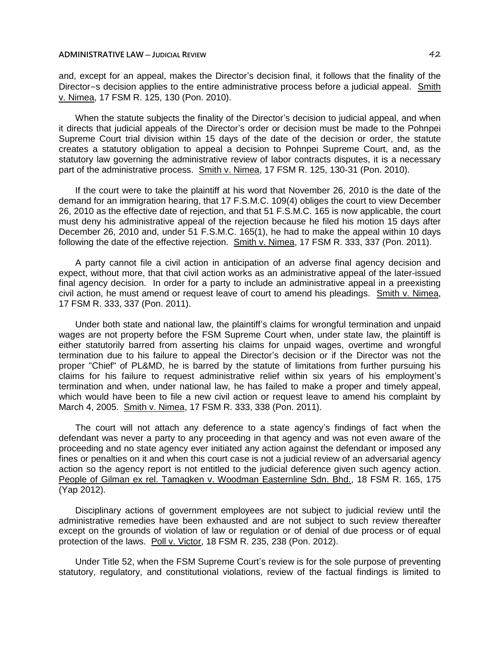and, except for an appeal, makes the Director's decision final, it follows that the finality of the Director=s decision applies to the entire administrative process before a judicial appeal. Smith v. Nimea, 17 FSM R. 125, 130 (Pon. 2010).

When the statute subjects the finality of the Director's decision to judicial appeal, and when it directs that judicial appeals of the Director's order or decision must be made to the Pohnpei Supreme Court trial division within 15 days of the date of the decision or order, the statute creates a statutory obligation to appeal a decision to Pohnpei Supreme Court, and, as the statutory law governing the administrative review of labor contracts disputes, it is a necessary part of the administrative process. Smith v. Nimea, 17 FSM R. 125, 130-31 (Pon. 2010).

If the court were to take the plaintiff at his word that November 26, 2010 is the date of the demand for an immigration hearing, that 17 F.S.M.C. 109(4) obliges the court to view December 26, 2010 as the effective date of rejection, and that 51 F.S.M.C. 165 is now applicable, the court must deny his administrative appeal of the rejection because he filed his motion 15 days after December 26, 2010 and, under 51 F.S.M.C. 165(1), he had to make the appeal within 10 days following the date of the effective rejection. Smith v. Nimea, 17 FSM R. 333, 337 (Pon. 2011).

A party cannot file a civil action in anticipation of an adverse final agency decision and expect, without more, that that civil action works as an administrative appeal of the later-issued final agency decision. In order for a party to include an administrative appeal in a preexisting civil action, he must amend or request leave of court to amend his pleadings. Smith v. Nimea, 17 FSM R. 333, 337 (Pon. 2011).

Under both state and national law, the plaintiff's claims for wrongful termination and unpaid wages are not property before the FSM Supreme Court when, under state law, the plaintiff is either statutorily barred from asserting his claims for unpaid wages, overtime and wrongful termination due to his failure to appeal the Director's decision or if the Director was not the proper "Chief" of PL&MD, he is barred by the statute of limitations from further pursuing his claims for his failure to request administrative relief within six years of his employment's termination and when, under national law, he has failed to make a proper and timely appeal, which would have been to file a new civil action or request leave to amend his complaint by March 4, 2005. Smith v. Nimea, 17 FSM R. 333, 338 (Pon. 2011).

The court will not attach any deference to a state agency's findings of fact when the defendant was never a party to any proceeding in that agency and was not even aware of the proceeding and no state agency ever initiated any action against the defendant or imposed any fines or penalties on it and when this court case is not a judicial review of an adversarial agency action so the agency report is not entitled to the judicial deference given such agency action. People of Gilman ex rel. Tamagken v. Woodman Easternline Sdn. Bhd., 18 FSM R. 165, 175 (Yap 2012).

Disciplinary actions of government employees are not subject to judicial review until the administrative remedies have been exhausted and are not subject to such review thereafter except on the grounds of violation of law or regulation or of denial of due process or of equal protection of the laws. Poll v. Victor, 18 FSM R. 235, 238 (Pon. 2012).

Under Title 52, when the FSM Supreme Court's review is for the sole purpose of preventing statutory, regulatory, and constitutional violations, review of the factual findings is limited to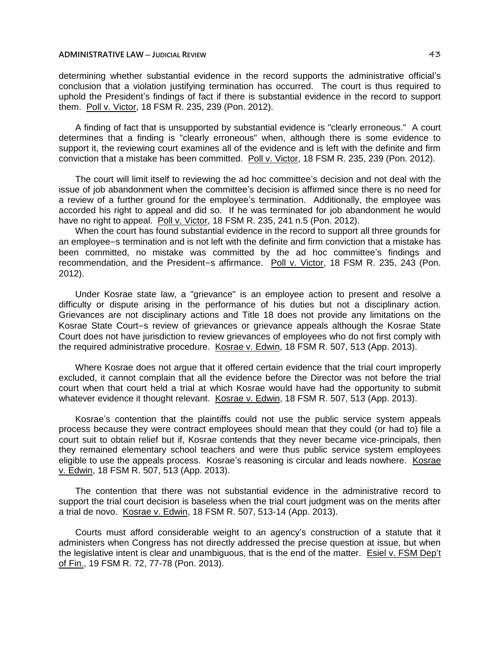determining whether substantial evidence in the record supports the administrative official's conclusion that a violation justifying termination has occurred. The court is thus required to uphold the President's findings of fact if there is substantial evidence in the record to support them. Poll v. Victor, 18 FSM R. 235, 239 (Pon. 2012).

A finding of fact that is unsupported by substantial evidence is "clearly erroneous." A court determines that a finding is "clearly erroneous" when, although there is some evidence to support it, the reviewing court examines all of the evidence and is left with the definite and firm conviction that a mistake has been committed. Poll v. Victor, 18 FSM R. 235, 239 (Pon. 2012).

The court will limit itself to reviewing the ad hoc committee's decision and not deal with the issue of job abandonment when the committee's decision is affirmed since there is no need for a review of a further ground for the employee's termination. Additionally, the employee was accorded his right to appeal and did so. If he was terminated for job abandonment he would have no right to appeal. Poll v. Victor, 18 FSM R. 235, 241 n.5 (Pon. 2012).

When the court has found substantial evidence in the record to support all three grounds for an employee=s termination and is not left with the definite and firm conviction that a mistake has been committed, no mistake was committed by the ad hoc committee's findings and recommendation, and the President=s affirmance. Poll v. Victor, 18 FSM R. 235, 243 (Pon. 2012).

Under Kosrae state law, a "grievance" is an employee action to present and resolve a difficulty or dispute arising in the performance of his duties but not a disciplinary action. Grievances are not disciplinary actions and Title 18 does not provide any limitations on the Kosrae State Court=s review of grievances or grievance appeals although the Kosrae State Court does not have jurisdiction to review grievances of employees who do not first comply with the required administrative procedure. Kosrae v. Edwin, 18 FSM R. 507, 513 (App. 2013).

Where Kosrae does not argue that it offered certain evidence that the trial court improperly excluded, it cannot complain that all the evidence before the Director was not before the trial court when that court held a trial at which Kosrae would have had the opportunity to submit whatever evidence it thought relevant. Kosrae v. Edwin, 18 FSM R. 507, 513 (App. 2013).

Kosrae's contention that the plaintiffs could not use the public service system appeals process because they were contract employees should mean that they could (or had to) file a court suit to obtain relief but if, Kosrae contends that they never became vice-principals, then they remained elementary school teachers and were thus public service system employees eligible to use the appeals process. Kosrae's reasoning is circular and leads nowhere. Kosrae v. Edwin, 18 FSM R. 507, 513 (App. 2013).

The contention that there was not substantial evidence in the administrative record to support the trial court decision is baseless when the trial court judgment was on the merits after a trial de novo. Kosrae v. Edwin, 18 FSM R. 507, 513-14 (App. 2013).

Courts must afford considerable weight to an agency's construction of a statute that it administers when Congress has not directly addressed the precise question at issue, but when the legislative intent is clear and unambiguous, that is the end of the matter. Esiel v. FSM Dep't of Fin., 19 FSM R. 72, 77-78 (Pon. 2013).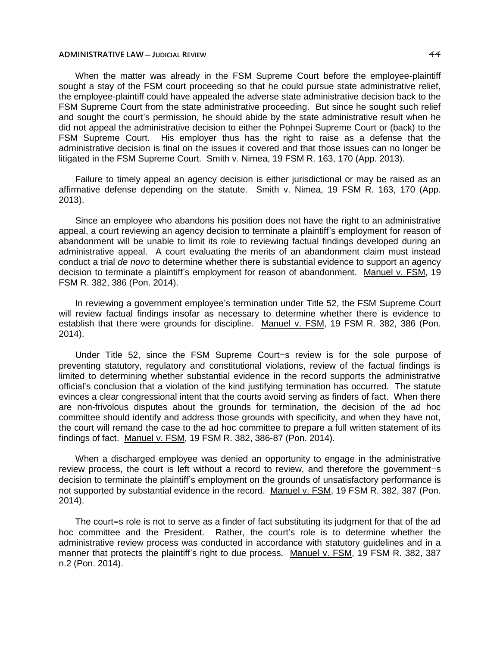When the matter was already in the FSM Supreme Court before the employee-plaintiff sought a stay of the FSM court proceeding so that he could pursue state administrative relief. the employee-plaintiff could have appealed the adverse state administrative decision back to the FSM Supreme Court from the state administrative proceeding. But since he sought such relief and sought the court's permission, he should abide by the state administrative result when he did not appeal the administrative decision to either the Pohnpei Supreme Court or (back) to the FSM Supreme Court. His employer thus has the right to raise as a defense that the administrative decision is final on the issues it covered and that those issues can no longer be litigated in the FSM Supreme Court. Smith v. Nimea, 19 FSM R. 163, 170 (App. 2013).

Failure to timely appeal an agency decision is either jurisdictional or may be raised as an affirmative defense depending on the statute. Smith v. Nimea, 19 FSM R. 163, 170 (App. 2013).

Since an employee who abandons his position does not have the right to an administrative appeal, a court reviewing an agency decision to terminate a plaintiff's employment for reason of abandonment will be unable to limit its role to reviewing factual findings developed during an administrative appeal. A court evaluating the merits of an abandonment claim must instead conduct a trial *de novo* to determine whether there is substantial evidence to support an agency decision to terminate a plaintiff's employment for reason of abandonment. Manuel v. FSM, 19 FSM R. 382, 386 (Pon. 2014).

In reviewing a government employee's termination under Title 52, the FSM Supreme Court will review factual findings insofar as necessary to determine whether there is evidence to establish that there were grounds for discipline. Manuel v. FSM, 19 FSM R. 382, 386 (Pon. 2014).

Under Title 52, since the FSM Supreme Court=s review is for the sole purpose of preventing statutory, regulatory and constitutional violations, review of the factual findings is limited to determining whether substantial evidence in the record supports the administrative official's conclusion that a violation of the kind justifying termination has occurred. The statute evinces a clear congressional intent that the courts avoid serving as finders of fact. When there are non-frivolous disputes about the grounds for termination, the decision of the ad hoc committee should identify and address those grounds with specificity, and when they have not, the court will remand the case to the ad hoc committee to prepare a full written statement of its findings of fact. Manuel v. FSM, 19 FSM R. 382, 386-87 (Pon. 2014).

When a discharged employee was denied an opportunity to engage in the administrative review process, the court is left without a record to review, and therefore the government=s decision to terminate the plaintiff's employment on the grounds of unsatisfactory performance is not supported by substantial evidence in the record. Manuel v. FSM, 19 FSM R. 382, 387 (Pon. 2014).

The court=s role is not to serve as a finder of fact substituting its judgment for that of the ad hoc committee and the President. Rather, the court's role is to determine whether the administrative review process was conducted in accordance with statutory guidelines and in a manner that protects the plaintiff's right to due process. Manuel v. FSM, 19 FSM R. 382, 387 n.2 (Pon. 2014).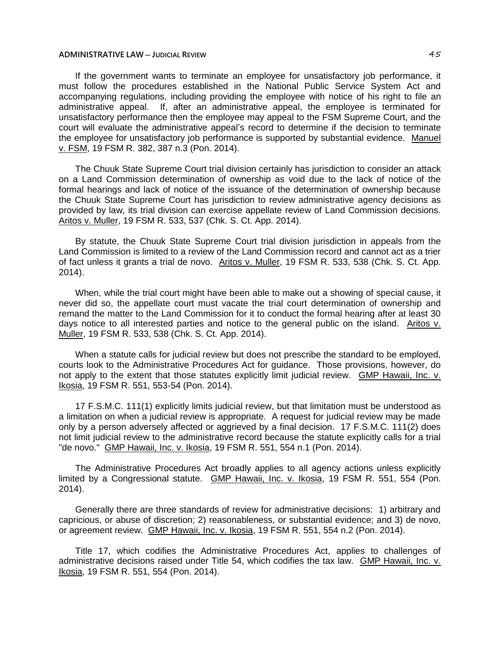If the government wants to terminate an employee for unsatisfactory job performance, it must follow the procedures established in the National Public Service System Act and accompanying regulations, including providing the employee with notice of his right to file an administrative appeal. If, after an administrative appeal, the employee is terminated for unsatisfactory performance then the employee may appeal to the FSM Supreme Court, and the court will evaluate the administrative appeal's record to determine if the decision to terminate the employee for unsatisfactory job performance is supported by substantial evidence. Manuel v. FSM, 19 FSM R. 382, 387 n.3 (Pon. 2014).

The Chuuk State Supreme Court trial division certainly has jurisdiction to consider an attack on a Land Commission determination of ownership as void due to the lack of notice of the formal hearings and lack of notice of the issuance of the determination of ownership because the Chuuk State Supreme Court has jurisdiction to review administrative agency decisions as provided by law, its trial division can exercise appellate review of Land Commission decisions. Aritos v. Muller, 19 FSM R. 533, 537 (Chk. S. Ct. App. 2014).

By statute, the Chuuk State Supreme Court trial division jurisdiction in appeals from the Land Commission is limited to a review of the Land Commission record and cannot act as a trier of fact unless it grants a trial de novo. Aritos v. Muller, 19 FSM R. 533, 538 (Chk. S. Ct. App. 2014).

When, while the trial court might have been able to make out a showing of special cause, it never did so, the appellate court must vacate the trial court determination of ownership and remand the matter to the Land Commission for it to conduct the formal hearing after at least 30 days notice to all interested parties and notice to the general public on the island. Aritos v. Muller, 19 FSM R. 533, 538 (Chk. S. Ct. App. 2014).

When a statute calls for judicial review but does not prescribe the standard to be employed, courts look to the Administrative Procedures Act for guidance. Those provisions, however, do not apply to the extent that those statutes explicitly limit judicial review. GMP Hawaii, Inc. v. Ikosia, 19 FSM R. 551, 553-54 (Pon. 2014).

17 F.S.M.C. 111(1) explicitly limits judicial review, but that limitation must be understood as a limitation on when a judicial review is appropriate. A request for judicial review may be made only by a person adversely affected or aggrieved by a final decision. 17 F.S.M.C. 111(2) does not limit judicial review to the administrative record because the statute explicitly calls for a trial "de novo." GMP Hawaii, Inc. v. Ikosia, 19 FSM R. 551, 554 n.1 (Pon. 2014).

The Administrative Procedures Act broadly applies to all agency actions unless explicitly limited by a Congressional statute. GMP Hawaii, Inc. v. Ikosia, 19 FSM R. 551, 554 (Pon. 2014).

Generally there are three standards of review for administrative decisions: 1) arbitrary and capricious, or abuse of discretion; 2) reasonableness, or substantial evidence; and 3) de novo, or agreement review. GMP Hawaii, Inc. v. Ikosia, 19 FSM R. 551, 554 n.2 (Pon. 2014).

Title 17, which codifies the Administrative Procedures Act, applies to challenges of administrative decisions raised under Title 54, which codifies the tax law. GMP Hawaii, Inc. v. Ikosia, 19 FSM R. 551, 554 (Pon. 2014).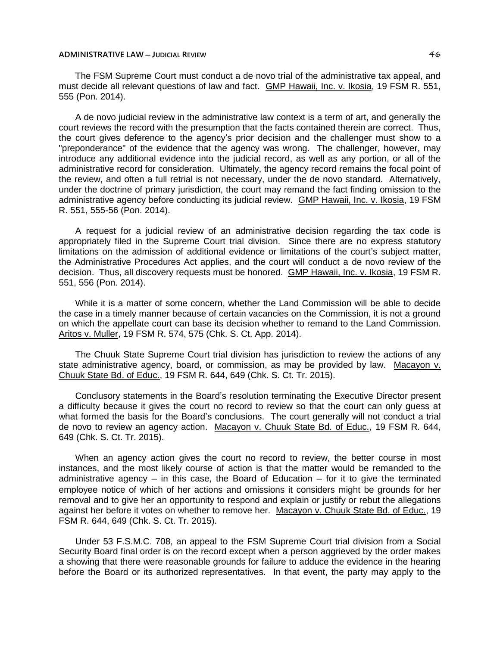The FSM Supreme Court must conduct a de novo trial of the administrative tax appeal, and must decide all relevant questions of law and fact. GMP Hawaii, Inc. v. Ikosia, 19 FSM R. 551, 555 (Pon. 2014).

A de novo judicial review in the administrative law context is a term of art, and generally the court reviews the record with the presumption that the facts contained therein are correct. Thus, the court gives deference to the agency's prior decision and the challenger must show to a "preponderance" of the evidence that the agency was wrong. The challenger, however, may introduce any additional evidence into the judicial record, as well as any portion, or all of the administrative record for consideration. Ultimately, the agency record remains the focal point of the review, and often a full retrial is not necessary, under the de novo standard. Alternatively, under the doctrine of primary jurisdiction, the court may remand the fact finding omission to the administrative agency before conducting its judicial review. GMP Hawaii, Inc. v. Ikosia, 19 FSM R. 551, 555-56 (Pon. 2014).

A request for a judicial review of an administrative decision regarding the tax code is appropriately filed in the Supreme Court trial division. Since there are no express statutory limitations on the admission of additional evidence or limitations of the court's subject matter, the Administrative Procedures Act applies, and the court will conduct a de novo review of the decision. Thus, all discovery requests must be honored. GMP Hawaii, Inc. v. Ikosia, 19 FSM R. 551, 556 (Pon. 2014).

While it is a matter of some concern, whether the Land Commission will be able to decide the case in a timely manner because of certain vacancies on the Commission, it is not a ground on which the appellate court can base its decision whether to remand to the Land Commission. Aritos v. Muller, 19 FSM R. 574, 575 (Chk. S. Ct. App. 2014).

The Chuuk State Supreme Court trial division has jurisdiction to review the actions of any state administrative agency, board, or commission, as may be provided by law. Macayon v. Chuuk State Bd. of Educ., 19 FSM R. 644, 649 (Chk. S. Ct. Tr. 2015).

Conclusory statements in the Board's resolution terminating the Executive Director present a difficulty because it gives the court no record to review so that the court can only guess at what formed the basis for the Board's conclusions. The court generally will not conduct a trial de novo to review an agency action. Macayon v. Chuuk State Bd. of Educ., 19 FSM R. 644, 649 (Chk. S. Ct. Tr. 2015).

When an agency action gives the court no record to review, the better course in most instances, and the most likely course of action is that the matter would be remanded to the administrative agency  $-$  in this case, the Board of Education  $-$  for it to give the terminated employee notice of which of her actions and omissions it considers might be grounds for her removal and to give her an opportunity to respond and explain or justify or rebut the allegations against her before it votes on whether to remove her. Macayon v. Chuuk State Bd. of Educ., 19 FSM R. 644, 649 (Chk. S. Ct. Tr. 2015).

Under 53 F.S.M.C. 708, an appeal to the FSM Supreme Court trial division from a Social Security Board final order is on the record except when a person aggrieved by the order makes a showing that there were reasonable grounds for failure to adduce the evidence in the hearing before the Board or its authorized representatives. In that event, the party may apply to the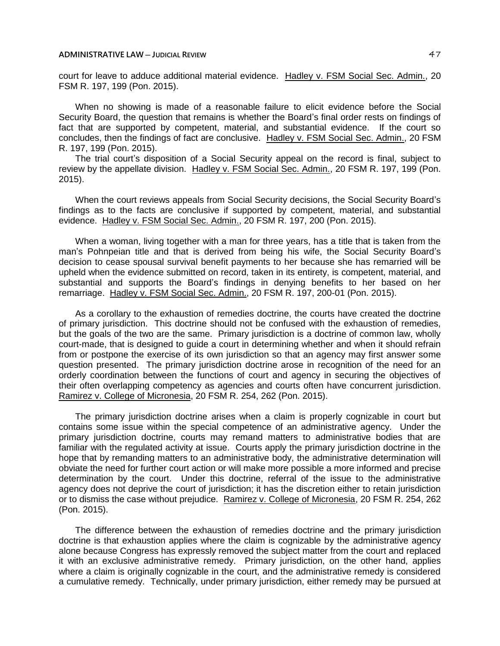court for leave to adduce additional material evidence. Hadley v. FSM Social Sec. Admin., 20 FSM R. 197, 199 (Pon. 2015).

When no showing is made of a reasonable failure to elicit evidence before the Social Security Board, the question that remains is whether the Board's final order rests on findings of fact that are supported by competent, material, and substantial evidence. If the court so concludes, then the findings of fact are conclusive. Hadley v. FSM Social Sec. Admin., 20 FSM R. 197, 199 (Pon. 2015).

The trial court's disposition of a Social Security appeal on the record is final, subject to review by the appellate division. Hadley v. FSM Social Sec. Admin., 20 FSM R. 197, 199 (Pon. 2015).

When the court reviews appeals from Social Security decisions, the Social Security Board's findings as to the facts are conclusive if supported by competent, material, and substantial evidence. Hadley v. FSM Social Sec. Admin., 20 FSM R. 197, 200 (Pon. 2015).

When a woman, living together with a man for three years, has a title that is taken from the man's Pohnpeian title and that is derived from being his wife, the Social Security Board's decision to cease spousal survival benefit payments to her because she has remarried will be upheld when the evidence submitted on record, taken in its entirety, is competent, material, and substantial and supports the Board's findings in denying benefits to her based on her remarriage. Hadley v. FSM Social Sec. Admin., 20 FSM R. 197, 200-01 (Pon. 2015).

As a corollary to the exhaustion of remedies doctrine, the courts have created the doctrine of primary jurisdiction. This doctrine should not be confused with the exhaustion of remedies, but the goals of the two are the same. Primary jurisdiction is a doctrine of common law, wholly court-made, that is designed to guide a court in determining whether and when it should refrain from or postpone the exercise of its own jurisdiction so that an agency may first answer some question presented. The primary jurisdiction doctrine arose in recognition of the need for an orderly coordination between the functions of court and agency in securing the objectives of their often overlapping competency as agencies and courts often have concurrent jurisdiction. Ramirez v. College of Micronesia, 20 FSM R. 254, 262 (Pon. 2015).

The primary jurisdiction doctrine arises when a claim is properly cognizable in court but contains some issue within the special competence of an administrative agency. Under the primary jurisdiction doctrine, courts may remand matters to administrative bodies that are familiar with the regulated activity at issue. Courts apply the primary jurisdiction doctrine in the hope that by remanding matters to an administrative body, the administrative determination will obviate the need for further court action or will make more possible a more informed and precise determination by the court. Under this doctrine, referral of the issue to the administrative agency does not deprive the court of jurisdiction; it has the discretion either to retain jurisdiction or to dismiss the case without prejudice. Ramirez v. College of Micronesia, 20 FSM R. 254, 262 (Pon. 2015).

The difference between the exhaustion of remedies doctrine and the primary jurisdiction doctrine is that exhaustion applies where the claim is cognizable by the administrative agency alone because Congress has expressly removed the subject matter from the court and replaced it with an exclusive administrative remedy. Primary jurisdiction, on the other hand, applies where a claim is originally cognizable in the court, and the administrative remedy is considered a cumulative remedy. Technically, under primary jurisdiction, either remedy may be pursued at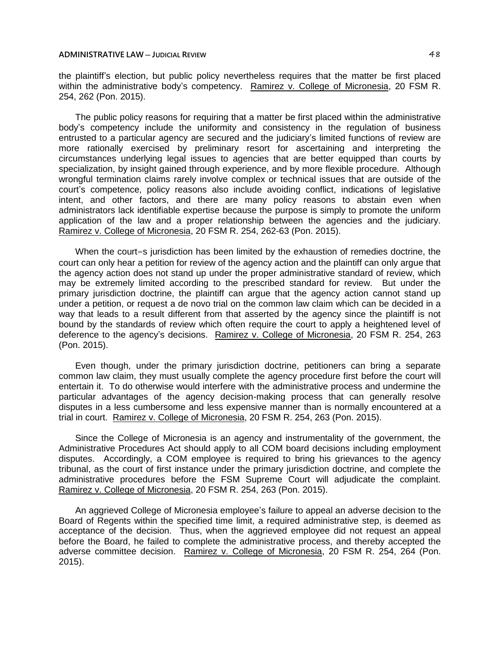the plaintiff's election, but public policy nevertheless requires that the matter be first placed within the administrative body's competency. Ramirez v. College of Micronesia, 20 FSM R. 254, 262 (Pon. 2015).

The public policy reasons for requiring that a matter be first placed within the administrative body's competency include the uniformity and consistency in the regulation of business entrusted to a particular agency are secured and the judiciary's limited functions of review are more rationally exercised by preliminary resort for ascertaining and interpreting the circumstances underlying legal issues to agencies that are better equipped than courts by specialization, by insight gained through experience, and by more flexible procedure. Although wrongful termination claims rarely involve complex or technical issues that are outside of the court's competence, policy reasons also include avoiding conflict, indications of legislative intent, and other factors, and there are many policy reasons to abstain even when administrators lack identifiable expertise because the purpose is simply to promote the uniform application of the law and a proper relationship between the agencies and the judiciary. Ramirez v. College of Micronesia, 20 FSM R. 254, 262-63 (Pon. 2015).

When the court=s jurisdiction has been limited by the exhaustion of remedies doctrine, the court can only hear a petition for review of the agency action and the plaintiff can only argue that the agency action does not stand up under the proper administrative standard of review, which may be extremely limited according to the prescribed standard for review. But under the primary jurisdiction doctrine, the plaintiff can argue that the agency action cannot stand up under a petition, or request a de novo trial on the common law claim which can be decided in a way that leads to a result different from that asserted by the agency since the plaintiff is not bound by the standards of review which often require the court to apply a heightened level of deference to the agency's decisions. Ramirez v. College of Micronesia, 20 FSM R. 254, 263 (Pon. 2015).

Even though, under the primary jurisdiction doctrine, petitioners can bring a separate common law claim, they must usually complete the agency procedure first before the court will entertain it. To do otherwise would interfere with the administrative process and undermine the particular advantages of the agency decision-making process that can generally resolve disputes in a less cumbersome and less expensive manner than is normally encountered at a trial in court. Ramirez v. College of Micronesia, 20 FSM R. 254, 263 (Pon. 2015).

Since the College of Micronesia is an agency and instrumentality of the government, the Administrative Procedures Act should apply to all COM board decisions including employment disputes. Accordingly, a COM employee is required to bring his grievances to the agency tribunal, as the court of first instance under the primary jurisdiction doctrine, and complete the administrative procedures before the FSM Supreme Court will adjudicate the complaint. Ramirez v. College of Micronesia, 20 FSM R. 254, 263 (Pon. 2015).

An aggrieved College of Micronesia employee's failure to appeal an adverse decision to the Board of Regents within the specified time limit, a required administrative step, is deemed as acceptance of the decision. Thus, when the aggrieved employee did not request an appeal before the Board, he failed to complete the administrative process, and thereby accepted the adverse committee decision. Ramirez v. College of Micronesia, 20 FSM R. 254, 264 (Pon. 2015).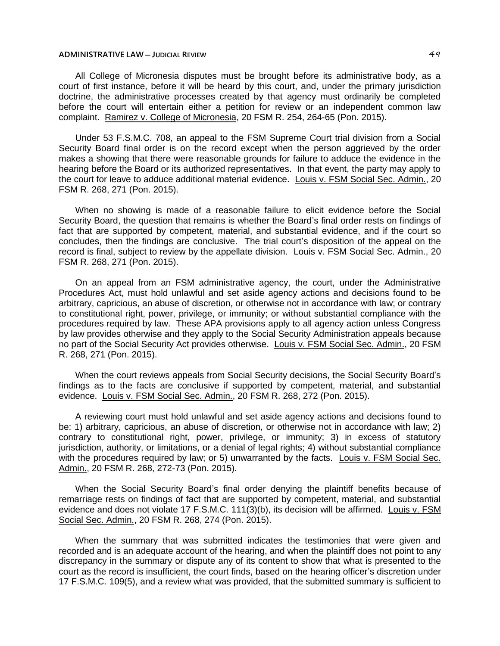All College of Micronesia disputes must be brought before its administrative body, as a court of first instance, before it will be heard by this court, and, under the primary jurisdiction doctrine, the administrative processes created by that agency must ordinarily be completed before the court will entertain either a petition for review or an independent common law complaint. Ramirez v. College of Micronesia, 20 FSM R. 254, 264-65 (Pon. 2015).

Under 53 F.S.M.C. 708, an appeal to the FSM Supreme Court trial division from a Social Security Board final order is on the record except when the person aggrieved by the order makes a showing that there were reasonable grounds for failure to adduce the evidence in the hearing before the Board or its authorized representatives. In that event, the party may apply to the court for leave to adduce additional material evidence. Louis v. FSM Social Sec. Admin., 20 FSM R. 268, 271 (Pon. 2015).

When no showing is made of a reasonable failure to elicit evidence before the Social Security Board, the question that remains is whether the Board's final order rests on findings of fact that are supported by competent, material, and substantial evidence, and if the court so concludes, then the findings are conclusive. The trial court's disposition of the appeal on the record is final, subject to review by the appellate division. Louis v. FSM Social Sec. Admin., 20 FSM R. 268, 271 (Pon. 2015).

On an appeal from an FSM administrative agency, the court, under the Administrative Procedures Act, must hold unlawful and set aside agency actions and decisions found to be arbitrary, capricious, an abuse of discretion, or otherwise not in accordance with law; or contrary to constitutional right, power, privilege, or immunity; or without substantial compliance with the procedures required by law. These APA provisions apply to all agency action unless Congress by law provides otherwise and they apply to the Social Security Administration appeals because no part of the Social Security Act provides otherwise. Louis v. FSM Social Sec. Admin., 20 FSM R. 268, 271 (Pon. 2015).

When the court reviews appeals from Social Security decisions, the Social Security Board's findings as to the facts are conclusive if supported by competent, material, and substantial evidence. Louis v. FSM Social Sec. Admin., 20 FSM R. 268, 272 (Pon. 2015).

A reviewing court must hold unlawful and set aside agency actions and decisions found to be: 1) arbitrary, capricious, an abuse of discretion, or otherwise not in accordance with law; 2) contrary to constitutional right, power, privilege, or immunity; 3) in excess of statutory jurisdiction, authority, or limitations, or a denial of legal rights; 4) without substantial compliance with the procedures required by law; or 5) unwarranted by the facts. Louis v. FSM Social Sec. Admin., 20 FSM R. 268, 272-73 (Pon. 2015).

When the Social Security Board's final order denying the plaintiff benefits because of remarriage rests on findings of fact that are supported by competent, material, and substantial evidence and does not violate 17 F.S.M.C. 111(3)(b), its decision will be affirmed. Louis v. FSM Social Sec. Admin., 20 FSM R. 268, 274 (Pon. 2015).

When the summary that was submitted indicates the testimonies that were given and recorded and is an adequate account of the hearing, and when the plaintiff does not point to any discrepancy in the summary or dispute any of its content to show that what is presented to the court as the record is insufficient, the court finds, based on the hearing officer's discretion under 17 F.S.M.C. 109(5), and a review what was provided, that the submitted summary is sufficient to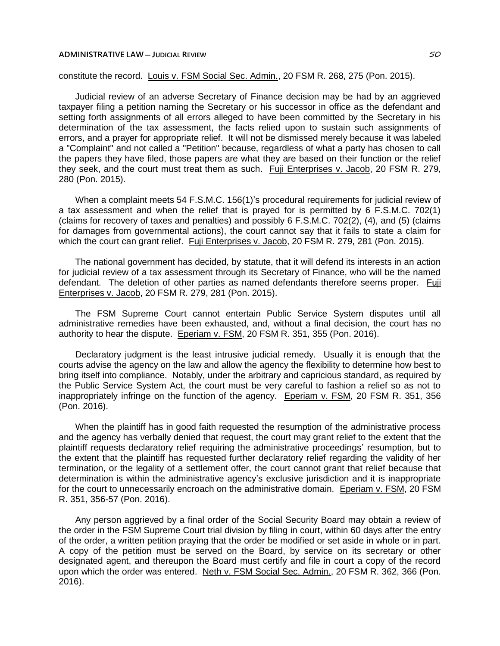constitute the record. Louis v. FSM Social Sec. Admin., 20 FSM R. 268, 275 (Pon. 2015).

Judicial review of an adverse Secretary of Finance decision may be had by an aggrieved taxpayer filing a petition naming the Secretary or his successor in office as the defendant and setting forth assignments of all errors alleged to have been committed by the Secretary in his determination of the tax assessment, the facts relied upon to sustain such assignments of errors, and a prayer for appropriate relief. It will not be dismissed merely because it was labeled a "Complaint" and not called a "Petition" because, regardless of what a party has chosen to call the papers they have filed, those papers are what they are based on their function or the relief they seek, and the court must treat them as such. Fuji Enterprises v. Jacob, 20 FSM R. 279, 280 (Pon. 2015).

When a complaint meets 54 F.S.M.C. 156(1)'s procedural requirements for judicial review of a tax assessment and when the relief that is prayed for is permitted by 6 F.S.M.C. 702(1) (claims for recovery of taxes and penalties) and possibly 6 F.S.M.C. 702(2), (4), and (5) (claims for damages from governmental actions), the court cannot say that it fails to state a claim for which the court can grant relief. Fuji Enterprises v. Jacob, 20 FSM R. 279, 281 (Pon. 2015).

The national government has decided, by statute, that it will defend its interests in an action for judicial review of a tax assessment through its Secretary of Finance, who will be the named defendant. The deletion of other parties as named defendants therefore seems proper. Fuji Enterprises v. Jacob, 20 FSM R. 279, 281 (Pon. 2015).

The FSM Supreme Court cannot entertain Public Service System disputes until all administrative remedies have been exhausted, and, without a final decision, the court has no authority to hear the dispute. Eperiam v. FSM, 20 FSM R. 351, 355 (Pon. 2016).

Declaratory judgment is the least intrusive judicial remedy. Usually it is enough that the courts advise the agency on the law and allow the agency the flexibility to determine how best to bring itself into compliance. Notably, under the arbitrary and capricious standard, as required by the Public Service System Act, the court must be very careful to fashion a relief so as not to inappropriately infringe on the function of the agency. Eperiam v. FSM, 20 FSM R. 351, 356 (Pon. 2016).

When the plaintiff has in good faith requested the resumption of the administrative process and the agency has verbally denied that request, the court may grant relief to the extent that the plaintiff requests declaratory relief requiring the administrative proceedings' resumption, but to the extent that the plaintiff has requested further declaratory relief regarding the validity of her termination, or the legality of a settlement offer, the court cannot grant that relief because that determination is within the administrative agency's exclusive jurisdiction and it is inappropriate for the court to unnecessarily encroach on the administrative domain. Eperiam v. FSM, 20 FSM R. 351, 356-57 (Pon. 2016).

Any person aggrieved by a final order of the Social Security Board may obtain a review of the order in the FSM Supreme Court trial division by filing in court, within 60 days after the entry of the order, a written petition praying that the order be modified or set aside in whole or in part. A copy of the petition must be served on the Board, by service on its secretary or other designated agent, and thereupon the Board must certify and file in court a copy of the record upon which the order was entered. Neth v. FSM Social Sec. Admin., 20 FSM R. 362, 366 (Pon. 2016).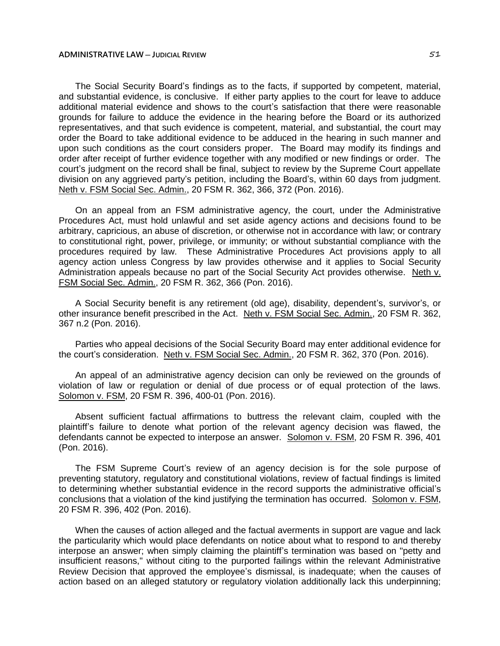The Social Security Board's findings as to the facts, if supported by competent, material, and substantial evidence, is conclusive. If either party applies to the court for leave to adduce additional material evidence and shows to the court's satisfaction that there were reasonable grounds for failure to adduce the evidence in the hearing before the Board or its authorized representatives, and that such evidence is competent, material, and substantial, the court may order the Board to take additional evidence to be adduced in the hearing in such manner and upon such conditions as the court considers proper. The Board may modify its findings and order after receipt of further evidence together with any modified or new findings or order. The court's judgment on the record shall be final, subject to review by the Supreme Court appellate division on any aggrieved party's petition, including the Board's, within 60 days from judgment. Neth v. FSM Social Sec. Admin., 20 FSM R. 362, 366, 372 (Pon. 2016).

On an appeal from an FSM administrative agency, the court, under the Administrative Procedures Act, must hold unlawful and set aside agency actions and decisions found to be arbitrary, capricious, an abuse of discretion, or otherwise not in accordance with law; or contrary to constitutional right, power, privilege, or immunity; or without substantial compliance with the procedures required by law. These Administrative Procedures Act provisions apply to all agency action unless Congress by law provides otherwise and it applies to Social Security Administration appeals because no part of the Social Security Act provides otherwise. Neth v. FSM Social Sec. Admin., 20 FSM R. 362, 366 (Pon. 2016).

A Social Security benefit is any retirement (old age), disability, dependent's, survivor's, or other insurance benefit prescribed in the Act. Neth v. FSM Social Sec. Admin., 20 FSM R. 362, 367 n.2 (Pon. 2016).

Parties who appeal decisions of the Social Security Board may enter additional evidence for the court's consideration. Neth v. FSM Social Sec. Admin., 20 FSM R. 362, 370 (Pon. 2016).

An appeal of an administrative agency decision can only be reviewed on the grounds of violation of law or regulation or denial of due process or of equal protection of the laws. Solomon v. FSM, 20 FSM R. 396, 400-01 (Pon. 2016).

Absent sufficient factual affirmations to buttress the relevant claim, coupled with the plaintiff's failure to denote what portion of the relevant agency decision was flawed, the defendants cannot be expected to interpose an answer. Solomon v. FSM, 20 FSM R. 396, 401 (Pon. 2016).

The FSM Supreme Court's review of an agency decision is for the sole purpose of preventing statutory, regulatory and constitutional violations, review of factual findings is limited to determining whether substantial evidence in the record supports the administrative official's conclusions that a violation of the kind justifying the termination has occurred. Solomon v. FSM, 20 FSM R. 396, 402 (Pon. 2016).

When the causes of action alleged and the factual averments in support are vague and lack the particularity which would place defendants on notice about what to respond to and thereby interpose an answer; when simply claiming the plaintiff's termination was based on "petty and insufficient reasons," without citing to the purported failings within the relevant Administrative Review Decision that approved the employee's dismissal, is inadequate; when the causes of action based on an alleged statutory or regulatory violation additionally lack this underpinning;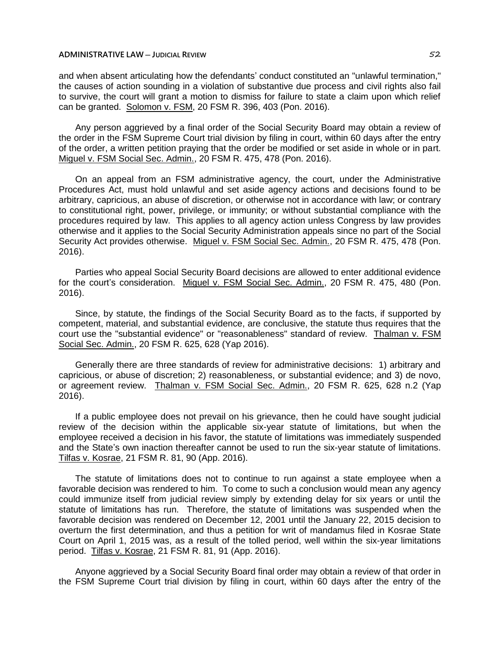and when absent articulating how the defendants' conduct constituted an "unlawful termination," the causes of action sounding in a violation of substantive due process and civil rights also fail to survive, the court will grant a motion to dismiss for failure to state a claim upon which relief can be granted. Solomon v. FSM, 20 FSM R. 396, 403 (Pon. 2016).

Any person aggrieved by a final order of the Social Security Board may obtain a review of the order in the FSM Supreme Court trial division by filing in court, within 60 days after the entry of the order, a written petition praying that the order be modified or set aside in whole or in part. Miguel v. FSM Social Sec. Admin., 20 FSM R. 475, 478 (Pon. 2016).

On an appeal from an FSM administrative agency, the court, under the Administrative Procedures Act, must hold unlawful and set aside agency actions and decisions found to be arbitrary, capricious, an abuse of discretion, or otherwise not in accordance with law; or contrary to constitutional right, power, privilege, or immunity; or without substantial compliance with the procedures required by law. This applies to all agency action unless Congress by law provides otherwise and it applies to the Social Security Administration appeals since no part of the Social Security Act provides otherwise. Miguel v. FSM Social Sec. Admin., 20 FSM R. 475, 478 (Pon. 2016).

Parties who appeal Social Security Board decisions are allowed to enter additional evidence for the court's consideration. Miguel v. FSM Social Sec. Admin., 20 FSM R. 475, 480 (Pon. 2016).

Since, by statute, the findings of the Social Security Board as to the facts, if supported by competent, material, and substantial evidence, are conclusive, the statute thus requires that the court use the "substantial evidence" or "reasonableness" standard of review. Thalman v. FSM Social Sec. Admin., 20 FSM R. 625, 628 (Yap 2016).

Generally there are three standards of review for administrative decisions: 1) arbitrary and capricious, or abuse of discretion; 2) reasonableness, or substantial evidence; and 3) de novo, or agreement review. Thalman v. FSM Social Sec. Admin., 20 FSM R. 625, 628 n.2 (Yap 2016).

If a public employee does not prevail on his grievance, then he could have sought judicial review of the decision within the applicable six-year statute of limitations, but when the employee received a decision in his favor, the statute of limitations was immediately suspended and the State's own inaction thereafter cannot be used to run the six-year statute of limitations. Tilfas v. Kosrae, 21 FSM R. 81, 90 (App. 2016).

The statute of limitations does not to continue to run against a state employee when a favorable decision was rendered to him. To come to such a conclusion would mean any agency could immunize itself from judicial review simply by extending delay for six years or until the statute of limitations has run. Therefore, the statute of limitations was suspended when the favorable decision was rendered on December 12, 2001 until the January 22, 2015 decision to overturn the first determination, and thus a petition for writ of mandamus filed in Kosrae State Court on April 1, 2015 was, as a result of the tolled period, well within the six-year limitations period. Tilfas v. Kosrae, 21 FSM R. 81, 91 (App. 2016).

Anyone aggrieved by a Social Security Board final order may obtain a review of that order in the FSM Supreme Court trial division by filing in court, within 60 days after the entry of the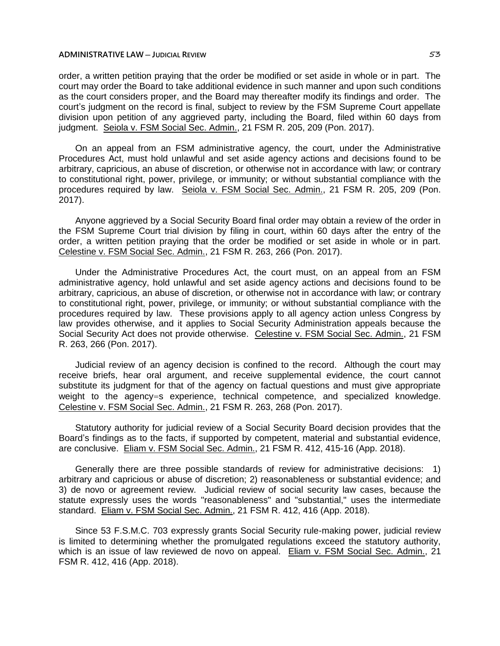order, a written petition praying that the order be modified or set aside in whole or in part. The court may order the Board to take additional evidence in such manner and upon such conditions as the court considers proper, and the Board may thereafter modify its findings and order. The court's judgment on the record is final, subject to review by the FSM Supreme Court appellate division upon petition of any aggrieved party, including the Board, filed within 60 days from judgment. Seiola v. FSM Social Sec. Admin., 21 FSM R. 205, 209 (Pon. 2017).

On an appeal from an FSM administrative agency, the court, under the Administrative Procedures Act, must hold unlawful and set aside agency actions and decisions found to be arbitrary, capricious, an abuse of discretion, or otherwise not in accordance with law; or contrary to constitutional right, power, privilege, or immunity; or without substantial compliance with the procedures required by law. Seiola v. FSM Social Sec. Admin., 21 FSM R. 205, 209 (Pon. 2017).

Anyone aggrieved by a Social Security Board final order may obtain a review of the order in the FSM Supreme Court trial division by filing in court, within 60 days after the entry of the order, a written petition praying that the order be modified or set aside in whole or in part. Celestine v. FSM Social Sec. Admin., 21 FSM R. 263, 266 (Pon. 2017).

Under the Administrative Procedures Act, the court must, on an appeal from an FSM administrative agency, hold unlawful and set aside agency actions and decisions found to be arbitrary, capricious, an abuse of discretion, or otherwise not in accordance with law; or contrary to constitutional right, power, privilege, or immunity; or without substantial compliance with the procedures required by law. These provisions apply to all agency action unless Congress by law provides otherwise, and it applies to Social Security Administration appeals because the Social Security Act does not provide otherwise. Celestine v. FSM Social Sec. Admin., 21 FSM R. 263, 266 (Pon. 2017).

Judicial review of an agency decision is confined to the record. Although the court may receive briefs, hear oral argument, and receive supplemental evidence, the court cannot substitute its judgment for that of the agency on factual questions and must give appropriate weight to the agency=s experience, technical competence, and specialized knowledge. Celestine v. FSM Social Sec. Admin., 21 FSM R. 263, 268 (Pon. 2017).

Statutory authority for judicial review of a Social Security Board decision provides that the Board's findings as to the facts, if supported by competent, material and substantial evidence, are conclusive. Eliam v. FSM Social Sec. Admin., 21 FSM R. 412, 415-16 (App. 2018).

Generally there are three possible standards of review for administrative decisions: 1) arbitrary and capricious or abuse of discretion; 2) reasonableness or substantial evidence; and 3) de novo or agreement review. Judicial review of social security law cases, because the statute expressly uses the words "reasonableness" and "substantial," uses the intermediate standard. Eliam v. FSM Social Sec. Admin., 21 FSM R. 412, 416 (App. 2018).

Since 53 F.S.M.C. 703 expressly grants Social Security rule-making power, judicial review is limited to determining whether the promulgated regulations exceed the statutory authority, which is an issue of law reviewed de novo on appeal. Eliam v. FSM Social Sec. Admin., 21 FSM R. 412, 416 (App. 2018).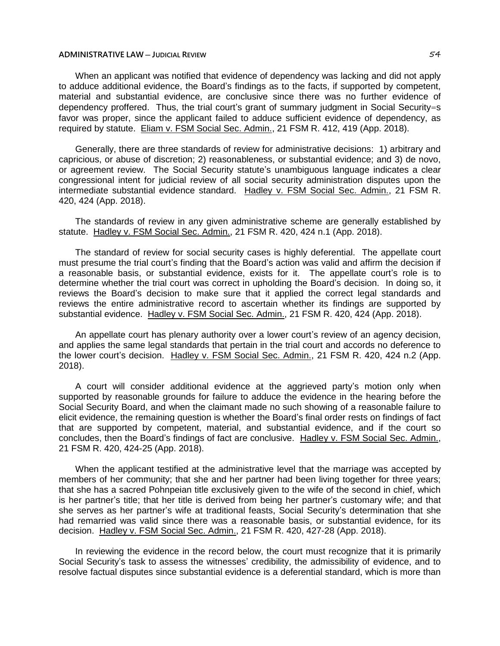When an applicant was notified that evidence of dependency was lacking and did not apply to adduce additional evidence, the Board's findings as to the facts, if supported by competent, material and substantial evidence, are conclusive since there was no further evidence of dependency proffered. Thus, the trial court's grant of summary judgment in Social Security=s favor was proper, since the applicant failed to adduce sufficient evidence of dependency, as required by statute. Eliam v. FSM Social Sec. Admin., 21 FSM R. 412, 419 (App. 2018).

Generally, there are three standards of review for administrative decisions: 1) arbitrary and capricious, or abuse of discretion; 2) reasonableness, or substantial evidence; and 3) de novo, or agreement review. The Social Security statute's unambiguous language indicates a clear congressional intent for judicial review of all social security administration disputes upon the intermediate substantial evidence standard. Hadley v. FSM Social Sec. Admin., 21 FSM R. 420, 424 (App. 2018).

The standards of review in any given administrative scheme are generally established by statute. Hadley v. FSM Social Sec. Admin., 21 FSM R. 420, 424 n.1 (App. 2018).

The standard of review for social security cases is highly deferential. The appellate court must presume the trial court's finding that the Board's action was valid and affirm the decision if a reasonable basis, or substantial evidence, exists for it. The appellate court's role is to determine whether the trial court was correct in upholding the Board's decision. In doing so, it reviews the Board's decision to make sure that it applied the correct legal standards and reviews the entire administrative record to ascertain whether its findings are supported by substantial evidence. Hadley v. FSM Social Sec. Admin., 21 FSM R. 420, 424 (App. 2018).

An appellate court has plenary authority over a lower court's review of an agency decision, and applies the same legal standards that pertain in the trial court and accords no deference to the lower court's decision. Hadley v. FSM Social Sec. Admin., 21 FSM R. 420, 424 n.2 (App. 2018).

A court will consider additional evidence at the aggrieved party's motion only when supported by reasonable grounds for failure to adduce the evidence in the hearing before the Social Security Board, and when the claimant made no such showing of a reasonable failure to elicit evidence, the remaining question is whether the Board's final order rests on findings of fact that are supported by competent, material, and substantial evidence, and if the court so concludes, then the Board's findings of fact are conclusive. Hadley v. FSM Social Sec. Admin., 21 FSM R. 420, 424-25 (App. 2018).

When the applicant testified at the administrative level that the marriage was accepted by members of her community; that she and her partner had been living together for three years; that she has a sacred Pohnpeian title exclusively given to the wife of the second in chief, which is her partner's title; that her title is derived from being her partner's customary wife; and that she serves as her partner's wife at traditional feasts, Social Security's determination that she had remarried was valid since there was a reasonable basis, or substantial evidence, for its decision. Hadley v. FSM Social Sec. Admin., 21 FSM R. 420, 427-28 (App. 2018).

In reviewing the evidence in the record below, the court must recognize that it is primarily Social Security's task to assess the witnesses' credibility, the admissibility of evidence, and to resolve factual disputes since substantial evidence is a deferential standard, which is more than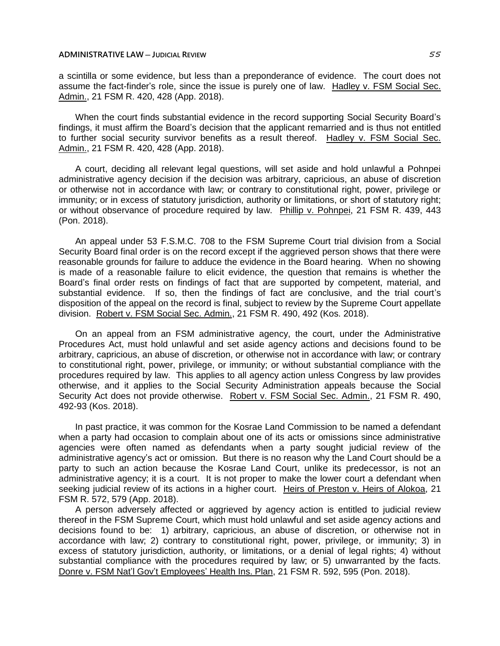a scintilla or some evidence, but less than a preponderance of evidence. The court does not assume the fact-finder's role, since the issue is purely one of law. Hadley v. FSM Social Sec. Admin., 21 FSM R. 420, 428 (App. 2018).

When the court finds substantial evidence in the record supporting Social Security Board's findings, it must affirm the Board's decision that the applicant remarried and is thus not entitled to further social security survivor benefits as a result thereof. Hadley v. FSM Social Sec. Admin., 21 FSM R. 420, 428 (App. 2018).

A court, deciding all relevant legal questions, will set aside and hold unlawful a Pohnpei administrative agency decision if the decision was arbitrary, capricious, an abuse of discretion or otherwise not in accordance with law; or contrary to constitutional right, power, privilege or immunity; or in excess of statutory jurisdiction, authority or limitations, or short of statutory right; or without observance of procedure required by law. Phillip v. Pohnpei, 21 FSM R. 439, 443 (Pon. 2018).

An appeal under 53 F.S.M.C. 708 to the FSM Supreme Court trial division from a Social Security Board final order is on the record except if the aggrieved person shows that there were reasonable grounds for failure to adduce the evidence in the Board hearing. When no showing is made of a reasonable failure to elicit evidence, the question that remains is whether the Board's final order rests on findings of fact that are supported by competent, material, and substantial evidence. If so, then the findings of fact are conclusive, and the trial court's disposition of the appeal on the record is final, subject to review by the Supreme Court appellate division. Robert v. FSM Social Sec. Admin., 21 FSM R. 490, 492 (Kos. 2018).

On an appeal from an FSM administrative agency, the court, under the Administrative Procedures Act, must hold unlawful and set aside agency actions and decisions found to be arbitrary, capricious, an abuse of discretion, or otherwise not in accordance with law; or contrary to constitutional right, power, privilege, or immunity; or without substantial compliance with the procedures required by law. This applies to all agency action unless Congress by law provides otherwise, and it applies to the Social Security Administration appeals because the Social Security Act does not provide otherwise. Robert v. FSM Social Sec. Admin., 21 FSM R. 490, 492-93 (Kos. 2018).

In past practice, it was common for the Kosrae Land Commission to be named a defendant when a party had occasion to complain about one of its acts or omissions since administrative agencies were often named as defendants when a party sought judicial review of the administrative agency's act or omission. But there is no reason why the Land Court should be a party to such an action because the Kosrae Land Court, unlike its predecessor, is not an administrative agency; it is a court. It is not proper to make the lower court a defendant when seeking judicial review of its actions in a higher court. Heirs of Preston v. Heirs of Alokoa, 21 FSM R. 572, 579 (App. 2018).

A person adversely affected or aggrieved by agency action is entitled to judicial review thereof in the FSM Supreme Court, which must hold unlawful and set aside agency actions and decisions found to be: 1) arbitrary, capricious, an abuse of discretion, or otherwise not in accordance with law; 2) contrary to constitutional right, power, privilege, or immunity; 3) in excess of statutory jurisdiction, authority, or limitations, or a denial of legal rights; 4) without substantial compliance with the procedures required by law; or 5) unwarranted by the facts. Donre v. FSM Nat'l Gov't Employees' Health Ins. Plan, 21 FSM R. 592, 595 (Pon. 2018).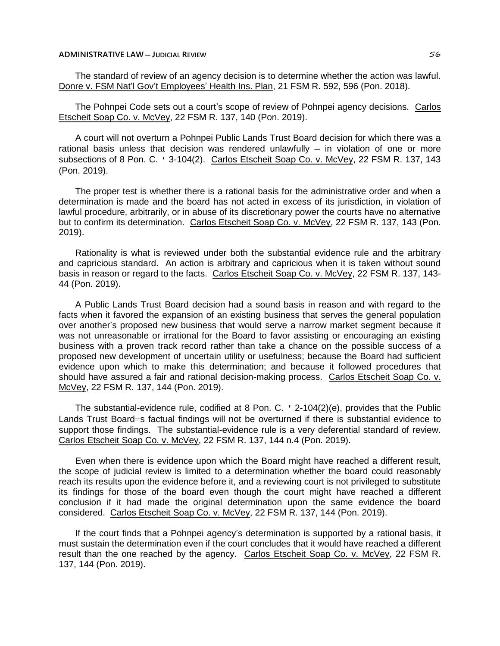The standard of review of an agency decision is to determine whether the action was lawful. Donre v. FSM Nat'l Gov't Employees' Health Ins. Plan, 21 FSM R. 592, 596 (Pon. 2018).

The Pohnpei Code sets out a court's scope of review of Pohnpei agency decisions. Carlos Etscheit Soap Co. v. McVey, 22 FSM R. 137, 140 (Pon. 2019).

A court will not overturn a Pohnpei Public Lands Trust Board decision for which there was a rational basis unless that decision was rendered unlawfully  $-$  in violation of one or more subsections of 8 Pon. C. ' 3-104(2). Carlos Etscheit Soap Co. v. McVey, 22 FSM R. 137, 143 (Pon. 2019).

The proper test is whether there is a rational basis for the administrative order and when a determination is made and the board has not acted in excess of its jurisdiction, in violation of lawful procedure, arbitrarily, or in abuse of its discretionary power the courts have no alternative but to confirm its determination. Carlos Etscheit Soap Co. v. McVey, 22 FSM R. 137, 143 (Pon. 2019).

Rationality is what is reviewed under both the substantial evidence rule and the arbitrary and capricious standard. An action is arbitrary and capricious when it is taken without sound basis in reason or regard to the facts. Carlos Etscheit Soap Co. v. McVey, 22 FSM R. 137, 143- 44 (Pon. 2019).

A Public Lands Trust Board decision had a sound basis in reason and with regard to the facts when it favored the expansion of an existing business that serves the general population over another's proposed new business that would serve a narrow market segment because it was not unreasonable or irrational for the Board to favor assisting or encouraging an existing business with a proven track record rather than take a chance on the possible success of a proposed new development of uncertain utility or usefulness; because the Board had sufficient evidence upon which to make this determination; and because it followed procedures that should have assured a fair and rational decision-making process. Carlos Etscheit Soap Co. v. McVey, 22 FSM R. 137, 144 (Pon. 2019).

The substantial-evidence rule, codified at 8 Pon. C. ' 2-104(2)(e), provides that the Public Lands Trust Board=s factual findings will not be overturned if there is substantial evidence to support those findings. The substantial-evidence rule is a very deferential standard of review. Carlos Etscheit Soap Co. v. McVey, 22 FSM R. 137, 144 n.4 (Pon. 2019).

Even when there is evidence upon which the Board might have reached a different result, the scope of judicial review is limited to a determination whether the board could reasonably reach its results upon the evidence before it, and a reviewing court is not privileged to substitute its findings for those of the board even though the court might have reached a different conclusion if it had made the original determination upon the same evidence the board considered. Carlos Etscheit Soap Co. v. McVey, 22 FSM R. 137, 144 (Pon. 2019).

If the court finds that a Pohnpei agency's determination is supported by a rational basis, it must sustain the determination even if the court concludes that it would have reached a different result than the one reached by the agency. Carlos Etscheit Soap Co. v. McVey, 22 FSM R. 137, 144 (Pon. 2019).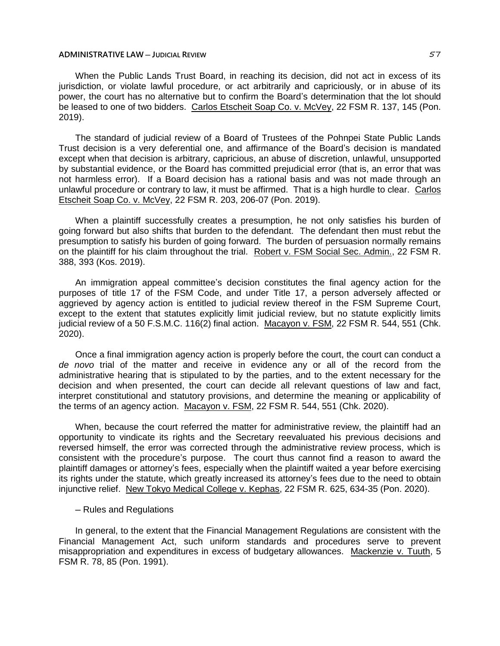When the Public Lands Trust Board, in reaching its decision, did not act in excess of its jurisdiction, or violate lawful procedure, or act arbitrarily and capriciously, or in abuse of its power, the court has no alternative but to confirm the Board's determination that the lot should be leased to one of two bidders. Carlos Etscheit Soap Co. v. McVey, 22 FSM R. 137, 145 (Pon. 2019).

The standard of judicial review of a Board of Trustees of the Pohnpei State Public Lands Trust decision is a very deferential one, and affirmance of the Board's decision is mandated except when that decision is arbitrary, capricious, an abuse of discretion, unlawful, unsupported by substantial evidence, or the Board has committed prejudicial error (that is, an error that was not harmless error). If a Board decision has a rational basis and was not made through an unlawful procedure or contrary to law, it must be affirmed. That is a high hurdle to clear. Carlos Etscheit Soap Co. v. McVey, 22 FSM R. 203, 206-07 (Pon. 2019).

When a plaintiff successfully creates a presumption, he not only satisfies his burden of going forward but also shifts that burden to the defendant. The defendant then must rebut the presumption to satisfy his burden of going forward. The burden of persuasion normally remains on the plaintiff for his claim throughout the trial. Robert v. FSM Social Sec. Admin., 22 FSM R. 388, 393 (Kos. 2019).

An immigration appeal committee's decision constitutes the final agency action for the purposes of title 17 of the FSM Code, and under Title 17, a person adversely affected or aggrieved by agency action is entitled to judicial review thereof in the FSM Supreme Court, except to the extent that statutes explicitly limit judicial review, but no statute explicitly limits judicial review of a 50 F.S.M.C. 116(2) final action. Macayon v. FSM, 22 FSM R. 544, 551 (Chk. 2020).

Once a final immigration agency action is properly before the court, the court can conduct a *de novo* trial of the matter and receive in evidence any or all of the record from the administrative hearing that is stipulated to by the parties, and to the extent necessary for the decision and when presented, the court can decide all relevant questions of law and fact, interpret constitutional and statutory provisions, and determine the meaning or applicability of the terms of an agency action. Macayon v. FSM, 22 FSM R. 544, 551 (Chk. 2020).

When, because the court referred the matter for administrative review, the plaintiff had an opportunity to vindicate its rights and the Secretary reevaluated his previous decisions and reversed himself, the error was corrected through the administrative review process, which is consistent with the procedure's purpose. The court thus cannot find a reason to award the plaintiff damages or attorney's fees, especially when the plaintiff waited a year before exercising its rights under the statute, which greatly increased its attorney's fees due to the need to obtain injunctive relief. New Tokyo Medical College v. Kephas, 22 FSM R. 625, 634-35 (Pon. 2020).

## ─ Rules and Regulations

In general, to the extent that the Financial Management Regulations are consistent with the Financial Management Act, such uniform standards and procedures serve to prevent misappropriation and expenditures in excess of budgetary allowances. Mackenzie v. Tuuth, 5 FSM R. 78, 85 (Pon. 1991).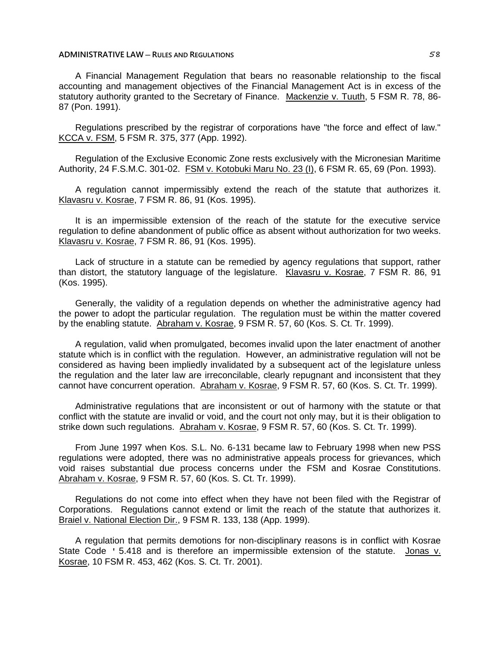A Financial Management Regulation that bears no reasonable relationship to the fiscal accounting and management objectives of the Financial Management Act is in excess of the statutory authority granted to the Secretary of Finance. Mackenzie v. Tuuth, 5 FSM R. 78, 86- 87 (Pon. 1991).

Regulations prescribed by the registrar of corporations have "the force and effect of law." KCCA v. FSM, 5 FSM R. 375, 377 (App. 1992).

Regulation of the Exclusive Economic Zone rests exclusively with the Micronesian Maritime Authority, 24 F.S.M.C. 301-02. FSM v. Kotobuki Maru No. 23 (I), 6 FSM R. 65, 69 (Pon. 1993).

A regulation cannot impermissibly extend the reach of the statute that authorizes it. Klavasru v. Kosrae, 7 FSM R. 86, 91 (Kos. 1995).

It is an impermissible extension of the reach of the statute for the executive service regulation to define abandonment of public office as absent without authorization for two weeks. Klavasru v. Kosrae, 7 FSM R. 86, 91 (Kos. 1995).

Lack of structure in a statute can be remedied by agency regulations that support, rather than distort, the statutory language of the legislature. Klavasru v. Kosrae, 7 FSM R. 86, 91 (Kos. 1995).

Generally, the validity of a regulation depends on whether the administrative agency had the power to adopt the particular regulation. The regulation must be within the matter covered by the enabling statute. Abraham v. Kosrae, 9 FSM R. 57, 60 (Kos. S. Ct. Tr. 1999).

A regulation, valid when promulgated, becomes invalid upon the later enactment of another statute which is in conflict with the regulation. However, an administrative regulation will not be considered as having been impliedly invalidated by a subsequent act of the legislature unless the regulation and the later law are irreconcilable, clearly repugnant and inconsistent that they cannot have concurrent operation. Abraham v. Kosrae, 9 FSM R. 57, 60 (Kos. S. Ct. Tr. 1999).

Administrative regulations that are inconsistent or out of harmony with the statute or that conflict with the statute are invalid or void, and the court not only may, but it is their obligation to strike down such regulations. Abraham v. Kosrae, 9 FSM R. 57, 60 (Kos. S. Ct. Tr. 1999).

From June 1997 when Kos. S.L. No. 6-131 became law to February 1998 when new PSS regulations were adopted, there was no administrative appeals process for grievances, which void raises substantial due process concerns under the FSM and Kosrae Constitutions. Abraham v. Kosrae, 9 FSM R. 57, 60 (Kos. S. Ct. Tr. 1999).

Regulations do not come into effect when they have not been filed with the Registrar of Corporations. Regulations cannot extend or limit the reach of the statute that authorizes it. Braiel v. National Election Dir., 9 FSM R. 133, 138 (App. 1999).

A regulation that permits demotions for non-disciplinary reasons is in conflict with Kosrae State Code ' 5.418 and is therefore an impermissible extension of the statute. Jonas v. Kosrae, 10 FSM R. 453, 462 (Kos. S. Ct. Tr. 2001).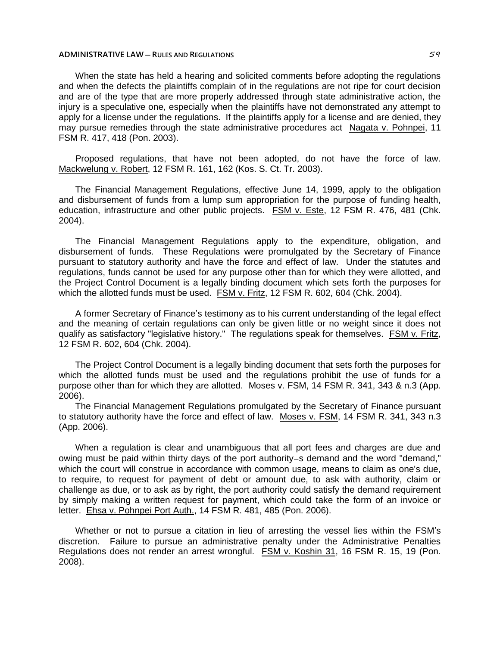When the state has held a hearing and solicited comments before adopting the regulations and when the defects the plaintiffs complain of in the regulations are not ripe for court decision and are of the type that are more properly addressed through state administrative action, the injury is a speculative one, especially when the plaintiffs have not demonstrated any attempt to apply for a license under the regulations. If the plaintiffs apply for a license and are denied, they may pursue remedies through the state administrative procedures act Nagata v. Pohnpei, 11 FSM R. 417, 418 (Pon. 2003).

Proposed regulations, that have not been adopted, do not have the force of law. Mackwelung v. Robert, 12 FSM R. 161, 162 (Kos. S. Ct. Tr. 2003).

The Financial Management Regulations, effective June 14, 1999, apply to the obligation and disbursement of funds from a lump sum appropriation for the purpose of funding health, education, infrastructure and other public projects. FSM v. Este, 12 FSM R. 476, 481 (Chk. 2004).

The Financial Management Regulations apply to the expenditure, obligation, and disbursement of funds. These Regulations were promulgated by the Secretary of Finance pursuant to statutory authority and have the force and effect of law. Under the statutes and regulations, funds cannot be used for any purpose other than for which they were allotted, and the Project Control Document is a legally binding document which sets forth the purposes for which the allotted funds must be used. FSM v. Fritz, 12 FSM R. 602, 604 (Chk. 2004).

A former Secretary of Finance's testimony as to his current understanding of the legal effect and the meaning of certain regulations can only be given little or no weight since it does not qualify as satisfactory "legislative history." The regulations speak for themselves. **FSM v. Fritz,** 12 FSM R. 602, 604 (Chk. 2004).

The Project Control Document is a legally binding document that sets forth the purposes for which the allotted funds must be used and the regulations prohibit the use of funds for a purpose other than for which they are allotted. Moses v. FSM, 14 FSM R. 341, 343 & n.3 (App. 2006).

The Financial Management Regulations promulgated by the Secretary of Finance pursuant to statutory authority have the force and effect of law. Moses v. FSM, 14 FSM R. 341, 343 n.3 (App. 2006).

When a regulation is clear and unambiguous that all port fees and charges are due and owing must be paid within thirty days of the port authority=s demand and the word "demand," which the court will construe in accordance with common usage, means to claim as one's due, to require, to request for payment of debt or amount due, to ask with authority, claim or challenge as due, or to ask as by right, the port authority could satisfy the demand requirement by simply making a written request for payment, which could take the form of an invoice or letter. Ehsa v. Pohnpei Port Auth., 14 FSM R. 481, 485 (Pon. 2006).

Whether or not to pursue a citation in lieu of arresting the vessel lies within the FSM's discretion. Failure to pursue an administrative penalty under the Administrative Penalties Regulations does not render an arrest wrongful. FSM v. Koshin 31, 16 FSM R. 15, 19 (Pon. 2008).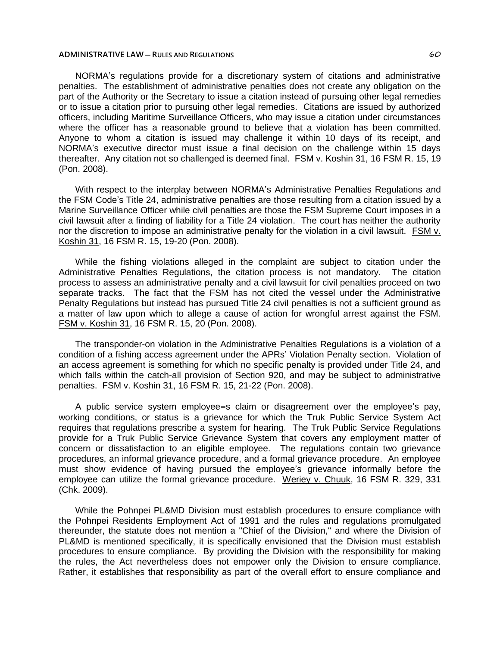NORMA's regulations provide for a discretionary system of citations and administrative penalties. The establishment of administrative penalties does not create any obligation on the part of the Authority or the Secretary to issue a citation instead of pursuing other legal remedies or to issue a citation prior to pursuing other legal remedies. Citations are issued by authorized officers, including Maritime Surveillance Officers, who may issue a citation under circumstances where the officer has a reasonable ground to believe that a violation has been committed. Anyone to whom a citation is issued may challenge it within 10 days of its receipt, and NORMA's executive director must issue a final decision on the challenge within 15 days thereafter. Any citation not so challenged is deemed final. FSM v. Koshin 31, 16 FSM R. 15, 19 (Pon. 2008).

With respect to the interplay between NORMA's Administrative Penalties Regulations and the FSM Code's Title 24, administrative penalties are those resulting from a citation issued by a Marine Surveillance Officer while civil penalties are those the FSM Supreme Court imposes in a civil lawsuit after a finding of liability for a Title 24 violation. The court has neither the authority nor the discretion to impose an administrative penalty for the violation in a civil lawsuit. FSM v. Koshin 31, 16 FSM R. 15, 19-20 (Pon. 2008).

While the fishing violations alleged in the complaint are subject to citation under the Administrative Penalties Regulations, the citation process is not mandatory. The citation process to assess an administrative penalty and a civil lawsuit for civil penalties proceed on two separate tracks. The fact that the FSM has not cited the vessel under the Administrative Penalty Regulations but instead has pursued Title 24 civil penalties is not a sufficient ground as a matter of law upon which to allege a cause of action for wrongful arrest against the FSM. FSM v. Koshin 31, 16 FSM R. 15, 20 (Pon. 2008).

The transponder-on violation in the Administrative Penalties Regulations is a violation of a condition of a fishing access agreement under the APRs' Violation Penalty section. Violation of an access agreement is something for which no specific penalty is provided under Title 24, and which falls within the catch-all provision of Section 920, and may be subject to administrative penalties. FSM v. Koshin 31, 16 FSM R. 15, 21-22 (Pon. 2008).

A public service system employee=s claim or disagreement over the employee's pay, working conditions, or status is a grievance for which the Truk Public Service System Act requires that regulations prescribe a system for hearing. The Truk Public Service Regulations provide for a Truk Public Service Grievance System that covers any employment matter of concern or dissatisfaction to an eligible employee. The regulations contain two grievance procedures, an informal grievance procedure, and a formal grievance procedure. An employee must show evidence of having pursued the employee's grievance informally before the employee can utilize the formal grievance procedure. Weriey v. Chuuk, 16 FSM R. 329, 331 (Chk. 2009).

While the Pohnpei PL&MD Division must establish procedures to ensure compliance with the Pohnpei Residents Employment Act of 1991 and the rules and regulations promulgated thereunder, the statute does not mention a "Chief of the Division," and where the Division of PL&MD is mentioned specifically, it is specifically envisioned that the Division must establish procedures to ensure compliance. By providing the Division with the responsibility for making the rules, the Act nevertheless does not empower only the Division to ensure compliance. Rather, it establishes that responsibility as part of the overall effort to ensure compliance and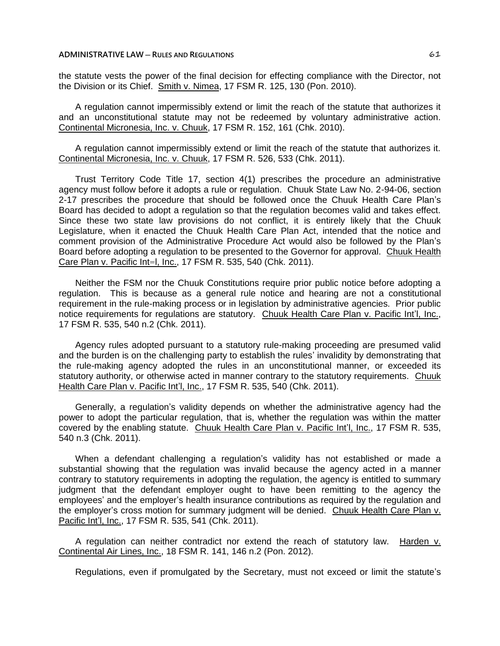the statute vests the power of the final decision for effecting compliance with the Director, not the Division or its Chief. Smith v. Nimea, 17 FSM R. 125, 130 (Pon. 2010).

A regulation cannot impermissibly extend or limit the reach of the statute that authorizes it and an unconstitutional statute may not be redeemed by voluntary administrative action. Continental Micronesia, Inc. v. Chuuk, 17 FSM R. 152, 161 (Chk. 2010).

A regulation cannot impermissibly extend or limit the reach of the statute that authorizes it. Continental Micronesia, Inc. v. Chuuk, 17 FSM R. 526, 533 (Chk. 2011).

Trust Territory Code Title 17, section 4(1) prescribes the procedure an administrative agency must follow before it adopts a rule or regulation. Chuuk State Law No. 2-94-06, section 2-17 prescribes the procedure that should be followed once the Chuuk Health Care Plan's Board has decided to adopt a regulation so that the regulation becomes valid and takes effect. Since these two state law provisions do not conflict, it is entirely likely that the Chuuk Legislature, when it enacted the Chuuk Health Care Plan Act, intended that the notice and comment provision of the Administrative Procedure Act would also be followed by the Plan's Board before adopting a regulation to be presented to the Governor for approval. Chuuk Health Care Plan v. Pacific Int=l, Inc., 17 FSM R. 535, 540 (Chk. 2011).

Neither the FSM nor the Chuuk Constitutions require prior public notice before adopting a regulation. This is because as a general rule notice and hearing are not a constitutional requirement in the rule-making process or in legislation by administrative agencies. Prior public notice requirements for regulations are statutory. Chuuk Health Care Plan v. Pacific Int'l, Inc., 17 FSM R. 535, 540 n.2 (Chk. 2011).

Agency rules adopted pursuant to a statutory rule-making proceeding are presumed valid and the burden is on the challenging party to establish the rules' invalidity by demonstrating that the rule-making agency adopted the rules in an unconstitutional manner, or exceeded its statutory authority, or otherwise acted in manner contrary to the statutory requirements. Chuuk Health Care Plan v. Pacific Int'l, Inc., 17 FSM R. 535, 540 (Chk. 2011).

Generally, a regulation's validity depends on whether the administrative agency had the power to adopt the particular regulation, that is, whether the regulation was within the matter covered by the enabling statute. Chuuk Health Care Plan v. Pacific Int'l, Inc., 17 FSM R. 535, 540 n.3 (Chk. 2011).

When a defendant challenging a regulation's validity has not established or made a substantial showing that the regulation was invalid because the agency acted in a manner contrary to statutory requirements in adopting the regulation, the agency is entitled to summary judgment that the defendant employer ought to have been remitting to the agency the employees' and the employer's health insurance contributions as required by the regulation and the employer's cross motion for summary judgment will be denied. Chuuk Health Care Plan v. Pacific Int'l, Inc., 17 FSM R. 535, 541 (Chk. 2011).

A regulation can neither contradict nor extend the reach of statutory law. Harden v. Continental Air Lines, Inc., 18 FSM R. 141, 146 n.2 (Pon. 2012).

Regulations, even if promulgated by the Secretary, must not exceed or limit the statute's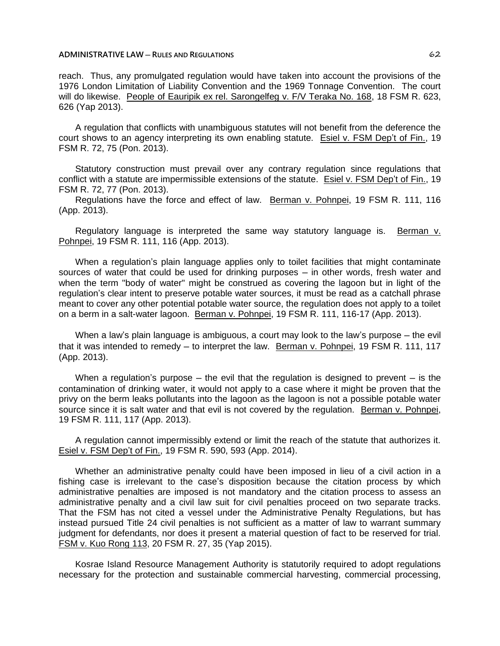reach. Thus, any promulgated regulation would have taken into account the provisions of the 1976 London Limitation of Liability Convention and the 1969 Tonnage Convention. The court will do likewise. People of Eauripik ex rel. Sarongelfeg v. F/V Teraka No. 168, 18 FSM R. 623, 626 (Yap 2013).

A regulation that conflicts with unambiguous statutes will not benefit from the deference the court shows to an agency interpreting its own enabling statute. Esiel v. FSM Dep't of Fin., 19 FSM R. 72, 75 (Pon. 2013).

Statutory construction must prevail over any contrary regulation since regulations that conflict with a statute are impermissible extensions of the statute. Esiel v. FSM Dep't of Fin., 19 FSM R. 72, 77 (Pon. 2013).

Regulations have the force and effect of law. Berman v. Pohnpei, 19 FSM R. 111, 116 (App. 2013).

Regulatory language is interpreted the same way statutory language is. Berman v. Pohnpei, 19 FSM R. 111, 116 (App. 2013).

When a regulation's plain language applies only to toilet facilities that might contaminate sources of water that could be used for drinking purposes – in other words, fresh water and when the term "body of water" might be construed as covering the lagoon but in light of the regulation's clear intent to preserve potable water sources, it must be read as a catchall phrase meant to cover any other potential potable water source, the regulation does not apply to a toilet on a berm in a salt-water lagoon. Berman v. Pohnpei, 19 FSM R. 111, 116-17 (App. 2013).

When a law's plain language is ambiguous, a court may look to the law's purpose — the evil that it was intended to remedy — to interpret the law. Berman v. Pohnpei, 19 FSM R, 111, 117 (App. 2013).

When a regulation's purpose  $-$  the evil that the regulation is designed to prevent  $-$  is the contamination of drinking water, it would not apply to a case where it might be proven that the privy on the berm leaks pollutants into the lagoon as the lagoon is not a possible potable water source since it is salt water and that evil is not covered by the regulation. Berman v. Pohnpei, 19 FSM R. 111, 117 (App. 2013).

A regulation cannot impermissibly extend or limit the reach of the statute that authorizes it. Esiel v. FSM Dep't of Fin., 19 FSM R. 590, 593 (App. 2014).

Whether an administrative penalty could have been imposed in lieu of a civil action in a fishing case is irrelevant to the case's disposition because the citation process by which administrative penalties are imposed is not mandatory and the citation process to assess an administrative penalty and a civil law suit for civil penalties proceed on two separate tracks. That the FSM has not cited a vessel under the Administrative Penalty Regulations, but has instead pursued Title 24 civil penalties is not sufficient as a matter of law to warrant summary judgment for defendants, nor does it present a material question of fact to be reserved for trial. FSM v. Kuo Rong 113, 20 FSM R. 27, 35 (Yap 2015).

Kosrae Island Resource Management Authority is statutorily required to adopt regulations necessary for the protection and sustainable commercial harvesting, commercial processing,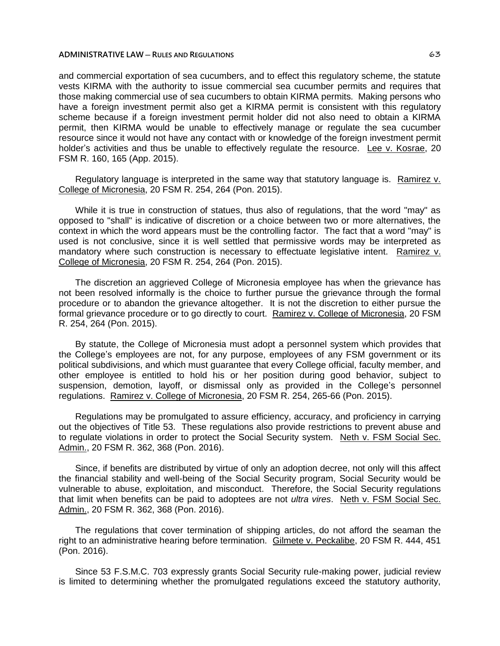and commercial exportation of sea cucumbers, and to effect this regulatory scheme, the statute vests KIRMA with the authority to issue commercial sea cucumber permits and requires that those making commercial use of sea cucumbers to obtain KIRMA permits. Making persons who have a foreign investment permit also get a KIRMA permit is consistent with this regulatory scheme because if a foreign investment permit holder did not also need to obtain a KIRMA permit, then KIRMA would be unable to effectively manage or regulate the sea cucumber resource since it would not have any contact with or knowledge of the foreign investment permit holder's activities and thus be unable to effectively regulate the resource. Lee v. Kosrae, 20 FSM R. 160, 165 (App. 2015).

Regulatory language is interpreted in the same way that statutory language is. Ramirez v. College of Micronesia, 20 FSM R. 254, 264 (Pon. 2015).

While it is true in construction of statues, thus also of regulations, that the word "may" as opposed to "shall" is indicative of discretion or a choice between two or more alternatives, the context in which the word appears must be the controlling factor. The fact that a word "may" is used is not conclusive, since it is well settled that permissive words may be interpreted as mandatory where such construction is necessary to effectuate legislative intent. Ramirez v. College of Micronesia, 20 FSM R. 254, 264 (Pon. 2015).

The discretion an aggrieved College of Micronesia employee has when the grievance has not been resolved informally is the choice to further pursue the grievance through the formal procedure or to abandon the grievance altogether. It is not the discretion to either pursue the formal grievance procedure or to go directly to court. Ramirez v. College of Micronesia, 20 FSM R. 254, 264 (Pon. 2015).

By statute, the College of Micronesia must adopt a personnel system which provides that the College's employees are not, for any purpose, employees of any FSM government or its political subdivisions, and which must guarantee that every College official, faculty member, and other employee is entitled to hold his or her position during good behavior, subject to suspension, demotion, layoff, or dismissal only as provided in the College's personnel regulations. Ramirez v. College of Micronesia, 20 FSM R. 254, 265-66 (Pon. 2015).

Regulations may be promulgated to assure efficiency, accuracy, and proficiency in carrying out the objectives of Title 53. These regulations also provide restrictions to prevent abuse and to regulate violations in order to protect the Social Security system. Neth v. FSM Social Sec. Admin., 20 FSM R. 362, 368 (Pon. 2016).

Since, if benefits are distributed by virtue of only an adoption decree, not only will this affect the financial stability and well-being of the Social Security program, Social Security would be vulnerable to abuse, exploitation, and misconduct. Therefore, the Social Security regulations that limit when benefits can be paid to adoptees are not *ultra vires*. Neth v. FSM Social Sec. Admin., 20 FSM R. 362, 368 (Pon. 2016).

The regulations that cover termination of shipping articles, do not afford the seaman the right to an administrative hearing before termination. Gilmete v. Peckalibe, 20 FSM R. 444, 451 (Pon. 2016).

Since 53 F.S.M.C. 703 expressly grants Social Security rule-making power, judicial review is limited to determining whether the promulgated regulations exceed the statutory authority,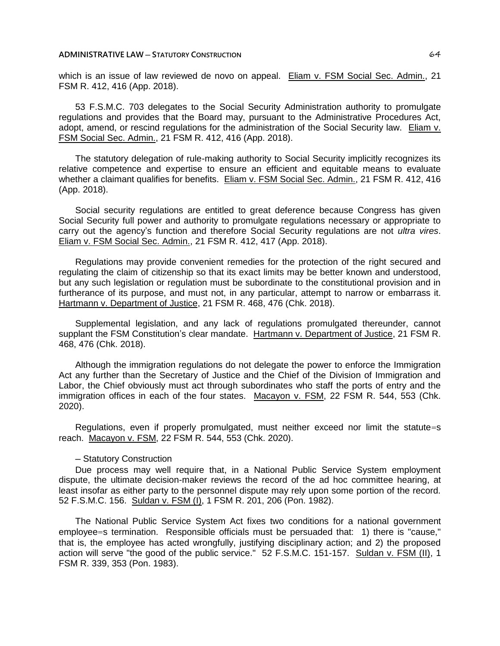#### **ADMINISTRATIVE LAW ─ STATUTORY CONSTRUCTION** 64

which is an issue of law reviewed de novo on appeal. Eliam v. FSM Social Sec. Admin., 21 FSM R. 412, 416 (App. 2018).

53 F.S.M.C. 703 delegates to the Social Security Administration authority to promulgate regulations and provides that the Board may, pursuant to the Administrative Procedures Act, adopt, amend, or rescind regulations for the administration of the Social Security law. Eliam v. FSM Social Sec. Admin., 21 FSM R. 412, 416 (App. 2018).

The statutory delegation of rule-making authority to Social Security implicitly recognizes its relative competence and expertise to ensure an efficient and equitable means to evaluate whether a claimant qualifies for benefits. Eliam v. FSM Social Sec. Admin., 21 FSM R. 412, 416 (App. 2018).

Social security regulations are entitled to great deference because Congress has given Social Security full power and authority to promulgate regulations necessary or appropriate to carry out the agency's function and therefore Social Security regulations are not *ultra vires*. Eliam v. FSM Social Sec. Admin., 21 FSM R. 412, 417 (App. 2018).

Regulations may provide convenient remedies for the protection of the right secured and regulating the claim of citizenship so that its exact limits may be better known and understood, but any such legislation or regulation must be subordinate to the constitutional provision and in furtherance of its purpose, and must not, in any particular, attempt to narrow or embarrass it. Hartmann v. Department of Justice, 21 FSM R. 468, 476 (Chk. 2018).

Supplemental legislation, and any lack of regulations promulgated thereunder, cannot supplant the FSM Constitution's clear mandate. Hartmann v. Department of Justice, 21 FSM R. 468, 476 (Chk. 2018).

Although the immigration regulations do not delegate the power to enforce the Immigration Act any further than the Secretary of Justice and the Chief of the Division of Immigration and Labor, the Chief obviously must act through subordinates who staff the ports of entry and the immigration offices in each of the four states. Macayon v. FSM, 22 FSM R. 544, 553 (Chk. 2020).

Regulations, even if properly promulgated, must neither exceed nor limit the statute=s reach. Macayon v. FSM, 22 FSM R. 544, 553 (Chk. 2020).

## ─ Statutory Construction

Due process may well require that, in a National Public Service System employment dispute, the ultimate decision-maker reviews the record of the ad hoc committee hearing, at least insofar as either party to the personnel dispute may rely upon some portion of the record. 52 F.S.M.C. 156. Suldan v. FSM (I), 1 FSM R. 201, 206 (Pon. 1982).

The National Public Service System Act fixes two conditions for a national government employee=s termination. Responsible officials must be persuaded that: 1) there is "cause," that is, the employee has acted wrongfully, justifying disciplinary action; and 2) the proposed action will serve "the good of the public service." 52 F.S.M.C. 151-157. Suldan v. FSM (II), 1 FSM R. 339, 353 (Pon. 1983).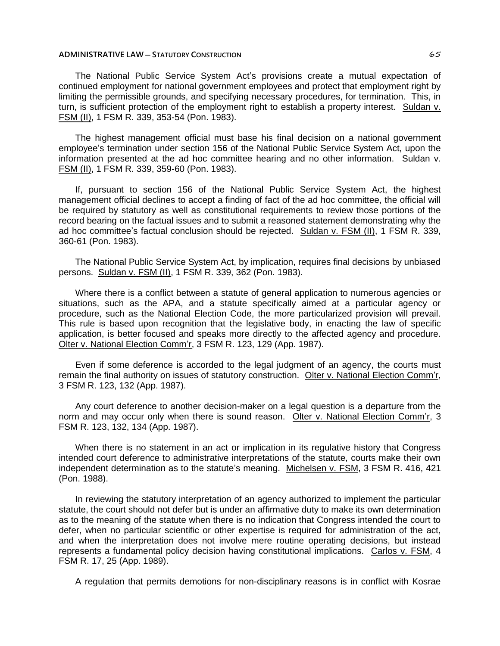## **ADMINISTRATIVE LAW ─ STATUTORY CONSTRUCTION** 65

The National Public Service System Act's provisions create a mutual expectation of continued employment for national government employees and protect that employment right by limiting the permissible grounds, and specifying necessary procedures, for termination. This, in turn, is sufficient protection of the employment right to establish a property interest. Suldan v. FSM (II), 1 FSM R. 339, 353-54 (Pon. 1983).

The highest management official must base his final decision on a national government employee's termination under section 156 of the National Public Service System Act, upon the information presented at the ad hoc committee hearing and no other information. Suldan v. FSM (II), 1 FSM R. 339, 359-60 (Pon. 1983).

If, pursuant to section 156 of the National Public Service System Act, the highest management official declines to accept a finding of fact of the ad hoc committee, the official will be required by statutory as well as constitutional requirements to review those portions of the record bearing on the factual issues and to submit a reasoned statement demonstrating why the ad hoc committee's factual conclusion should be rejected. Suldan v. FSM (II), 1 FSM R. 339, 360-61 (Pon. 1983).

The National Public Service System Act, by implication, requires final decisions by unbiased persons. Suldan v. FSM (II), 1 FSM R. 339, 362 (Pon. 1983).

Where there is a conflict between a statute of general application to numerous agencies or situations, such as the APA, and a statute specifically aimed at a particular agency or procedure, such as the National Election Code, the more particularized provision will prevail. This rule is based upon recognition that the legislative body, in enacting the law of specific application, is better focused and speaks more directly to the affected agency and procedure. Olter v. National Election Comm'r, 3 FSM R. 123, 129 (App. 1987).

Even if some deference is accorded to the legal judgment of an agency, the courts must remain the final authority on issues of statutory construction. Olter v. National Election Comm'r, 3 FSM R. 123, 132 (App. 1987).

Any court deference to another decision-maker on a legal question is a departure from the norm and may occur only when there is sound reason. Olter v. National Election Comm'r, 3 FSM R. 123, 132, 134 (App. 1987).

When there is no statement in an act or implication in its regulative history that Congress intended court deference to administrative interpretations of the statute, courts make their own independent determination as to the statute's meaning. Michelsen v. FSM, 3 FSM R. 416, 421 (Pon. 1988).

In reviewing the statutory interpretation of an agency authorized to implement the particular statute, the court should not defer but is under an affirmative duty to make its own determination as to the meaning of the statute when there is no indication that Congress intended the court to defer, when no particular scientific or other expertise is required for administration of the act, and when the interpretation does not involve mere routine operating decisions, but instead represents a fundamental policy decision having constitutional implications. Carlos v. FSM, 4 FSM R. 17, 25 (App. 1989).

A regulation that permits demotions for non-disciplinary reasons is in conflict with Kosrae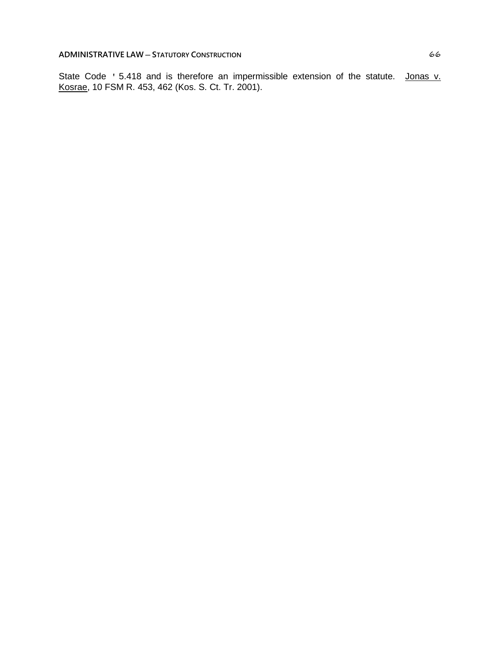State Code ' 5.418 and is therefore an impermissible extension of the statute. Jonas v. Kosrae, 10 FSM R. 453, 462 (Kos. S. Ct. Tr. 2001).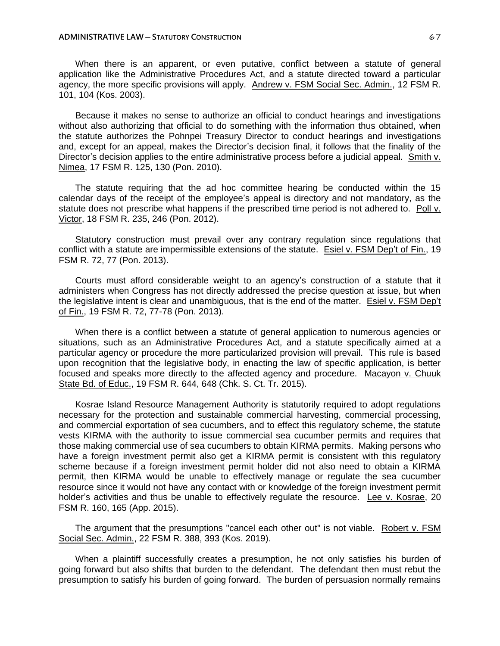When there is an apparent, or even putative, conflict between a statute of general application like the Administrative Procedures Act, and a statute directed toward a particular agency, the more specific provisions will apply. Andrew v. FSM Social Sec. Admin., 12 FSM R. 101, 104 (Kos. 2003).

Because it makes no sense to authorize an official to conduct hearings and investigations without also authorizing that official to do something with the information thus obtained, when the statute authorizes the Pohnpei Treasury Director to conduct hearings and investigations and, except for an appeal, makes the Director's decision final, it follows that the finality of the Director's decision applies to the entire administrative process before a judicial appeal. Smith v. Nimea, 17 FSM R. 125, 130 (Pon. 2010).

The statute requiring that the ad hoc committee hearing be conducted within the 15 calendar days of the receipt of the employee's appeal is directory and not mandatory, as the statute does not prescribe what happens if the prescribed time period is not adhered to. Poll v. Victor, 18 FSM R. 235, 246 (Pon. 2012).

Statutory construction must prevail over any contrary regulation since regulations that conflict with a statute are impermissible extensions of the statute. Esiel v. FSM Dep't of Fin., 19 FSM R. 72, 77 (Pon. 2013).

Courts must afford considerable weight to an agency's construction of a statute that it administers when Congress has not directly addressed the precise question at issue, but when the legislative intent is clear and unambiguous, that is the end of the matter. Esiel v. FSM Dep't of Fin., 19 FSM R. 72, 77-78 (Pon. 2013).

When there is a conflict between a statute of general application to numerous agencies or situations, such as an Administrative Procedures Act, and a statute specifically aimed at a particular agency or procedure the more particularized provision will prevail. This rule is based upon recognition that the legislative body, in enacting the law of specific application, is better focused and speaks more directly to the affected agency and procedure. Macayon v. Chuuk State Bd. of Educ., 19 FSM R. 644, 648 (Chk. S. Ct. Tr. 2015).

Kosrae Island Resource Management Authority is statutorily required to adopt regulations necessary for the protection and sustainable commercial harvesting, commercial processing, and commercial exportation of sea cucumbers, and to effect this regulatory scheme, the statute vests KIRMA with the authority to issue commercial sea cucumber permits and requires that those making commercial use of sea cucumbers to obtain KIRMA permits. Making persons who have a foreign investment permit also get a KIRMA permit is consistent with this regulatory scheme because if a foreign investment permit holder did not also need to obtain a KIRMA permit, then KIRMA would be unable to effectively manage or regulate the sea cucumber resource since it would not have any contact with or knowledge of the foreign investment permit holder's activities and thus be unable to effectively regulate the resource. Lee v. Kosrae, 20 FSM R. 160, 165 (App. 2015).

The argument that the presumptions "cancel each other out" is not viable. Robert v. FSM Social Sec. Admin., 22 FSM R. 388, 393 (Kos. 2019).

When a plaintiff successfully creates a presumption, he not only satisfies his burden of going forward but also shifts that burden to the defendant. The defendant then must rebut the presumption to satisfy his burden of going forward. The burden of persuasion normally remains